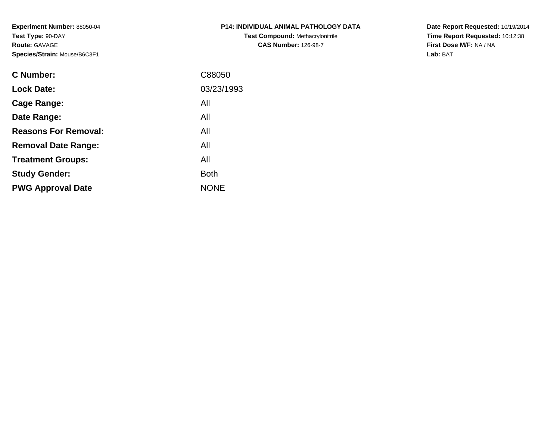**Experiment Number:** 88050-04**Test Type:** 90-DAY**Route:** GAVAGE**Species/Strain:** Mouse/B6C3F1

| <b>P14: INDIVIDUAL ANIMAL PATHOLOGY DATA</b> |
|----------------------------------------------|
| <b>Test Compound: Methacrylonitrile</b>      |
| <b>CAS Number: 126-98-7</b>                  |

**Date Report Requested:** 10/19/2014 **Time Report Requested:** 10:12:38**First Dose M/F:** NA / NA**Lab:** BAT

| <b>C</b> Number:            | C88050      |
|-----------------------------|-------------|
| <b>Lock Date:</b>           | 03/23/1993  |
| Cage Range:                 | All         |
| Date Range:                 | All         |
| <b>Reasons For Removal:</b> | All         |
| <b>Removal Date Range:</b>  | All         |
| <b>Treatment Groups:</b>    | All         |
| <b>Study Gender:</b>        | <b>Both</b> |
| <b>PWG Approval Date</b>    | <b>NONE</b> |
|                             |             |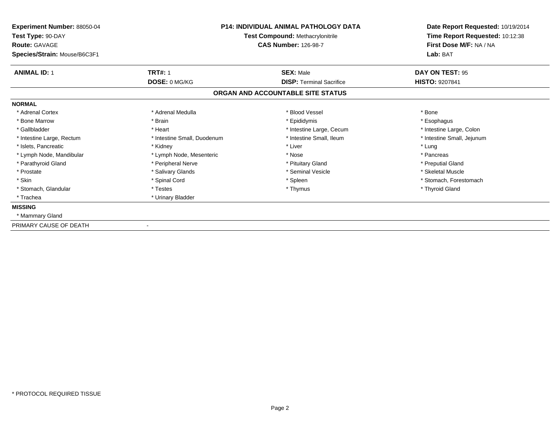| <b>Experiment Number: 88050-04</b><br>Test Type: 90-DAY<br><b>Route: GAVAGE</b><br>Species/Strain: Mouse/B6C3F1 |                             | <b>P14: INDIVIDUAL ANIMAL PATHOLOGY DATA</b><br><b>Test Compound: Methacrylonitrile</b><br><b>CAS Number: 126-98-7</b> | Date Report Requested: 10/19/2014<br>Time Report Requested: 10:12:38<br>First Dose M/F: NA / NA<br>Lab: BAT |
|-----------------------------------------------------------------------------------------------------------------|-----------------------------|------------------------------------------------------------------------------------------------------------------------|-------------------------------------------------------------------------------------------------------------|
| <b>ANIMAL ID: 1</b>                                                                                             | <b>TRT#: 1</b>              | <b>SEX: Male</b>                                                                                                       | DAY ON TEST: 95                                                                                             |
|                                                                                                                 | DOSE: 0 MG/KG               | <b>DISP: Terminal Sacrifice</b>                                                                                        | <b>HISTO: 9207841</b>                                                                                       |
|                                                                                                                 |                             | ORGAN AND ACCOUNTABLE SITE STATUS                                                                                      |                                                                                                             |
| <b>NORMAL</b>                                                                                                   |                             |                                                                                                                        |                                                                                                             |
| * Adrenal Cortex                                                                                                | * Adrenal Medulla           | * Blood Vessel                                                                                                         | * Bone                                                                                                      |
| * Bone Marrow                                                                                                   | * Brain                     | * Epididymis                                                                                                           | * Esophagus                                                                                                 |
| * Gallbladder                                                                                                   | * Heart                     | * Intestine Large, Cecum                                                                                               | * Intestine Large, Colon                                                                                    |
| * Intestine Large, Rectum                                                                                       | * Intestine Small, Duodenum | * Intestine Small, Ileum                                                                                               | * Intestine Small, Jejunum                                                                                  |
| * Islets, Pancreatic                                                                                            | * Kidney                    | * Liver                                                                                                                | * Lung                                                                                                      |
| * Lymph Node, Mandibular                                                                                        | * Lymph Node, Mesenteric    | * Nose                                                                                                                 | * Pancreas                                                                                                  |
| * Parathyroid Gland                                                                                             | * Peripheral Nerve          | * Pituitary Gland                                                                                                      | * Preputial Gland                                                                                           |
| * Prostate                                                                                                      | * Salivary Glands           | * Seminal Vesicle                                                                                                      | * Skeletal Muscle                                                                                           |
| * Skin                                                                                                          | * Spinal Cord               | * Spleen                                                                                                               | * Stomach, Forestomach                                                                                      |
| * Stomach, Glandular                                                                                            | * Testes                    | * Thymus                                                                                                               | * Thyroid Gland                                                                                             |
| * Trachea                                                                                                       | * Urinary Bladder           |                                                                                                                        |                                                                                                             |
| <b>MISSING</b>                                                                                                  |                             |                                                                                                                        |                                                                                                             |
| * Mammary Gland                                                                                                 |                             |                                                                                                                        |                                                                                                             |
| PRIMARY CAUSE OF DEATH                                                                                          |                             |                                                                                                                        |                                                                                                             |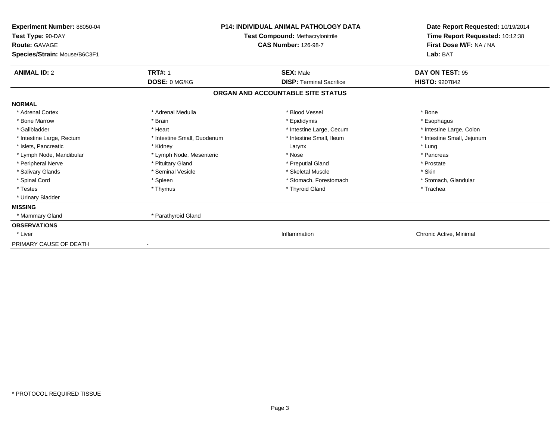| Experiment Number: 88050-04<br>Test Type: 90-DAY<br><b>Route: GAVAGE</b><br>Species/Strain: Mouse/B6C3F1 | <b>P14: INDIVIDUAL ANIMAL PATHOLOGY DATA</b><br>Test Compound: Methacrylonitrile<br><b>CAS Number: 126-98-7</b> |                                   | Date Report Requested: 10/19/2014<br>Time Report Requested: 10:12:38<br>First Dose M/F: NA / NA<br>Lab: BAT |
|----------------------------------------------------------------------------------------------------------|-----------------------------------------------------------------------------------------------------------------|-----------------------------------|-------------------------------------------------------------------------------------------------------------|
| <b>ANIMAL ID: 2</b>                                                                                      | <b>TRT#: 1</b>                                                                                                  | <b>SEX: Male</b>                  | DAY ON TEST: 95                                                                                             |
|                                                                                                          | <b>DOSE: 0 MG/KG</b>                                                                                            | <b>DISP: Terminal Sacrifice</b>   | <b>HISTO: 9207842</b>                                                                                       |
|                                                                                                          |                                                                                                                 | ORGAN AND ACCOUNTABLE SITE STATUS |                                                                                                             |
| <b>NORMAL</b>                                                                                            |                                                                                                                 |                                   |                                                                                                             |
| * Adrenal Cortex                                                                                         | * Adrenal Medulla                                                                                               | * Blood Vessel                    | * Bone                                                                                                      |
| * Bone Marrow                                                                                            | * Brain                                                                                                         | * Epididymis                      | * Esophagus                                                                                                 |
| * Gallbladder                                                                                            | * Heart                                                                                                         | * Intestine Large, Cecum          | * Intestine Large, Colon                                                                                    |
| * Intestine Large, Rectum                                                                                | * Intestine Small, Duodenum                                                                                     | * Intestine Small, Ileum          | * Intestine Small, Jejunum                                                                                  |
| * Islets, Pancreatic                                                                                     | * Kidney                                                                                                        | Larynx                            | * Lung                                                                                                      |
| * Lymph Node, Mandibular                                                                                 | * Lymph Node, Mesenteric                                                                                        | * Nose                            | * Pancreas                                                                                                  |
| * Peripheral Nerve                                                                                       | * Pituitary Gland                                                                                               | * Preputial Gland                 | * Prostate                                                                                                  |
| * Salivary Glands                                                                                        | * Seminal Vesicle                                                                                               | * Skeletal Muscle                 | * Skin                                                                                                      |
| * Spinal Cord                                                                                            | * Spleen                                                                                                        | * Stomach. Forestomach            | * Stomach, Glandular                                                                                        |
| * Testes                                                                                                 | * Thymus                                                                                                        | * Thyroid Gland                   | * Trachea                                                                                                   |
| * Urinary Bladder                                                                                        |                                                                                                                 |                                   |                                                                                                             |
| <b>MISSING</b>                                                                                           |                                                                                                                 |                                   |                                                                                                             |
| * Mammary Gland                                                                                          | * Parathyroid Gland                                                                                             |                                   |                                                                                                             |
| <b>OBSERVATIONS</b>                                                                                      |                                                                                                                 |                                   |                                                                                                             |
| * Liver                                                                                                  |                                                                                                                 | Inflammation                      | Chronic Active, Minimal                                                                                     |
| PRIMARY CAUSE OF DEATH                                                                                   |                                                                                                                 |                                   |                                                                                                             |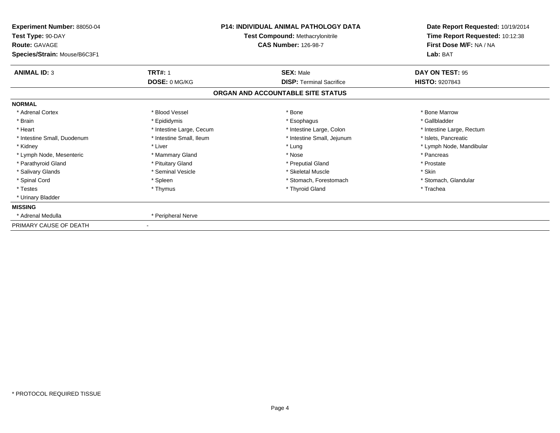| Experiment Number: 88050-04<br>Test Type: 90-DAY<br><b>Route: GAVAGE</b><br>Species/Strain: Mouse/B6C3F1 | <b>P14: INDIVIDUAL ANIMAL PATHOLOGY DATA</b><br>Test Compound: Methacrylonitrile<br><b>CAS Number: 126-98-7</b> |                                   | Date Report Requested: 10/19/2014<br>Time Report Requested: 10:12:38<br>First Dose M/F: NA / NA<br>Lab: BAT |
|----------------------------------------------------------------------------------------------------------|-----------------------------------------------------------------------------------------------------------------|-----------------------------------|-------------------------------------------------------------------------------------------------------------|
| <b>ANIMAL ID: 3</b>                                                                                      | <b>TRT#: 1</b>                                                                                                  | <b>SEX: Male</b>                  | DAY ON TEST: 95                                                                                             |
|                                                                                                          | DOSE: 0 MG/KG                                                                                                   | <b>DISP: Terminal Sacrifice</b>   | <b>HISTO: 9207843</b>                                                                                       |
|                                                                                                          |                                                                                                                 | ORGAN AND ACCOUNTABLE SITE STATUS |                                                                                                             |
| <b>NORMAL</b>                                                                                            |                                                                                                                 |                                   |                                                                                                             |
| * Adrenal Cortex                                                                                         | * Blood Vessel                                                                                                  | * Bone                            | * Bone Marrow                                                                                               |
| * Brain                                                                                                  | * Epididymis                                                                                                    | * Esophagus                       | * Gallbladder                                                                                               |
| * Heart                                                                                                  | * Intestine Large, Cecum                                                                                        | * Intestine Large, Colon          | * Intestine Large, Rectum                                                                                   |
| * Intestine Small, Duodenum                                                                              | * Intestine Small, Ileum                                                                                        | * Intestine Small, Jejunum        | * Islets, Pancreatic                                                                                        |
| * Kidney                                                                                                 | * Liver                                                                                                         | * Lung                            | * Lymph Node, Mandibular                                                                                    |
| * Lymph Node, Mesenteric                                                                                 | * Mammary Gland                                                                                                 | * Nose                            | * Pancreas                                                                                                  |
| * Parathyroid Gland                                                                                      | * Pituitary Gland                                                                                               | * Preputial Gland                 | * Prostate                                                                                                  |
| * Salivary Glands                                                                                        | * Seminal Vesicle                                                                                               | * Skeletal Muscle                 | * Skin                                                                                                      |
| * Spinal Cord                                                                                            | * Spleen                                                                                                        | * Stomach, Forestomach            | * Stomach, Glandular                                                                                        |
| * Testes                                                                                                 | * Thymus                                                                                                        | * Thyroid Gland                   | * Trachea                                                                                                   |
| * Urinary Bladder                                                                                        |                                                                                                                 |                                   |                                                                                                             |
| <b>MISSING</b>                                                                                           |                                                                                                                 |                                   |                                                                                                             |
| * Adrenal Medulla                                                                                        | * Peripheral Nerve                                                                                              |                                   |                                                                                                             |
| PRIMARY CAUSE OF DEATH                                                                                   |                                                                                                                 |                                   |                                                                                                             |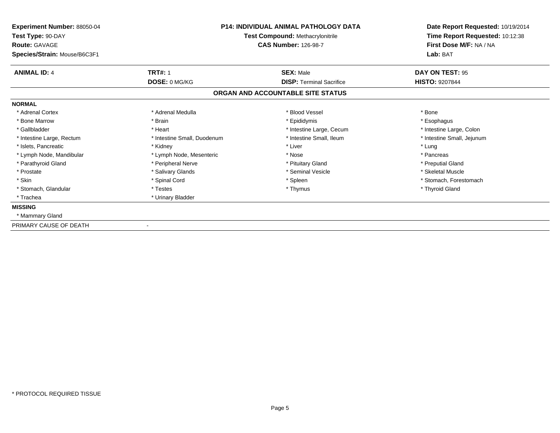| <b>Experiment Number: 88050-04</b><br>Test Type: 90-DAY<br><b>Route: GAVAGE</b><br>Species/Strain: Mouse/B6C3F1 |                             | P14: INDIVIDUAL ANIMAL PATHOLOGY DATA<br><b>Test Compound: Methacrylonitrile</b><br><b>CAS Number: 126-98-7</b> | Date Report Requested: 10/19/2014<br>Time Report Requested: 10:12:38<br>First Dose M/F: NA / NA<br>Lab: BAT |
|-----------------------------------------------------------------------------------------------------------------|-----------------------------|-----------------------------------------------------------------------------------------------------------------|-------------------------------------------------------------------------------------------------------------|
| <b>ANIMAL ID: 4</b>                                                                                             | <b>TRT#: 1</b>              | <b>SEX: Male</b>                                                                                                | DAY ON TEST: 95                                                                                             |
|                                                                                                                 | DOSE: 0 MG/KG               | <b>DISP: Terminal Sacrifice</b>                                                                                 | <b>HISTO: 9207844</b>                                                                                       |
|                                                                                                                 |                             | ORGAN AND ACCOUNTABLE SITE STATUS                                                                               |                                                                                                             |
| <b>NORMAL</b>                                                                                                   |                             |                                                                                                                 |                                                                                                             |
| * Adrenal Cortex                                                                                                | * Adrenal Medulla           | * Blood Vessel                                                                                                  | * Bone                                                                                                      |
| * Bone Marrow                                                                                                   | * Brain                     | * Epididymis                                                                                                    | * Esophagus                                                                                                 |
| * Gallbladder                                                                                                   | * Heart                     | * Intestine Large, Cecum                                                                                        | * Intestine Large, Colon                                                                                    |
| * Intestine Large, Rectum                                                                                       | * Intestine Small, Duodenum | * Intestine Small. Ileum                                                                                        | * Intestine Small, Jejunum                                                                                  |
| * Islets, Pancreatic                                                                                            | * Kidney                    | * Liver                                                                                                         | * Lung                                                                                                      |
| * Lymph Node, Mandibular                                                                                        | * Lymph Node, Mesenteric    | * Nose                                                                                                          | * Pancreas                                                                                                  |
| * Parathyroid Gland                                                                                             | * Peripheral Nerve          | * Pituitary Gland                                                                                               | * Preputial Gland                                                                                           |
| * Prostate                                                                                                      | * Salivary Glands           | * Seminal Vesicle                                                                                               | * Skeletal Muscle                                                                                           |
| * Skin                                                                                                          | * Spinal Cord               | * Spleen                                                                                                        | * Stomach, Forestomach                                                                                      |
| * Stomach, Glandular                                                                                            | * Testes                    | * Thymus                                                                                                        | * Thyroid Gland                                                                                             |
| * Trachea                                                                                                       | * Urinary Bladder           |                                                                                                                 |                                                                                                             |
| <b>MISSING</b>                                                                                                  |                             |                                                                                                                 |                                                                                                             |
| * Mammary Gland                                                                                                 |                             |                                                                                                                 |                                                                                                             |
| PRIMARY CAUSE OF DEATH                                                                                          |                             |                                                                                                                 |                                                                                                             |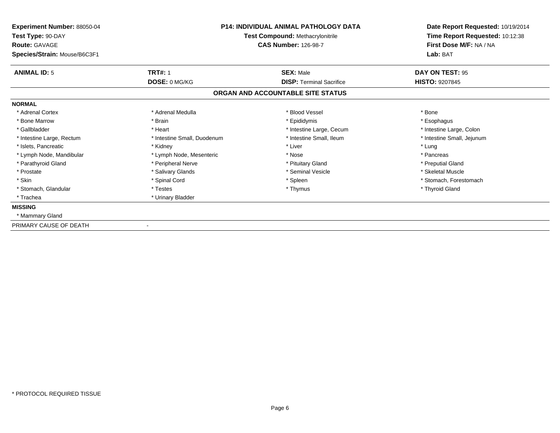| <b>Experiment Number: 88050-04</b><br>Test Type: 90-DAY<br><b>Route: GAVAGE</b><br>Species/Strain: Mouse/B6C3F1 |                             | P14: INDIVIDUAL ANIMAL PATHOLOGY DATA<br><b>Test Compound: Methacrylonitrile</b><br><b>CAS Number: 126-98-7</b> | Date Report Requested: 10/19/2014<br>Time Report Requested: 10:12:38<br>First Dose M/F: NA / NA<br>Lab: BAT |
|-----------------------------------------------------------------------------------------------------------------|-----------------------------|-----------------------------------------------------------------------------------------------------------------|-------------------------------------------------------------------------------------------------------------|
| <b>ANIMAL ID: 5</b>                                                                                             | <b>TRT#: 1</b>              | <b>SEX: Male</b>                                                                                                | DAY ON TEST: 95                                                                                             |
|                                                                                                                 | DOSE: 0 MG/KG               | <b>DISP: Terminal Sacrifice</b>                                                                                 | <b>HISTO: 9207845</b>                                                                                       |
|                                                                                                                 |                             | ORGAN AND ACCOUNTABLE SITE STATUS                                                                               |                                                                                                             |
| <b>NORMAL</b>                                                                                                   |                             |                                                                                                                 |                                                                                                             |
| * Adrenal Cortex                                                                                                | * Adrenal Medulla           | * Blood Vessel                                                                                                  | * Bone                                                                                                      |
| * Bone Marrow                                                                                                   | * Brain                     | * Epididymis                                                                                                    | * Esophagus                                                                                                 |
| * Gallbladder                                                                                                   | * Heart                     | * Intestine Large, Cecum                                                                                        | * Intestine Large, Colon                                                                                    |
| * Intestine Large, Rectum                                                                                       | * Intestine Small, Duodenum | * Intestine Small. Ileum                                                                                        | * Intestine Small, Jejunum                                                                                  |
| * Islets, Pancreatic                                                                                            | * Kidney                    | * Liver                                                                                                         | * Lung                                                                                                      |
| * Lymph Node, Mandibular                                                                                        | * Lymph Node, Mesenteric    | * Nose                                                                                                          | * Pancreas                                                                                                  |
| * Parathyroid Gland                                                                                             | * Peripheral Nerve          | * Pituitary Gland                                                                                               | * Preputial Gland                                                                                           |
| * Prostate                                                                                                      | * Salivary Glands           | * Seminal Vesicle                                                                                               | * Skeletal Muscle                                                                                           |
| * Skin                                                                                                          | * Spinal Cord               | * Spleen                                                                                                        | * Stomach, Forestomach                                                                                      |
| * Stomach, Glandular                                                                                            | * Testes                    | * Thymus                                                                                                        | * Thyroid Gland                                                                                             |
| * Trachea                                                                                                       | * Urinary Bladder           |                                                                                                                 |                                                                                                             |
| <b>MISSING</b>                                                                                                  |                             |                                                                                                                 |                                                                                                             |
| * Mammary Gland                                                                                                 |                             |                                                                                                                 |                                                                                                             |
| PRIMARY CAUSE OF DEATH                                                                                          |                             |                                                                                                                 |                                                                                                             |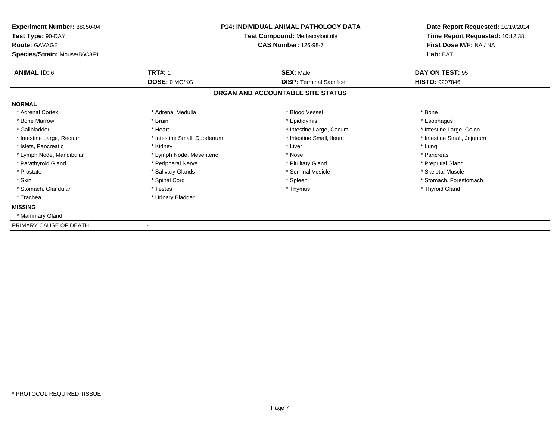| <b>Experiment Number: 88050-04</b><br>Test Type: 90-DAY<br><b>Route: GAVAGE</b><br>Species/Strain: Mouse/B6C3F1 |                             | P14: INDIVIDUAL ANIMAL PATHOLOGY DATA<br><b>Test Compound: Methacrylonitrile</b><br><b>CAS Number: 126-98-7</b> | Date Report Requested: 10/19/2014<br>Time Report Requested: 10:12:38<br>First Dose M/F: NA / NA<br>Lab: BAT |
|-----------------------------------------------------------------------------------------------------------------|-----------------------------|-----------------------------------------------------------------------------------------------------------------|-------------------------------------------------------------------------------------------------------------|
| <b>ANIMAL ID: 6</b>                                                                                             | <b>TRT#: 1</b>              | <b>SEX: Male</b>                                                                                                | DAY ON TEST: 95                                                                                             |
|                                                                                                                 | DOSE: 0 MG/KG               | <b>DISP: Terminal Sacrifice</b>                                                                                 | <b>HISTO: 9207846</b>                                                                                       |
|                                                                                                                 |                             | ORGAN AND ACCOUNTABLE SITE STATUS                                                                               |                                                                                                             |
| <b>NORMAL</b>                                                                                                   |                             |                                                                                                                 |                                                                                                             |
| * Adrenal Cortex                                                                                                | * Adrenal Medulla           | * Blood Vessel                                                                                                  | * Bone                                                                                                      |
| * Bone Marrow                                                                                                   | * Brain                     | * Epididymis                                                                                                    | * Esophagus                                                                                                 |
| * Gallbladder                                                                                                   | * Heart                     | * Intestine Large, Cecum                                                                                        | * Intestine Large, Colon                                                                                    |
| * Intestine Large, Rectum                                                                                       | * Intestine Small, Duodenum | * Intestine Small. Ileum                                                                                        | * Intestine Small, Jejunum                                                                                  |
| * Islets, Pancreatic                                                                                            | * Kidney                    | * Liver                                                                                                         | * Lung                                                                                                      |
| * Lymph Node, Mandibular                                                                                        | * Lymph Node, Mesenteric    | * Nose                                                                                                          | * Pancreas                                                                                                  |
| * Parathyroid Gland                                                                                             | * Peripheral Nerve          | * Pituitary Gland                                                                                               | * Preputial Gland                                                                                           |
| * Prostate                                                                                                      | * Salivary Glands           | * Seminal Vesicle                                                                                               | * Skeletal Muscle                                                                                           |
| * Skin                                                                                                          | * Spinal Cord               | * Spleen                                                                                                        | * Stomach, Forestomach                                                                                      |
| * Stomach, Glandular                                                                                            | * Testes                    | * Thymus                                                                                                        | * Thyroid Gland                                                                                             |
| * Trachea                                                                                                       | * Urinary Bladder           |                                                                                                                 |                                                                                                             |
| <b>MISSING</b>                                                                                                  |                             |                                                                                                                 |                                                                                                             |
| * Mammary Gland                                                                                                 |                             |                                                                                                                 |                                                                                                             |
| PRIMARY CAUSE OF DEATH                                                                                          |                             |                                                                                                                 |                                                                                                             |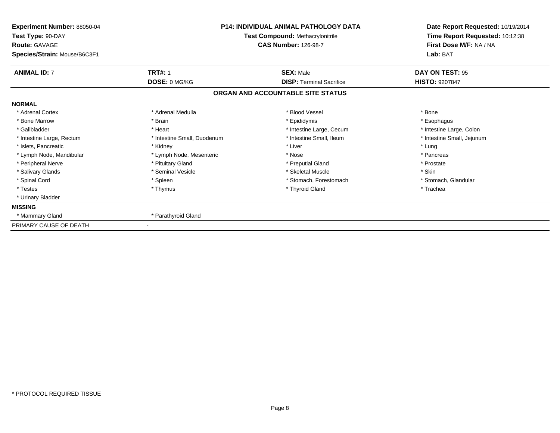| Experiment Number: 88050-04<br>Test Type: 90-DAY<br><b>Route: GAVAGE</b><br>Species/Strain: Mouse/B6C3F1 |                             | <b>P14: INDIVIDUAL ANIMAL PATHOLOGY DATA</b><br>Test Compound: Methacrylonitrile<br><b>CAS Number: 126-98-7</b> | Date Report Requested: 10/19/2014<br>Time Report Requested: 10:12:38<br>First Dose M/F: NA / NA<br>Lab: BAT |
|----------------------------------------------------------------------------------------------------------|-----------------------------|-----------------------------------------------------------------------------------------------------------------|-------------------------------------------------------------------------------------------------------------|
| <b>ANIMAL ID: 7</b>                                                                                      | <b>TRT#: 1</b>              | <b>SEX: Male</b>                                                                                                | DAY ON TEST: 95                                                                                             |
|                                                                                                          | DOSE: 0 MG/KG               | <b>DISP: Terminal Sacrifice</b><br>ORGAN AND ACCOUNTABLE SITE STATUS                                            | <b>HISTO: 9207847</b>                                                                                       |
| <b>NORMAL</b>                                                                                            |                             |                                                                                                                 |                                                                                                             |
| * Adrenal Cortex                                                                                         | * Adrenal Medulla           | * Blood Vessel                                                                                                  | * Bone                                                                                                      |
| * Bone Marrow                                                                                            | * Brain                     | * Epididymis                                                                                                    | * Esophagus                                                                                                 |
| * Gallbladder                                                                                            | * Heart                     | * Intestine Large, Cecum                                                                                        | * Intestine Large, Colon                                                                                    |
| * Intestine Large, Rectum                                                                                | * Intestine Small, Duodenum | * Intestine Small, Ileum                                                                                        | * Intestine Small, Jejunum                                                                                  |
| * Islets, Pancreatic                                                                                     | * Kidney                    | * Liver                                                                                                         | * Lung                                                                                                      |
| * Lymph Node, Mandibular                                                                                 | * Lymph Node, Mesenteric    | * Nose                                                                                                          | * Pancreas                                                                                                  |
| * Peripheral Nerve                                                                                       | * Pituitary Gland           | * Preputial Gland                                                                                               | * Prostate                                                                                                  |
| * Salivary Glands                                                                                        | * Seminal Vesicle           | * Skeletal Muscle                                                                                               | * Skin                                                                                                      |
| * Spinal Cord                                                                                            | * Spleen                    | * Stomach, Forestomach                                                                                          | * Stomach, Glandular                                                                                        |
| * Testes                                                                                                 | * Thymus                    | * Thyroid Gland                                                                                                 | * Trachea                                                                                                   |
| * Urinary Bladder                                                                                        |                             |                                                                                                                 |                                                                                                             |
| <b>MISSING</b>                                                                                           |                             |                                                                                                                 |                                                                                                             |
| * Mammary Gland                                                                                          | * Parathyroid Gland         |                                                                                                                 |                                                                                                             |
| PRIMARY CAUSE OF DEATH                                                                                   |                             |                                                                                                                 |                                                                                                             |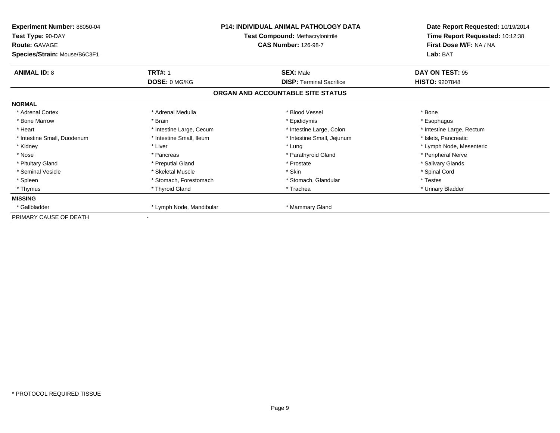| Experiment Number: 88050-04<br>Test Type: 90-DAY<br><b>Route: GAVAGE</b><br>Species/Strain: Mouse/B6C3F1 | <b>P14: INDIVIDUAL ANIMAL PATHOLOGY DATA</b><br><b>Test Compound: Methacrylonitrile</b><br><b>CAS Number: 126-98-7</b> |                                   | Date Report Requested: 10/19/2014<br>Time Report Requested: 10:12:38<br>First Dose M/F: NA / NA<br>Lab: BAT |
|----------------------------------------------------------------------------------------------------------|------------------------------------------------------------------------------------------------------------------------|-----------------------------------|-------------------------------------------------------------------------------------------------------------|
| <b>ANIMAL ID: 8</b>                                                                                      | <b>TRT#: 1</b>                                                                                                         | <b>SEX: Male</b>                  | DAY ON TEST: 95                                                                                             |
|                                                                                                          | DOSE: 0 MG/KG                                                                                                          | <b>DISP: Terminal Sacrifice</b>   | <b>HISTO: 9207848</b>                                                                                       |
|                                                                                                          |                                                                                                                        | ORGAN AND ACCOUNTABLE SITE STATUS |                                                                                                             |
| <b>NORMAL</b>                                                                                            |                                                                                                                        |                                   |                                                                                                             |
| * Adrenal Cortex                                                                                         | * Adrenal Medulla                                                                                                      | * Blood Vessel                    | * Bone                                                                                                      |
| * Bone Marrow                                                                                            | * Brain                                                                                                                | * Epididymis                      | * Esophagus                                                                                                 |
| * Heart                                                                                                  | * Intestine Large, Cecum                                                                                               | * Intestine Large, Colon          | * Intestine Large, Rectum                                                                                   |
| * Intestine Small, Duodenum                                                                              | * Intestine Small, Ileum                                                                                               | * Intestine Small, Jejunum        | * Islets, Pancreatic                                                                                        |
| * Kidney                                                                                                 | * Liver                                                                                                                | * Lung                            | * Lymph Node, Mesenteric                                                                                    |
| * Nose                                                                                                   | * Pancreas                                                                                                             | * Parathyroid Gland               | * Peripheral Nerve                                                                                          |
| * Pituitary Gland                                                                                        | * Preputial Gland                                                                                                      | * Prostate                        | * Salivary Glands                                                                                           |
| * Seminal Vesicle                                                                                        | * Skeletal Muscle                                                                                                      | * Skin                            | * Spinal Cord                                                                                               |
| * Spleen                                                                                                 | * Stomach, Forestomach                                                                                                 | * Stomach, Glandular              | * Testes                                                                                                    |
| * Thymus                                                                                                 | * Thyroid Gland                                                                                                        | * Trachea                         | * Urinary Bladder                                                                                           |
| <b>MISSING</b>                                                                                           |                                                                                                                        |                                   |                                                                                                             |
| * Gallbladder                                                                                            | * Lymph Node, Mandibular                                                                                               | * Mammary Gland                   |                                                                                                             |
| PRIMARY CAUSE OF DEATH                                                                                   |                                                                                                                        |                                   |                                                                                                             |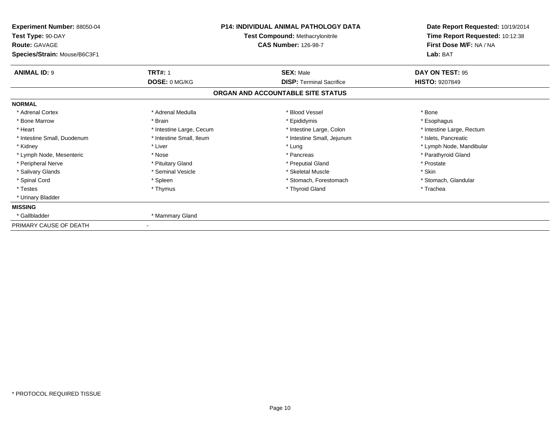| Experiment Number: 88050-04<br>Test Type: 90-DAY<br><b>Route: GAVAGE</b> | <b>P14: INDIVIDUAL ANIMAL PATHOLOGY DATA</b><br>Test Compound: Methacrylonitrile<br><b>CAS Number: 126-98-7</b> |                                   | Date Report Requested: 10/19/2014<br>Time Report Requested: 10:12:38<br>First Dose M/F: NA / NA |
|--------------------------------------------------------------------------|-----------------------------------------------------------------------------------------------------------------|-----------------------------------|-------------------------------------------------------------------------------------------------|
| Species/Strain: Mouse/B6C3F1                                             |                                                                                                                 |                                   | Lab: BAT                                                                                        |
| <b>ANIMAL ID: 9</b>                                                      | <b>TRT#: 1</b>                                                                                                  | <b>SEX: Male</b>                  | DAY ON TEST: 95                                                                                 |
|                                                                          | DOSE: 0 MG/KG                                                                                                   | <b>DISP: Terminal Sacrifice</b>   | <b>HISTO: 9207849</b>                                                                           |
|                                                                          |                                                                                                                 | ORGAN AND ACCOUNTABLE SITE STATUS |                                                                                                 |
| <b>NORMAL</b>                                                            |                                                                                                                 |                                   |                                                                                                 |
| * Adrenal Cortex                                                         | * Adrenal Medulla                                                                                               | * Blood Vessel                    | * Bone                                                                                          |
| * Bone Marrow                                                            | * Brain                                                                                                         | * Epididymis                      | * Esophagus                                                                                     |
| * Heart                                                                  | * Intestine Large, Cecum                                                                                        | * Intestine Large, Colon          | * Intestine Large, Rectum                                                                       |
| * Intestine Small, Duodenum                                              | * Intestine Small, Ileum                                                                                        | * Intestine Small, Jejunum        | * Islets, Pancreatic                                                                            |
| * Kidney                                                                 | * Liver                                                                                                         | * Lung                            | * Lymph Node, Mandibular                                                                        |
| * Lymph Node, Mesenteric                                                 | * Nose                                                                                                          | * Pancreas                        | * Parathyroid Gland                                                                             |
| * Peripheral Nerve                                                       | * Pituitary Gland                                                                                               | * Preputial Gland                 | * Prostate                                                                                      |
| * Salivary Glands                                                        | * Seminal Vesicle                                                                                               | * Skeletal Muscle                 | * Skin                                                                                          |
| * Spinal Cord                                                            | * Spleen                                                                                                        | * Stomach, Forestomach            | * Stomach, Glandular                                                                            |
| * Testes                                                                 | * Thymus                                                                                                        | * Thyroid Gland                   | * Trachea                                                                                       |
| * Urinary Bladder                                                        |                                                                                                                 |                                   |                                                                                                 |
| <b>MISSING</b>                                                           |                                                                                                                 |                                   |                                                                                                 |
| * Gallbladder                                                            | * Mammary Gland                                                                                                 |                                   |                                                                                                 |
| PRIMARY CAUSE OF DEATH                                                   |                                                                                                                 |                                   |                                                                                                 |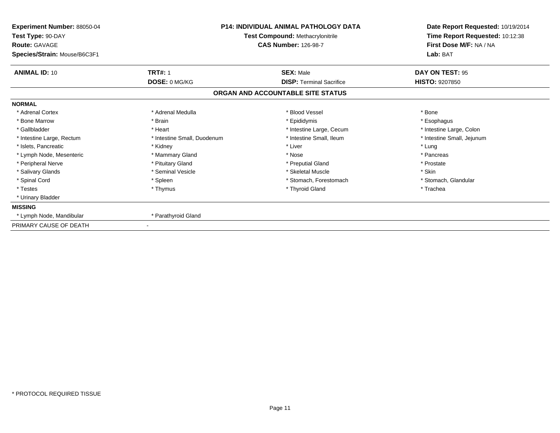| <b>Experiment Number: 88050-04</b><br>Test Type: 90-DAY<br><b>Route: GAVAGE</b><br>Species/Strain: Mouse/B6C3F1 | P14: INDIVIDUAL ANIMAL PATHOLOGY DATA<br><b>Test Compound: Methacrylonitrile</b><br><b>CAS Number: 126-98-7</b> |                                   | Date Report Requested: 10/19/2014<br>Time Report Requested: 10:12:38<br>First Dose M/F: NA / NA<br>Lab: BAT |  |
|-----------------------------------------------------------------------------------------------------------------|-----------------------------------------------------------------------------------------------------------------|-----------------------------------|-------------------------------------------------------------------------------------------------------------|--|
| <b>ANIMAL ID: 10</b>                                                                                            | <b>TRT#: 1</b>                                                                                                  | <b>SEX: Male</b>                  | DAY ON TEST: 95                                                                                             |  |
|                                                                                                                 | DOSE: 0 MG/KG                                                                                                   | <b>DISP: Terminal Sacrifice</b>   | <b>HISTO: 9207850</b>                                                                                       |  |
|                                                                                                                 |                                                                                                                 | ORGAN AND ACCOUNTABLE SITE STATUS |                                                                                                             |  |
| <b>NORMAL</b>                                                                                                   |                                                                                                                 |                                   |                                                                                                             |  |
| * Adrenal Cortex                                                                                                | * Adrenal Medulla                                                                                               | * Blood Vessel                    | * Bone                                                                                                      |  |
| * Bone Marrow                                                                                                   | * Brain                                                                                                         | * Epididymis                      | * Esophagus                                                                                                 |  |
| * Gallbladder                                                                                                   | * Heart                                                                                                         | * Intestine Large, Cecum          | * Intestine Large, Colon                                                                                    |  |
| * Intestine Large, Rectum                                                                                       | * Intestine Small, Duodenum                                                                                     | * Intestine Small, Ileum          | * Intestine Small, Jejunum                                                                                  |  |
| * Islets, Pancreatic                                                                                            | * Kidney                                                                                                        | * Liver                           | * Lung                                                                                                      |  |
| * Lymph Node, Mesenteric                                                                                        | * Mammary Gland                                                                                                 | * Nose                            | * Pancreas                                                                                                  |  |
| * Peripheral Nerve                                                                                              | * Pituitary Gland                                                                                               | * Preputial Gland                 | * Prostate                                                                                                  |  |
| * Salivary Glands                                                                                               | * Seminal Vesicle                                                                                               | * Skeletal Muscle                 | * Skin                                                                                                      |  |
| * Spinal Cord                                                                                                   | * Spleen                                                                                                        | * Stomach. Forestomach            | * Stomach, Glandular                                                                                        |  |
| * Testes                                                                                                        | * Thymus                                                                                                        | * Thyroid Gland                   | * Trachea                                                                                                   |  |
| * Urinary Bladder                                                                                               |                                                                                                                 |                                   |                                                                                                             |  |
| <b>MISSING</b>                                                                                                  |                                                                                                                 |                                   |                                                                                                             |  |
| * Lymph Node, Mandibular                                                                                        | * Parathyroid Gland                                                                                             |                                   |                                                                                                             |  |
| PRIMARY CAUSE OF DEATH                                                                                          |                                                                                                                 |                                   |                                                                                                             |  |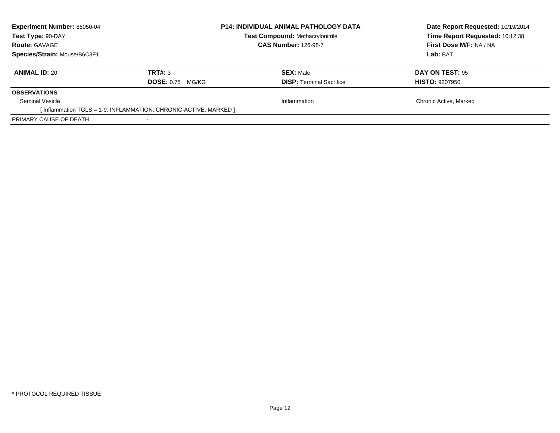| <b>Experiment Number: 88050-04</b><br>Test Type: 90-DAY<br><b>Route: GAVAGE</b> |                                    | <b>P14: INDIVIDUAL ANIMAL PATHOLOGY DATA</b><br>Test Compound: Methacrylonitrile<br><b>CAS Number: 126-98-7</b> | Date Report Requested: 10/19/2014<br>Time Report Requested: 10:12:38<br>First Dose M/F: NA / NA |
|---------------------------------------------------------------------------------|------------------------------------|-----------------------------------------------------------------------------------------------------------------|-------------------------------------------------------------------------------------------------|
| Species/Strain: Mouse/B6C3F1                                                    |                                    |                                                                                                                 | Lab: BAT                                                                                        |
| <b>ANIMAL ID: 20</b>                                                            | TRT#: 3<br><b>DOSE:</b> 0.75 MG/KG | <b>SEX: Male</b><br><b>DISP:</b> Terminal Sacrifice                                                             | DAY ON TEST: 95<br><b>HISTO: 9207950</b>                                                        |
| <b>OBSERVATIONS</b>                                                             |                                    |                                                                                                                 |                                                                                                 |
| Seminal Vesicle                                                                 |                                    | Inflammation                                                                                                    | Chronic Active, Marked                                                                          |
| [Inflammation TGLS = 1-9: INFLAMMATION, CHRONIC-ACTIVE, MARKED ]                |                                    |                                                                                                                 |                                                                                                 |
| PRIMARY CAUSE OF DEATH                                                          |                                    |                                                                                                                 |                                                                                                 |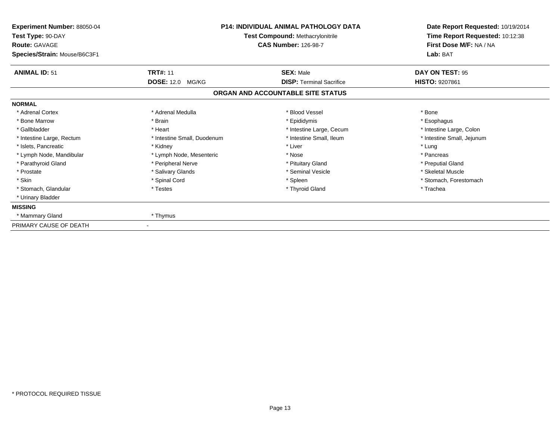| Experiment Number: 88050-04<br>Test Type: 90-DAY<br><b>Route: GAVAGE</b><br>Species/Strain: Mouse/B6C3F1 | <b>P14: INDIVIDUAL ANIMAL PATHOLOGY DATA</b><br>Test Compound: Methacrylonitrile<br><b>CAS Number: 126-98-7</b> |                                   | Date Report Requested: 10/19/2014<br>Time Report Requested: 10:12:38<br>First Dose M/F: NA / NA<br>Lab: BAT |  |
|----------------------------------------------------------------------------------------------------------|-----------------------------------------------------------------------------------------------------------------|-----------------------------------|-------------------------------------------------------------------------------------------------------------|--|
| <b>ANIMAL ID: 51</b>                                                                                     | <b>TRT#: 11</b>                                                                                                 | <b>SEX: Male</b>                  | DAY ON TEST: 95                                                                                             |  |
|                                                                                                          | <b>DOSE: 12.0</b><br>MG/KG                                                                                      | <b>DISP: Terminal Sacrifice</b>   | <b>HISTO: 9207861</b>                                                                                       |  |
|                                                                                                          |                                                                                                                 | ORGAN AND ACCOUNTABLE SITE STATUS |                                                                                                             |  |
| <b>NORMAL</b>                                                                                            |                                                                                                                 |                                   |                                                                                                             |  |
| * Adrenal Cortex                                                                                         | * Adrenal Medulla                                                                                               | * Blood Vessel                    | * Bone                                                                                                      |  |
| * Bone Marrow                                                                                            | * Brain                                                                                                         | * Epididymis                      | * Esophagus                                                                                                 |  |
| * Gallbladder                                                                                            | * Heart                                                                                                         | * Intestine Large, Cecum          | * Intestine Large, Colon                                                                                    |  |
| * Intestine Large, Rectum                                                                                | * Intestine Small, Duodenum                                                                                     | * Intestine Small, Ileum          | * Intestine Small, Jejunum                                                                                  |  |
| * Islets, Pancreatic                                                                                     | * Kidney                                                                                                        | * Liver                           | * Lung                                                                                                      |  |
| * Lymph Node, Mandibular                                                                                 | * Lymph Node, Mesenteric                                                                                        | * Nose                            | * Pancreas                                                                                                  |  |
| * Parathyroid Gland                                                                                      | * Peripheral Nerve                                                                                              | * Pituitary Gland                 | * Preputial Gland                                                                                           |  |
| * Prostate                                                                                               | * Salivary Glands                                                                                               | * Seminal Vesicle                 | * Skeletal Muscle                                                                                           |  |
| * Skin                                                                                                   | * Spinal Cord                                                                                                   | * Spleen                          | * Stomach, Forestomach                                                                                      |  |
| * Stomach, Glandular                                                                                     | * Testes                                                                                                        | * Thyroid Gland                   | * Trachea                                                                                                   |  |
| * Urinary Bladder                                                                                        |                                                                                                                 |                                   |                                                                                                             |  |
| <b>MISSING</b>                                                                                           |                                                                                                                 |                                   |                                                                                                             |  |
| * Mammary Gland                                                                                          | * Thymus                                                                                                        |                                   |                                                                                                             |  |
| PRIMARY CAUSE OF DEATH                                                                                   |                                                                                                                 |                                   |                                                                                                             |  |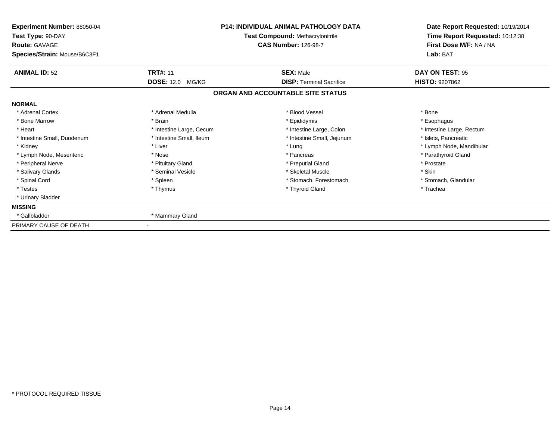| <b>Experiment Number: 88050-04</b><br>Test Type: 90-DAY<br><b>Route: GAVAGE</b><br>Species/Strain: Mouse/B6C3F1 | <b>P14: INDIVIDUAL ANIMAL PATHOLOGY DATA</b><br><b>Test Compound: Methacrylonitrile</b><br><b>CAS Number: 126-98-7</b> |                                   | Date Report Requested: 10/19/2014<br>Time Report Requested: 10:12:38<br>First Dose M/F: NA / NA<br>Lab: BAT |  |
|-----------------------------------------------------------------------------------------------------------------|------------------------------------------------------------------------------------------------------------------------|-----------------------------------|-------------------------------------------------------------------------------------------------------------|--|
| <b>ANIMAL ID: 52</b>                                                                                            | <b>TRT#: 11</b>                                                                                                        | <b>SEX: Male</b>                  | DAY ON TEST: 95                                                                                             |  |
|                                                                                                                 | <b>DOSE: 12.0 MG/KG</b>                                                                                                | <b>DISP: Terminal Sacrifice</b>   | <b>HISTO: 9207862</b>                                                                                       |  |
|                                                                                                                 |                                                                                                                        | ORGAN AND ACCOUNTABLE SITE STATUS |                                                                                                             |  |
| <b>NORMAL</b>                                                                                                   |                                                                                                                        |                                   |                                                                                                             |  |
| * Adrenal Cortex                                                                                                | * Adrenal Medulla                                                                                                      | * Blood Vessel                    | * Bone                                                                                                      |  |
| * Bone Marrow                                                                                                   | * Brain                                                                                                                | * Epididymis                      | * Esophagus                                                                                                 |  |
| * Heart                                                                                                         | * Intestine Large, Cecum                                                                                               | * Intestine Large, Colon          | * Intestine Large, Rectum                                                                                   |  |
| * Intestine Small, Duodenum                                                                                     | * Intestine Small. Ileum                                                                                               | * Intestine Small, Jejunum        | * Islets, Pancreatic                                                                                        |  |
| * Kidney                                                                                                        | * Liver                                                                                                                | * Lung                            | * Lymph Node, Mandibular                                                                                    |  |
| * Lymph Node, Mesenteric                                                                                        | * Nose                                                                                                                 | * Pancreas                        | * Parathyroid Gland                                                                                         |  |
| * Peripheral Nerve                                                                                              | * Pituitary Gland                                                                                                      | * Preputial Gland                 | * Prostate                                                                                                  |  |
| * Salivary Glands                                                                                               | * Seminal Vesicle                                                                                                      | * Skeletal Muscle                 | * Skin                                                                                                      |  |
| * Spinal Cord                                                                                                   | * Spleen                                                                                                               | * Stomach, Forestomach            | * Stomach, Glandular                                                                                        |  |
| * Testes                                                                                                        | * Thymus                                                                                                               | * Thyroid Gland                   | * Trachea                                                                                                   |  |
| * Urinary Bladder                                                                                               |                                                                                                                        |                                   |                                                                                                             |  |
| <b>MISSING</b>                                                                                                  |                                                                                                                        |                                   |                                                                                                             |  |
| * Gallbladder                                                                                                   | * Mammary Gland                                                                                                        |                                   |                                                                                                             |  |
| PRIMARY CAUSE OF DEATH                                                                                          |                                                                                                                        |                                   |                                                                                                             |  |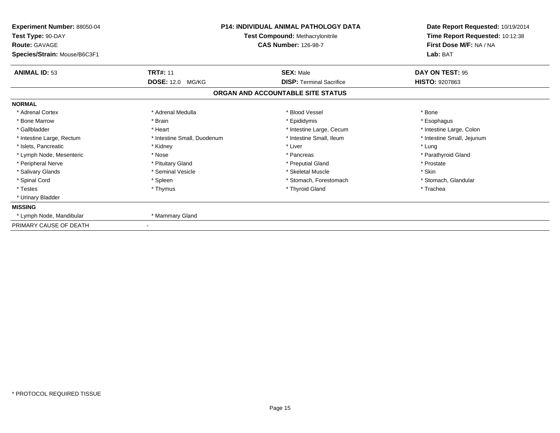| Experiment Number: 88050-04<br>Test Type: 90-DAY<br><b>Route: GAVAGE</b><br>Species/Strain: Mouse/B6C3F1 |                             | <b>P14: INDIVIDUAL ANIMAL PATHOLOGY DATA</b><br>Test Compound: Methacrylonitrile<br><b>CAS Number: 126-98-7</b> | Date Report Requested: 10/19/2014<br>Time Report Requested: 10:12:38<br>First Dose M/F: NA / NA<br>Lab: BAT |
|----------------------------------------------------------------------------------------------------------|-----------------------------|-----------------------------------------------------------------------------------------------------------------|-------------------------------------------------------------------------------------------------------------|
| <b>ANIMAL ID: 53</b>                                                                                     | <b>TRT#: 11</b>             | <b>SEX: Male</b>                                                                                                | DAY ON TEST: 95                                                                                             |
|                                                                                                          | <b>DOSE: 12.0</b><br>MG/KG  | <b>DISP: Terminal Sacrifice</b><br>ORGAN AND ACCOUNTABLE SITE STATUS                                            | <b>HISTO: 9207863</b>                                                                                       |
| <b>NORMAL</b>                                                                                            |                             |                                                                                                                 |                                                                                                             |
| * Adrenal Cortex                                                                                         | * Adrenal Medulla           | * Blood Vessel                                                                                                  | * Bone                                                                                                      |
| * Bone Marrow                                                                                            | * Brain                     | * Epididymis                                                                                                    | * Esophagus                                                                                                 |
| * Gallbladder                                                                                            | * Heart                     | * Intestine Large, Cecum                                                                                        | * Intestine Large, Colon                                                                                    |
| * Intestine Large, Rectum                                                                                | * Intestine Small, Duodenum | * Intestine Small. Ileum                                                                                        | * Intestine Small, Jejunum                                                                                  |
| * Islets, Pancreatic                                                                                     | * Kidney                    | * Liver                                                                                                         | * Lung                                                                                                      |
| * Lymph Node, Mesenteric                                                                                 | * Nose                      | * Pancreas                                                                                                      | * Parathyroid Gland                                                                                         |
| * Peripheral Nerve                                                                                       | * Pituitary Gland           | * Preputial Gland                                                                                               | * Prostate                                                                                                  |
| * Salivary Glands                                                                                        | * Seminal Vesicle           | * Skeletal Muscle                                                                                               | * Skin                                                                                                      |
| * Spinal Cord                                                                                            | * Spleen                    | * Stomach, Forestomach                                                                                          | * Stomach, Glandular                                                                                        |
| * Testes                                                                                                 | * Thymus                    | * Thyroid Gland                                                                                                 | * Trachea                                                                                                   |
| * Urinary Bladder                                                                                        |                             |                                                                                                                 |                                                                                                             |
| <b>MISSING</b>                                                                                           |                             |                                                                                                                 |                                                                                                             |
| * Lymph Node, Mandibular                                                                                 | * Mammary Gland             |                                                                                                                 |                                                                                                             |
| PRIMARY CAUSE OF DEATH                                                                                   |                             |                                                                                                                 |                                                                                                             |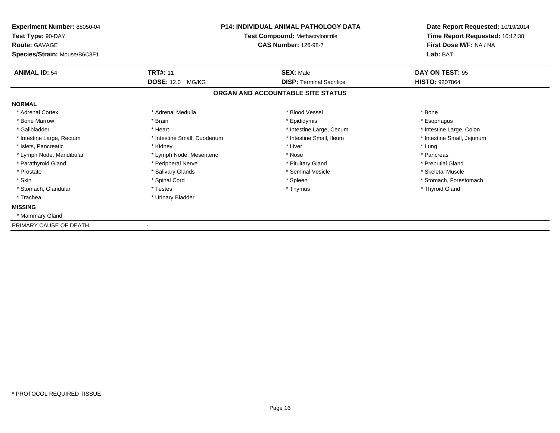| <b>Experiment Number: 88050-04</b><br>Test Type: 90-DAY<br><b>Route: GAVAGE</b><br>Species/Strain: Mouse/B6C3F1 |                             | P14: INDIVIDUAL ANIMAL PATHOLOGY DATA<br><b>Test Compound: Methacrylonitrile</b><br><b>CAS Number: 126-98-7</b> | Date Report Requested: 10/19/2014<br>Time Report Requested: 10:12:38<br>First Dose M/F: NA / NA<br>Lab: BAT |
|-----------------------------------------------------------------------------------------------------------------|-----------------------------|-----------------------------------------------------------------------------------------------------------------|-------------------------------------------------------------------------------------------------------------|
| <b>ANIMAL ID: 54</b>                                                                                            | <b>TRT#: 11</b>             | <b>SEX: Male</b>                                                                                                | DAY ON TEST: 95                                                                                             |
|                                                                                                                 | <b>DOSE: 12.0 MG/KG</b>     | <b>DISP: Terminal Sacrifice</b>                                                                                 | <b>HISTO: 9207864</b>                                                                                       |
|                                                                                                                 |                             | ORGAN AND ACCOUNTABLE SITE STATUS                                                                               |                                                                                                             |
| <b>NORMAL</b>                                                                                                   |                             |                                                                                                                 |                                                                                                             |
| * Adrenal Cortex                                                                                                | * Adrenal Medulla           | * Blood Vessel                                                                                                  | * Bone                                                                                                      |
| * Bone Marrow                                                                                                   | * Brain                     | * Epididymis                                                                                                    | * Esophagus                                                                                                 |
| * Gallbladder                                                                                                   | * Heart                     | * Intestine Large, Cecum                                                                                        | * Intestine Large, Colon                                                                                    |
| * Intestine Large, Rectum                                                                                       | * Intestine Small, Duodenum | * Intestine Small. Ileum                                                                                        | * Intestine Small, Jejunum                                                                                  |
| * Islets, Pancreatic                                                                                            | * Kidney                    | * Liver                                                                                                         | * Lung                                                                                                      |
| * Lymph Node, Mandibular                                                                                        | * Lymph Node, Mesenteric    | * Nose                                                                                                          | * Pancreas                                                                                                  |
| * Parathyroid Gland                                                                                             | * Peripheral Nerve          | * Pituitary Gland                                                                                               | * Preputial Gland                                                                                           |
| * Prostate                                                                                                      | * Salivary Glands           | * Seminal Vesicle                                                                                               | * Skeletal Muscle                                                                                           |
| * Skin                                                                                                          | * Spinal Cord               | * Spleen                                                                                                        | * Stomach, Forestomach                                                                                      |
| * Stomach, Glandular                                                                                            | * Testes                    | * Thymus                                                                                                        | * Thyroid Gland                                                                                             |
| * Trachea                                                                                                       | * Urinary Bladder           |                                                                                                                 |                                                                                                             |
| <b>MISSING</b>                                                                                                  |                             |                                                                                                                 |                                                                                                             |
| * Mammary Gland                                                                                                 |                             |                                                                                                                 |                                                                                                             |
| PRIMARY CAUSE OF DEATH                                                                                          |                             |                                                                                                                 |                                                                                                             |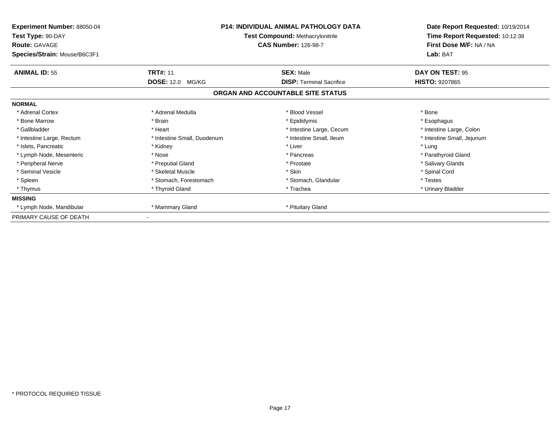| Experiment Number: 88050-04<br>Test Type: 90-DAY<br><b>Route: GAVAGE</b><br>Species/Strain: Mouse/B6C3F1 | <b>P14: INDIVIDUAL ANIMAL PATHOLOGY DATA</b><br><b>Test Compound: Methacrylonitrile</b><br><b>CAS Number: 126-98-7</b> |                                   | Date Report Requested: 10/19/2014<br>Time Report Requested: 10:12:38<br>First Dose M/F: NA / NA<br>Lab: BAT |  |
|----------------------------------------------------------------------------------------------------------|------------------------------------------------------------------------------------------------------------------------|-----------------------------------|-------------------------------------------------------------------------------------------------------------|--|
| <b>ANIMAL ID: 55</b>                                                                                     | <b>TRT#: 11</b>                                                                                                        | <b>SEX: Male</b>                  | DAY ON TEST: 95                                                                                             |  |
|                                                                                                          | <b>DOSE: 12.0</b><br>MG/KG                                                                                             | <b>DISP: Terminal Sacrifice</b>   | <b>HISTO: 9207865</b>                                                                                       |  |
|                                                                                                          |                                                                                                                        | ORGAN AND ACCOUNTABLE SITE STATUS |                                                                                                             |  |
| <b>NORMAL</b>                                                                                            |                                                                                                                        |                                   |                                                                                                             |  |
| * Adrenal Cortex                                                                                         | * Adrenal Medulla                                                                                                      | * Blood Vessel                    | * Bone                                                                                                      |  |
| * Bone Marrow                                                                                            | * Brain                                                                                                                | * Epididymis                      | * Esophagus                                                                                                 |  |
| * Gallbladder                                                                                            | * Heart                                                                                                                | * Intestine Large, Cecum          | * Intestine Large, Colon                                                                                    |  |
| * Intestine Large, Rectum                                                                                | * Intestine Small, Duodenum                                                                                            | * Intestine Small, Ileum          | * Intestine Small, Jejunum                                                                                  |  |
| * Islets. Pancreatic                                                                                     | * Kidney                                                                                                               | * Liver                           | * Lung                                                                                                      |  |
| * Lymph Node, Mesenteric                                                                                 | * Nose                                                                                                                 | * Pancreas                        | * Parathyroid Gland                                                                                         |  |
| * Peripheral Nerve                                                                                       | * Preputial Gland                                                                                                      | * Prostate                        | * Salivary Glands                                                                                           |  |
| * Seminal Vesicle                                                                                        | * Skeletal Muscle                                                                                                      | * Skin                            | * Spinal Cord                                                                                               |  |
| * Spleen                                                                                                 | * Stomach, Forestomach                                                                                                 | * Stomach, Glandular              | * Testes                                                                                                    |  |
| * Thymus                                                                                                 | * Thyroid Gland                                                                                                        | * Trachea                         | * Urinary Bladder                                                                                           |  |
| <b>MISSING</b>                                                                                           |                                                                                                                        |                                   |                                                                                                             |  |
| * Lymph Node, Mandibular                                                                                 | * Mammary Gland                                                                                                        | * Pituitary Gland                 |                                                                                                             |  |
| PRIMARY CAUSE OF DEATH                                                                                   |                                                                                                                        |                                   |                                                                                                             |  |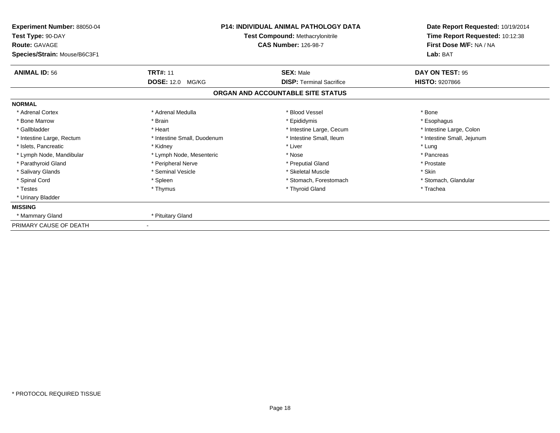| Experiment Number: 88050-04<br>Test Type: 90-DAY<br><b>Route: GAVAGE</b><br>Species/Strain: Mouse/B6C3F1 |                                            | <b>P14: INDIVIDUAL ANIMAL PATHOLOGY DATA</b><br>Test Compound: Methacrylonitrile<br><b>CAS Number: 126-98-7</b> | Date Report Requested: 10/19/2014<br>Time Report Requested: 10:12:38<br>First Dose M/F: NA / NA<br>Lab: BAT |
|----------------------------------------------------------------------------------------------------------|--------------------------------------------|-----------------------------------------------------------------------------------------------------------------|-------------------------------------------------------------------------------------------------------------|
| <b>ANIMAL ID: 56</b>                                                                                     | <b>TRT#: 11</b><br><b>DOSE: 12.0 MG/KG</b> | <b>SEX: Male</b><br><b>DISP: Terminal Sacrifice</b>                                                             | DAY ON TEST: 95<br><b>HISTO: 9207866</b>                                                                    |
|                                                                                                          |                                            | ORGAN AND ACCOUNTABLE SITE STATUS                                                                               |                                                                                                             |
| <b>NORMAL</b>                                                                                            |                                            |                                                                                                                 |                                                                                                             |
| * Adrenal Cortex                                                                                         | * Adrenal Medulla                          | * Blood Vessel                                                                                                  | * Bone                                                                                                      |
| * Bone Marrow                                                                                            | * Brain                                    | * Epididymis                                                                                                    | * Esophagus                                                                                                 |
| * Gallbladder                                                                                            | * Heart                                    | * Intestine Large, Cecum                                                                                        | * Intestine Large, Colon                                                                                    |
| * Intestine Large, Rectum                                                                                | * Intestine Small, Duodenum                | * Intestine Small, Ileum                                                                                        | * Intestine Small, Jejunum                                                                                  |
| * Islets, Pancreatic                                                                                     | * Kidney                                   | * Liver                                                                                                         | * Lung                                                                                                      |
| * Lymph Node, Mandibular                                                                                 | * Lymph Node, Mesenteric                   | * Nose                                                                                                          | * Pancreas                                                                                                  |
| * Parathyroid Gland                                                                                      | * Peripheral Nerve                         | * Preputial Gland                                                                                               | * Prostate                                                                                                  |
| * Salivary Glands                                                                                        | * Seminal Vesicle                          | * Skeletal Muscle                                                                                               | * Skin                                                                                                      |
| * Spinal Cord                                                                                            | * Spleen                                   | * Stomach, Forestomach                                                                                          | * Stomach, Glandular                                                                                        |
| * Testes                                                                                                 | * Thymus                                   | * Thyroid Gland                                                                                                 | * Trachea                                                                                                   |
| * Urinary Bladder                                                                                        |                                            |                                                                                                                 |                                                                                                             |
| <b>MISSING</b>                                                                                           |                                            |                                                                                                                 |                                                                                                             |
| * Mammary Gland                                                                                          | * Pituitary Gland                          |                                                                                                                 |                                                                                                             |
| PRIMARY CAUSE OF DEATH                                                                                   |                                            |                                                                                                                 |                                                                                                             |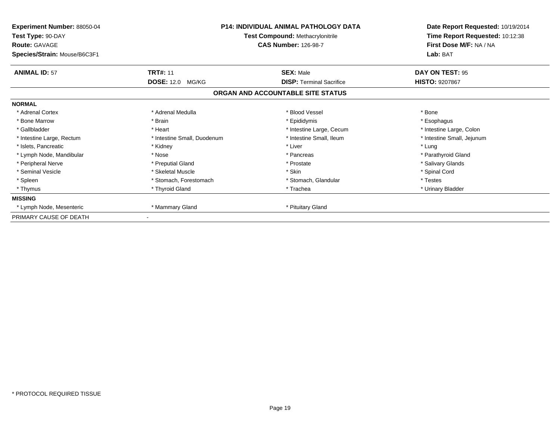| Experiment Number: 88050-04<br>Test Type: 90-DAY<br><b>Route: GAVAGE</b><br>Species/Strain: Mouse/B6C3F1 | <b>Test Compound: Methacrylonitrile</b><br><b>CAS Number: 126-98-7</b> |                                   | <b>P14: INDIVIDUAL ANIMAL PATHOLOGY DATA</b> |  | Date Report Requested: 10/19/2014<br>Time Report Requested: 10:12:38<br>First Dose M/F: NA / NA<br>Lab: BAT |
|----------------------------------------------------------------------------------------------------------|------------------------------------------------------------------------|-----------------------------------|----------------------------------------------|--|-------------------------------------------------------------------------------------------------------------|
| <b>ANIMAL ID: 57</b>                                                                                     | <b>TRT#: 11</b>                                                        | <b>SEX: Male</b>                  | DAY ON TEST: 95                              |  |                                                                                                             |
|                                                                                                          | <b>DOSE: 12.0</b><br>MG/KG                                             | <b>DISP: Terminal Sacrifice</b>   | <b>HISTO: 9207867</b>                        |  |                                                                                                             |
|                                                                                                          |                                                                        | ORGAN AND ACCOUNTABLE SITE STATUS |                                              |  |                                                                                                             |
| <b>NORMAL</b>                                                                                            |                                                                        |                                   |                                              |  |                                                                                                             |
| * Adrenal Cortex                                                                                         | * Adrenal Medulla                                                      | * Blood Vessel                    | * Bone                                       |  |                                                                                                             |
| * Bone Marrow                                                                                            | * Brain                                                                | * Epididymis                      | * Esophagus                                  |  |                                                                                                             |
| * Gallbladder                                                                                            | * Heart                                                                | * Intestine Large, Cecum          | * Intestine Large, Colon                     |  |                                                                                                             |
| * Intestine Large, Rectum                                                                                | * Intestine Small, Duodenum                                            | * Intestine Small, Ileum          | * Intestine Small, Jejunum                   |  |                                                                                                             |
| * Islets. Pancreatic                                                                                     | * Kidney                                                               | * Liver                           | * Lung                                       |  |                                                                                                             |
| * Lymph Node, Mandibular                                                                                 | * Nose                                                                 | * Pancreas                        | * Parathyroid Gland                          |  |                                                                                                             |
| * Peripheral Nerve                                                                                       | * Preputial Gland                                                      | * Prostate                        | * Salivary Glands                            |  |                                                                                                             |
| * Seminal Vesicle                                                                                        | * Skeletal Muscle                                                      | * Skin                            | * Spinal Cord                                |  |                                                                                                             |
| * Spleen                                                                                                 | * Stomach, Forestomach                                                 | * Stomach, Glandular              | * Testes                                     |  |                                                                                                             |
| * Thymus                                                                                                 | * Thyroid Gland                                                        | * Trachea                         | * Urinary Bladder                            |  |                                                                                                             |
| <b>MISSING</b>                                                                                           |                                                                        |                                   |                                              |  |                                                                                                             |
| * Lymph Node, Mesenteric                                                                                 | * Mammary Gland                                                        | * Pituitary Gland                 |                                              |  |                                                                                                             |
| PRIMARY CAUSE OF DEATH                                                                                   |                                                                        |                                   |                                              |  |                                                                                                             |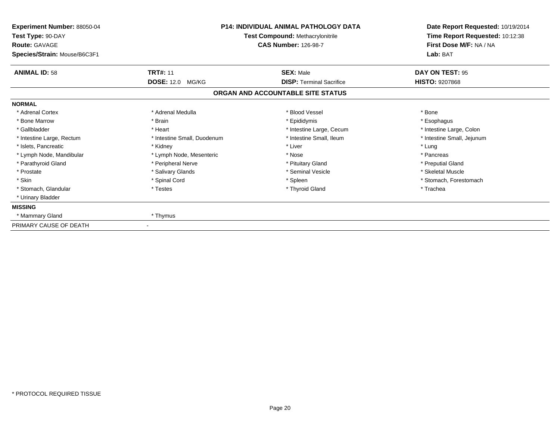| Experiment Number: 88050-04<br>Test Type: 90-DAY<br><b>Route: GAVAGE</b><br>Species/Strain: Mouse/B6C3F1 | <b>P14: INDIVIDUAL ANIMAL PATHOLOGY DATA</b><br><b>Test Compound: Methacrylonitrile</b><br><b>CAS Number: 126-98-7</b> |                                   | Date Report Requested: 10/19/2014<br>Time Report Requested: 10:12:38<br>First Dose M/F: NA / NA<br>Lab: BAT |
|----------------------------------------------------------------------------------------------------------|------------------------------------------------------------------------------------------------------------------------|-----------------------------------|-------------------------------------------------------------------------------------------------------------|
| <b>ANIMAL ID: 58</b>                                                                                     | <b>TRT#: 11</b>                                                                                                        | <b>SEX: Male</b>                  | DAY ON TEST: 95                                                                                             |
|                                                                                                          | DOSE: 12.0 MG/KG                                                                                                       | <b>DISP: Terminal Sacrifice</b>   | <b>HISTO: 9207868</b>                                                                                       |
|                                                                                                          |                                                                                                                        | ORGAN AND ACCOUNTABLE SITE STATUS |                                                                                                             |
| <b>NORMAL</b>                                                                                            |                                                                                                                        |                                   |                                                                                                             |
| * Adrenal Cortex                                                                                         | * Adrenal Medulla                                                                                                      | * Blood Vessel                    | * Bone                                                                                                      |
| * Bone Marrow                                                                                            | * Brain                                                                                                                | * Epididymis                      | * Esophagus                                                                                                 |
| * Gallbladder                                                                                            | * Heart                                                                                                                | * Intestine Large, Cecum          | * Intestine Large, Colon                                                                                    |
| * Intestine Large, Rectum                                                                                | * Intestine Small, Duodenum                                                                                            | * Intestine Small, Ileum          | * Intestine Small, Jejunum                                                                                  |
| * Islets, Pancreatic                                                                                     | * Kidney                                                                                                               | * Liver                           | * Lung                                                                                                      |
| * Lymph Node, Mandibular                                                                                 | * Lymph Node, Mesenteric                                                                                               | * Nose                            | * Pancreas                                                                                                  |
| * Parathyroid Gland                                                                                      | * Peripheral Nerve                                                                                                     | * Pituitary Gland                 | * Preputial Gland                                                                                           |
| * Prostate                                                                                               | * Salivary Glands                                                                                                      | * Seminal Vesicle                 | * Skeletal Muscle                                                                                           |
| * Skin                                                                                                   | * Spinal Cord                                                                                                          | * Spleen                          | * Stomach, Forestomach                                                                                      |
| * Stomach, Glandular                                                                                     | * Testes                                                                                                               | * Thyroid Gland                   | * Trachea                                                                                                   |
| * Urinary Bladder                                                                                        |                                                                                                                        |                                   |                                                                                                             |
| <b>MISSING</b>                                                                                           |                                                                                                                        |                                   |                                                                                                             |
| * Mammary Gland                                                                                          | * Thymus                                                                                                               |                                   |                                                                                                             |
| PRIMARY CAUSE OF DEATH                                                                                   |                                                                                                                        |                                   |                                                                                                             |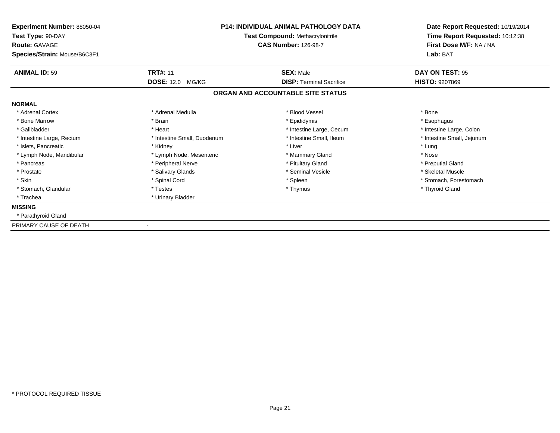| <b>Experiment Number: 88050-04</b><br>Test Type: 90-DAY<br><b>Route: GAVAGE</b><br>Species/Strain: Mouse/B6C3F1 | <b>P14: INDIVIDUAL ANIMAL PATHOLOGY DATA</b><br><b>Test Compound: Methacrylonitrile</b><br><b>CAS Number: 126-98-7</b> |                                                                      | Date Report Requested: 10/19/2014<br>Time Report Requested: 10:12:38<br>First Dose M/F: NA / NA<br>Lab: BAT |
|-----------------------------------------------------------------------------------------------------------------|------------------------------------------------------------------------------------------------------------------------|----------------------------------------------------------------------|-------------------------------------------------------------------------------------------------------------|
| <b>ANIMAL ID: 59</b>                                                                                            | <b>TRT#: 11</b>                                                                                                        | <b>SEX: Male</b>                                                     | DAY ON TEST: 95                                                                                             |
|                                                                                                                 | <b>DOSE: 12.0 MG/KG</b>                                                                                                | <b>DISP: Terminal Sacrifice</b><br>ORGAN AND ACCOUNTABLE SITE STATUS | <b>HISTO: 9207869</b>                                                                                       |
| <b>NORMAL</b>                                                                                                   |                                                                                                                        |                                                                      |                                                                                                             |
| * Adrenal Cortex                                                                                                | * Adrenal Medulla                                                                                                      | * Blood Vessel                                                       | * Bone                                                                                                      |
| * Bone Marrow                                                                                                   | * Brain                                                                                                                | * Epididymis                                                         | * Esophagus                                                                                                 |
| * Gallbladder                                                                                                   | * Heart                                                                                                                | * Intestine Large, Cecum                                             | * Intestine Large, Colon                                                                                    |
| * Intestine Large, Rectum                                                                                       | * Intestine Small, Duodenum                                                                                            | * Intestine Small, Ileum                                             | * Intestine Small, Jejunum                                                                                  |
| * Islets, Pancreatic                                                                                            | * Kidney                                                                                                               | * Liver                                                              | * Lung                                                                                                      |
| * Lymph Node, Mandibular                                                                                        | * Lymph Node, Mesenteric                                                                                               | * Mammary Gland                                                      | * Nose                                                                                                      |
| * Pancreas                                                                                                      | * Peripheral Nerve                                                                                                     | * Pituitary Gland                                                    | * Preputial Gland                                                                                           |
| * Prostate                                                                                                      | * Salivary Glands                                                                                                      | * Seminal Vesicle                                                    | * Skeletal Muscle                                                                                           |
| * Skin                                                                                                          | * Spinal Cord                                                                                                          | * Spleen                                                             | * Stomach, Forestomach                                                                                      |
| * Stomach, Glandular                                                                                            | * Testes                                                                                                               | * Thymus                                                             | * Thyroid Gland                                                                                             |
| * Trachea                                                                                                       | * Urinary Bladder                                                                                                      |                                                                      |                                                                                                             |
| <b>MISSING</b>                                                                                                  |                                                                                                                        |                                                                      |                                                                                                             |
| * Parathyroid Gland                                                                                             |                                                                                                                        |                                                                      |                                                                                                             |
| PRIMARY CAUSE OF DEATH                                                                                          |                                                                                                                        |                                                                      |                                                                                                             |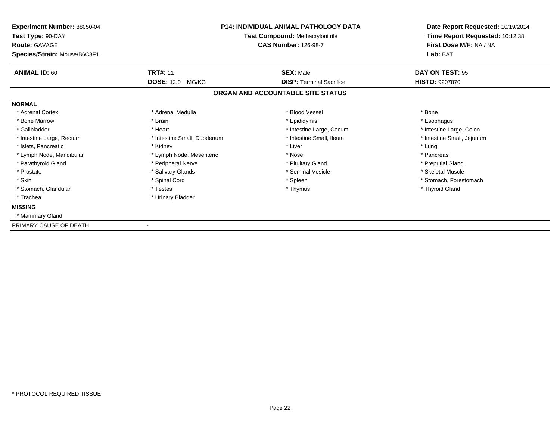| <b>Experiment Number: 88050-04</b><br>Test Type: 90-DAY<br><b>Route: GAVAGE</b><br>Species/Strain: Mouse/B6C3F1 | P14: INDIVIDUAL ANIMAL PATHOLOGY DATA<br><b>Test Compound: Methacrylonitrile</b><br><b>CAS Number: 126-98-7</b> |                                   | Date Report Requested: 10/19/2014<br>Time Report Requested: 10:12:38<br>First Dose M/F: NA / NA<br>Lab: BAT |
|-----------------------------------------------------------------------------------------------------------------|-----------------------------------------------------------------------------------------------------------------|-----------------------------------|-------------------------------------------------------------------------------------------------------------|
| <b>ANIMAL ID: 60</b>                                                                                            | <b>TRT#: 11</b>                                                                                                 | <b>SEX: Male</b>                  | DAY ON TEST: 95                                                                                             |
|                                                                                                                 | <b>DOSE: 12.0 MG/KG</b>                                                                                         | <b>DISP: Terminal Sacrifice</b>   | <b>HISTO: 9207870</b>                                                                                       |
|                                                                                                                 |                                                                                                                 | ORGAN AND ACCOUNTABLE SITE STATUS |                                                                                                             |
| <b>NORMAL</b>                                                                                                   |                                                                                                                 |                                   |                                                                                                             |
| * Adrenal Cortex                                                                                                | * Adrenal Medulla                                                                                               | * Blood Vessel                    | * Bone                                                                                                      |
| * Bone Marrow                                                                                                   | * Brain                                                                                                         | * Epididymis                      | * Esophagus                                                                                                 |
| * Gallbladder                                                                                                   | * Heart                                                                                                         | * Intestine Large, Cecum          | * Intestine Large, Colon                                                                                    |
| * Intestine Large, Rectum                                                                                       | * Intestine Small, Duodenum                                                                                     | * Intestine Small. Ileum          | * Intestine Small, Jejunum                                                                                  |
| * Islets, Pancreatic                                                                                            | * Kidney                                                                                                        | * Liver                           | * Lung                                                                                                      |
| * Lymph Node, Mandibular                                                                                        | * Lymph Node, Mesenteric                                                                                        | * Nose                            | * Pancreas                                                                                                  |
| * Parathyroid Gland                                                                                             | * Peripheral Nerve                                                                                              | * Pituitary Gland                 | * Preputial Gland                                                                                           |
| * Prostate                                                                                                      | * Salivary Glands                                                                                               | * Seminal Vesicle                 | * Skeletal Muscle                                                                                           |
| * Skin                                                                                                          | * Spinal Cord                                                                                                   | * Spleen                          | * Stomach, Forestomach                                                                                      |
| * Stomach, Glandular                                                                                            | * Testes                                                                                                        | * Thymus                          | * Thyroid Gland                                                                                             |
| * Trachea                                                                                                       | * Urinary Bladder                                                                                               |                                   |                                                                                                             |
| <b>MISSING</b>                                                                                                  |                                                                                                                 |                                   |                                                                                                             |
| * Mammary Gland                                                                                                 |                                                                                                                 |                                   |                                                                                                             |
| PRIMARY CAUSE OF DEATH                                                                                          |                                                                                                                 |                                   |                                                                                                             |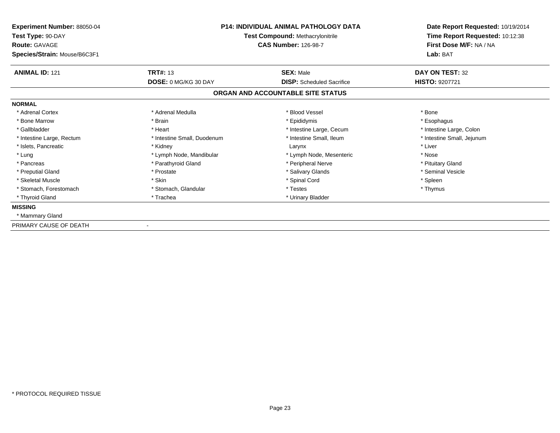| Experiment Number: 88050-04<br>Test Type: 90-DAY<br><b>Route: GAVAGE</b><br>Species/Strain: Mouse/B6C3F1 | <b>P14: INDIVIDUAL ANIMAL PATHOLOGY DATA</b><br><b>Test Compound: Methacrylonitrile</b><br><b>CAS Number: 126-98-7</b> |                                   | Date Report Requested: 10/19/2014<br>Time Report Requested: 10:12:38<br>First Dose M/F: NA / NA<br>Lab: BAT |
|----------------------------------------------------------------------------------------------------------|------------------------------------------------------------------------------------------------------------------------|-----------------------------------|-------------------------------------------------------------------------------------------------------------|
| <b>ANIMAL ID: 121</b>                                                                                    | <b>TRT#: 13</b>                                                                                                        | <b>SEX: Male</b>                  | DAY ON TEST: 32                                                                                             |
|                                                                                                          | <b>DOSE: 0 MG/KG 30 DAY</b>                                                                                            | <b>DISP:</b> Scheduled Sacrifice  | HISTO: 9207721                                                                                              |
|                                                                                                          |                                                                                                                        | ORGAN AND ACCOUNTABLE SITE STATUS |                                                                                                             |
| <b>NORMAL</b>                                                                                            |                                                                                                                        |                                   |                                                                                                             |
| * Adrenal Cortex                                                                                         | * Adrenal Medulla                                                                                                      | * Blood Vessel                    | * Bone                                                                                                      |
| * Bone Marrow                                                                                            | * Brain                                                                                                                | * Epididymis                      | * Esophagus                                                                                                 |
| * Gallbladder                                                                                            | * Heart                                                                                                                | * Intestine Large, Cecum          | * Intestine Large, Colon                                                                                    |
| * Intestine Large, Rectum                                                                                | * Intestine Small, Duodenum                                                                                            | * Intestine Small, Ileum          | * Intestine Small, Jejunum                                                                                  |
| * Islets, Pancreatic                                                                                     | * Kidney                                                                                                               | Larynx                            | * Liver                                                                                                     |
| * Lung                                                                                                   | * Lymph Node, Mandibular                                                                                               | * Lymph Node, Mesenteric          | * Nose                                                                                                      |
| * Pancreas                                                                                               | * Parathyroid Gland                                                                                                    | * Peripheral Nerve                | * Pituitary Gland                                                                                           |
| * Preputial Gland                                                                                        | * Prostate                                                                                                             | * Salivary Glands                 | * Seminal Vesicle                                                                                           |
| * Skeletal Muscle                                                                                        | * Skin                                                                                                                 | * Spinal Cord                     | * Spleen                                                                                                    |
| * Stomach, Forestomach                                                                                   | * Stomach, Glandular                                                                                                   | * Testes                          | * Thymus                                                                                                    |
| * Thyroid Gland                                                                                          | * Trachea                                                                                                              | * Urinary Bladder                 |                                                                                                             |
| <b>MISSING</b>                                                                                           |                                                                                                                        |                                   |                                                                                                             |
| * Mammary Gland                                                                                          |                                                                                                                        |                                   |                                                                                                             |
| PRIMARY CAUSE OF DEATH                                                                                   |                                                                                                                        |                                   |                                                                                                             |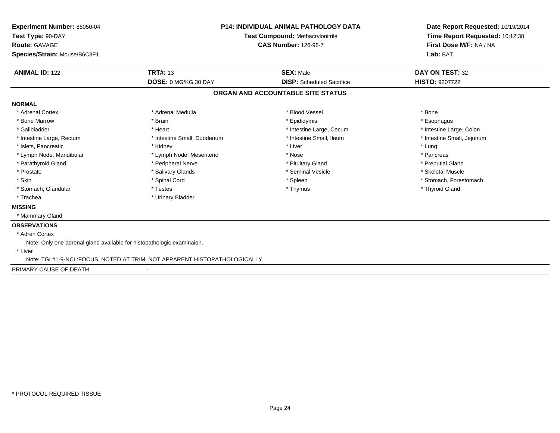| Experiment Number: 88050-04<br>Test Type: 90-DAY<br><b>Route: GAVAGE</b><br>Species/Strain: Mouse/B6C3F1 |                                                                           | <b>P14: INDIVIDUAL ANIMAL PATHOLOGY DATA</b><br>Test Compound: Methacrylonitrile<br><b>CAS Number: 126-98-7</b> | Date Report Requested: 10/19/2014<br>Time Report Requested: 10:12:38<br>First Dose M/F: NA / NA<br>Lab: BAT |
|----------------------------------------------------------------------------------------------------------|---------------------------------------------------------------------------|-----------------------------------------------------------------------------------------------------------------|-------------------------------------------------------------------------------------------------------------|
| <b>ANIMAL ID: 122</b>                                                                                    | <b>TRT#: 13</b>                                                           | <b>SEX: Male</b>                                                                                                | DAY ON TEST: 32                                                                                             |
|                                                                                                          | DOSE: 0 MG/KG 30 DAY                                                      | <b>DISP:</b> Scheduled Sacrifice                                                                                | <b>HISTO: 9207722</b>                                                                                       |
|                                                                                                          |                                                                           | ORGAN AND ACCOUNTABLE SITE STATUS                                                                               |                                                                                                             |
| <b>NORMAL</b>                                                                                            |                                                                           |                                                                                                                 |                                                                                                             |
| * Adrenal Cortex                                                                                         | * Adrenal Medulla                                                         | * Blood Vessel                                                                                                  | * Bone                                                                                                      |
| * Bone Marrow                                                                                            | * Brain                                                                   | * Epididymis                                                                                                    | * Esophagus                                                                                                 |
| * Gallbladder                                                                                            | * Heart                                                                   | * Intestine Large, Cecum                                                                                        | * Intestine Large, Colon                                                                                    |
| * Intestine Large, Rectum                                                                                | * Intestine Small, Duodenum                                               | * Intestine Small, Ileum                                                                                        | * Intestine Small, Jejunum                                                                                  |
| * Islets, Pancreatic                                                                                     | * Kidney                                                                  | * Liver                                                                                                         | * Lung                                                                                                      |
| * Lymph Node, Mandibular                                                                                 | * Lymph Node, Mesenteric                                                  | * Nose                                                                                                          | * Pancreas                                                                                                  |
| * Parathyroid Gland                                                                                      | * Peripheral Nerve                                                        | * Pituitary Gland                                                                                               | * Preputial Gland                                                                                           |
| * Prostate                                                                                               | * Salivary Glands                                                         | * Seminal Vesicle                                                                                               | * Skeletal Muscle                                                                                           |
| * Skin                                                                                                   | * Spinal Cord                                                             | * Spleen                                                                                                        | * Stomach, Forestomach                                                                                      |
| * Stomach, Glandular                                                                                     | * Testes                                                                  | * Thymus                                                                                                        | * Thyroid Gland                                                                                             |
| * Trachea                                                                                                | * Urinary Bladder                                                         |                                                                                                                 |                                                                                                             |
| <b>MISSING</b>                                                                                           |                                                                           |                                                                                                                 |                                                                                                             |
| * Mammary Gland                                                                                          |                                                                           |                                                                                                                 |                                                                                                             |
| <b>OBSERVATIONS</b>                                                                                      |                                                                           |                                                                                                                 |                                                                                                             |
| * Adren Cortex                                                                                           |                                                                           |                                                                                                                 |                                                                                                             |
| Note: Only one adrenal gland available for histopathologic examinaion.                                   |                                                                           |                                                                                                                 |                                                                                                             |
| * Liver                                                                                                  |                                                                           |                                                                                                                 |                                                                                                             |
|                                                                                                          | Note: TGL#1-9-NCL:FOCUS, NOTED AT TRIM, NOT APPARENT HISTOPATHOLOGICALLY. |                                                                                                                 |                                                                                                             |
| PRIMARY CAUSE OF DEATH                                                                                   |                                                                           |                                                                                                                 |                                                                                                             |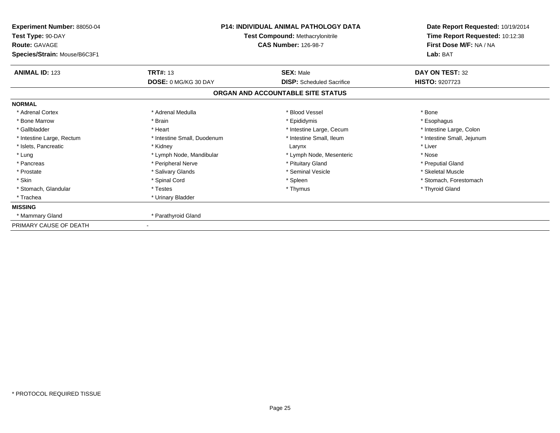| <b>Experiment Number: 88050-04</b><br>Test Type: 90-DAY<br><b>Route: GAVAGE</b><br>Species/Strain: Mouse/B6C3F1 | <b>P14: INDIVIDUAL ANIMAL PATHOLOGY DATA</b><br><b>Test Compound: Methacrylonitrile</b><br><b>CAS Number: 126-98-7</b> |                                                                       | Date Report Requested: 10/19/2014<br>Time Report Requested: 10:12:38<br>First Dose M/F: NA / NA<br>Lab: BAT |
|-----------------------------------------------------------------------------------------------------------------|------------------------------------------------------------------------------------------------------------------------|-----------------------------------------------------------------------|-------------------------------------------------------------------------------------------------------------|
| <b>ANIMAL ID: 123</b>                                                                                           | <b>TRT#: 13</b>                                                                                                        | <b>SEX: Male</b>                                                      | DAY ON TEST: 32                                                                                             |
|                                                                                                                 | <b>DOSE: 0 MG/KG 30 DAY</b>                                                                                            | <b>DISP:</b> Scheduled Sacrifice<br>ORGAN AND ACCOUNTABLE SITE STATUS | <b>HISTO: 9207723</b>                                                                                       |
| <b>NORMAL</b>                                                                                                   |                                                                                                                        |                                                                       |                                                                                                             |
| * Adrenal Cortex                                                                                                | * Adrenal Medulla                                                                                                      | * Blood Vessel                                                        | * Bone                                                                                                      |
| * Bone Marrow                                                                                                   | * Brain                                                                                                                | * Epididymis                                                          | * Esophagus                                                                                                 |
| * Gallbladder                                                                                                   | * Heart                                                                                                                | * Intestine Large, Cecum                                              | * Intestine Large, Colon                                                                                    |
| * Intestine Large, Rectum                                                                                       | * Intestine Small, Duodenum                                                                                            | * Intestine Small, Ileum                                              | * Intestine Small, Jejunum                                                                                  |
| * Islets, Pancreatic                                                                                            | * Kidney                                                                                                               | Larynx                                                                | * Liver                                                                                                     |
| * Lung                                                                                                          | * Lymph Node, Mandibular                                                                                               | * Lymph Node, Mesenteric                                              | * Nose                                                                                                      |
| * Pancreas                                                                                                      | * Peripheral Nerve                                                                                                     | * Pituitary Gland                                                     | * Preputial Gland                                                                                           |
| * Prostate                                                                                                      | * Salivary Glands                                                                                                      | * Seminal Vesicle                                                     | * Skeletal Muscle                                                                                           |
| * Skin                                                                                                          | * Spinal Cord                                                                                                          | * Spleen                                                              | * Stomach, Forestomach                                                                                      |
| * Stomach, Glandular                                                                                            | * Testes                                                                                                               | * Thymus                                                              | * Thyroid Gland                                                                                             |
| * Trachea                                                                                                       | * Urinary Bladder                                                                                                      |                                                                       |                                                                                                             |
| <b>MISSING</b>                                                                                                  |                                                                                                                        |                                                                       |                                                                                                             |
| * Mammary Gland                                                                                                 | * Parathyroid Gland                                                                                                    |                                                                       |                                                                                                             |
| PRIMARY CAUSE OF DEATH                                                                                          |                                                                                                                        |                                                                       |                                                                                                             |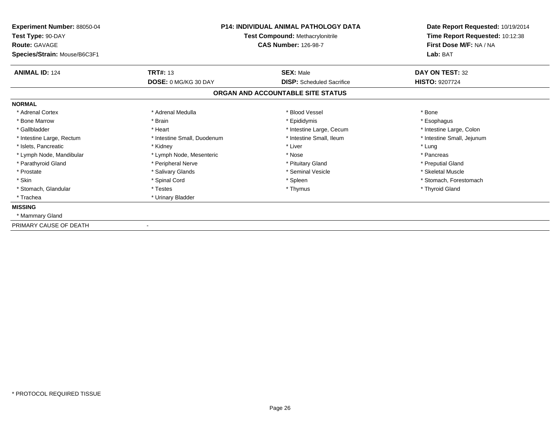| <b>Experiment Number: 88050-04</b><br>Test Type: 90-DAY<br><b>Route: GAVAGE</b><br>Species/Strain: Mouse/B6C3F1 | <b>P14: INDIVIDUAL ANIMAL PATHOLOGY DATA</b><br><b>Test Compound: Methacrylonitrile</b><br><b>CAS Number: 126-98-7</b> |                                   | Date Report Requested: 10/19/2014<br>Time Report Requested: 10:12:38<br>First Dose M/F: NA / NA<br>Lab: BAT |
|-----------------------------------------------------------------------------------------------------------------|------------------------------------------------------------------------------------------------------------------------|-----------------------------------|-------------------------------------------------------------------------------------------------------------|
| <b>ANIMAL ID: 124</b>                                                                                           | <b>TRT#: 13</b>                                                                                                        | <b>SEX: Male</b>                  | DAY ON TEST: 32                                                                                             |
|                                                                                                                 | <b>DOSE: 0 MG/KG 30 DAY</b>                                                                                            | <b>DISP:</b> Scheduled Sacrifice  | <b>HISTO: 9207724</b>                                                                                       |
|                                                                                                                 |                                                                                                                        | ORGAN AND ACCOUNTABLE SITE STATUS |                                                                                                             |
| <b>NORMAL</b>                                                                                                   |                                                                                                                        |                                   |                                                                                                             |
| * Adrenal Cortex                                                                                                | * Adrenal Medulla                                                                                                      | * Blood Vessel                    | * Bone                                                                                                      |
| * Bone Marrow                                                                                                   | * Brain                                                                                                                | * Epididymis                      | * Esophagus                                                                                                 |
| * Gallbladder                                                                                                   | * Heart                                                                                                                | * Intestine Large, Cecum          | * Intestine Large, Colon                                                                                    |
| * Intestine Large, Rectum                                                                                       | * Intestine Small, Duodenum                                                                                            | * Intestine Small. Ileum          | * Intestine Small, Jejunum                                                                                  |
| * Islets, Pancreatic                                                                                            | * Kidney                                                                                                               | * Liver                           | * Lung                                                                                                      |
| * Lymph Node, Mandibular                                                                                        | * Lymph Node, Mesenteric                                                                                               | * Nose                            | * Pancreas                                                                                                  |
| * Parathyroid Gland                                                                                             | * Peripheral Nerve                                                                                                     | * Pituitary Gland                 | * Preputial Gland                                                                                           |
| * Prostate                                                                                                      | * Salivary Glands                                                                                                      | * Seminal Vesicle                 | * Skeletal Muscle                                                                                           |
| * Skin                                                                                                          | * Spinal Cord                                                                                                          | * Spleen                          | * Stomach, Forestomach                                                                                      |
| * Stomach, Glandular                                                                                            | * Testes                                                                                                               | * Thymus                          | * Thyroid Gland                                                                                             |
| * Trachea                                                                                                       | * Urinary Bladder                                                                                                      |                                   |                                                                                                             |
| <b>MISSING</b>                                                                                                  |                                                                                                                        |                                   |                                                                                                             |
| * Mammary Gland                                                                                                 |                                                                                                                        |                                   |                                                                                                             |
| PRIMARY CAUSE OF DEATH                                                                                          |                                                                                                                        |                                   |                                                                                                             |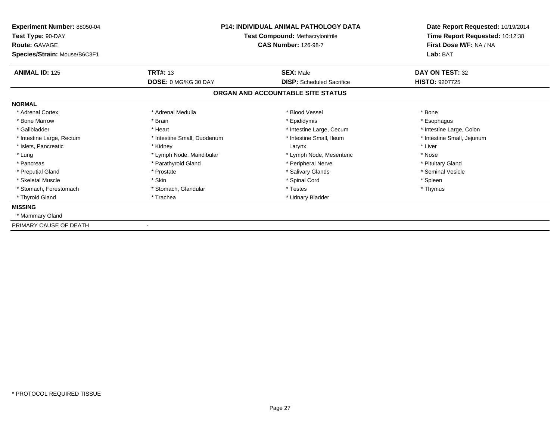| Experiment Number: 88050-04<br>Test Type: 90-DAY<br><b>Route: GAVAGE</b><br>Species/Strain: Mouse/B6C3F1 | <b>P14: INDIVIDUAL ANIMAL PATHOLOGY DATA</b><br><b>Test Compound: Methacrylonitrile</b><br><b>CAS Number: 126-98-7</b> |                                   | Date Report Requested: 10/19/2014<br>Time Report Requested: 10:12:38<br>First Dose M/F: NA / NA<br>Lab: BAT |
|----------------------------------------------------------------------------------------------------------|------------------------------------------------------------------------------------------------------------------------|-----------------------------------|-------------------------------------------------------------------------------------------------------------|
| <b>ANIMAL ID: 125</b>                                                                                    | <b>TRT#: 13</b>                                                                                                        | <b>SEX: Male</b>                  | DAY ON TEST: 32                                                                                             |
|                                                                                                          | <b>DOSE: 0 MG/KG 30 DAY</b>                                                                                            | <b>DISP:</b> Scheduled Sacrifice  | HISTO: 9207725                                                                                              |
|                                                                                                          |                                                                                                                        | ORGAN AND ACCOUNTABLE SITE STATUS |                                                                                                             |
| <b>NORMAL</b>                                                                                            |                                                                                                                        |                                   |                                                                                                             |
| * Adrenal Cortex                                                                                         | * Adrenal Medulla                                                                                                      | * Blood Vessel                    | * Bone                                                                                                      |
| * Bone Marrow                                                                                            | * Brain                                                                                                                | * Epididymis                      | * Esophagus                                                                                                 |
| * Gallbladder                                                                                            | * Heart                                                                                                                | * Intestine Large, Cecum          | * Intestine Large, Colon                                                                                    |
| * Intestine Large, Rectum                                                                                | * Intestine Small, Duodenum                                                                                            | * Intestine Small, Ileum          | * Intestine Small, Jejunum                                                                                  |
| * Islets, Pancreatic                                                                                     | * Kidney                                                                                                               | Larynx                            | * Liver                                                                                                     |
| * Lung                                                                                                   | * Lymph Node, Mandibular                                                                                               | * Lymph Node, Mesenteric          | * Nose                                                                                                      |
| * Pancreas                                                                                               | * Parathyroid Gland                                                                                                    | * Peripheral Nerve                | * Pituitary Gland                                                                                           |
| * Preputial Gland                                                                                        | * Prostate                                                                                                             | * Salivary Glands                 | * Seminal Vesicle                                                                                           |
| * Skeletal Muscle                                                                                        | * Skin                                                                                                                 | * Spinal Cord                     | * Spleen                                                                                                    |
| * Stomach, Forestomach                                                                                   | * Stomach, Glandular                                                                                                   | * Testes                          | * Thymus                                                                                                    |
| * Thyroid Gland                                                                                          | * Trachea                                                                                                              | * Urinary Bladder                 |                                                                                                             |
| <b>MISSING</b>                                                                                           |                                                                                                                        |                                   |                                                                                                             |
| * Mammary Gland                                                                                          |                                                                                                                        |                                   |                                                                                                             |
| PRIMARY CAUSE OF DEATH                                                                                   |                                                                                                                        |                                   |                                                                                                             |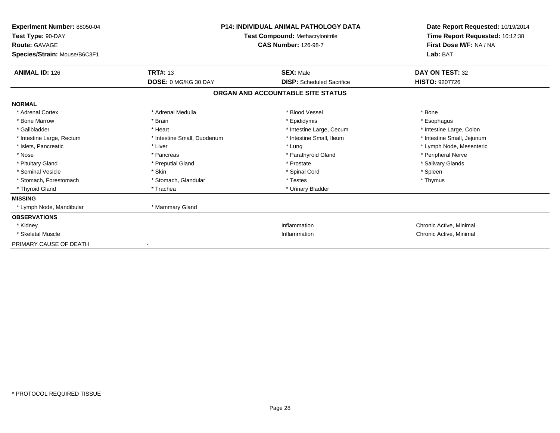| <b>Experiment Number: 88050-04</b><br>Test Type: 90-DAY<br><b>Route: GAVAGE</b><br>Species/Strain: Mouse/B6C3F1 |                             | <b>P14: INDIVIDUAL ANIMAL PATHOLOGY DATA</b><br><b>Test Compound: Methacrylonitrile</b><br><b>CAS Number: 126-98-7</b> | Date Report Requested: 10/19/2014<br>Time Report Requested: 10:12:38<br>First Dose M/F: NA / NA<br>Lab: BAT |
|-----------------------------------------------------------------------------------------------------------------|-----------------------------|------------------------------------------------------------------------------------------------------------------------|-------------------------------------------------------------------------------------------------------------|
| <b>ANIMAL ID: 126</b>                                                                                           | <b>TRT#: 13</b>             | <b>SEX: Male</b>                                                                                                       | DAY ON TEST: 32                                                                                             |
|                                                                                                                 | DOSE: 0 MG/KG 30 DAY        | <b>DISP:</b> Scheduled Sacrifice                                                                                       | <b>HISTO: 9207726</b>                                                                                       |
|                                                                                                                 |                             | ORGAN AND ACCOUNTABLE SITE STATUS                                                                                      |                                                                                                             |
| <b>NORMAL</b>                                                                                                   |                             |                                                                                                                        |                                                                                                             |
| * Adrenal Cortex                                                                                                | * Adrenal Medulla           | * Blood Vessel                                                                                                         | * Bone                                                                                                      |
| * Bone Marrow                                                                                                   | * Brain                     | * Epididymis                                                                                                           | * Esophagus                                                                                                 |
| * Gallbladder                                                                                                   | * Heart                     | * Intestine Large, Cecum                                                                                               | * Intestine Large, Colon                                                                                    |
| * Intestine Large, Rectum                                                                                       | * Intestine Small, Duodenum | * Intestine Small, Ileum                                                                                               | * Intestine Small, Jejunum                                                                                  |
| * Islets, Pancreatic                                                                                            | * Liver                     | * Lung                                                                                                                 | * Lymph Node, Mesenteric                                                                                    |
| * Nose                                                                                                          | * Pancreas                  | * Parathyroid Gland                                                                                                    | * Peripheral Nerve                                                                                          |
| * Pituitary Gland                                                                                               | * Preputial Gland           | * Prostate                                                                                                             | * Salivary Glands                                                                                           |
| * Seminal Vesicle                                                                                               | * Skin                      | * Spinal Cord                                                                                                          | * Spleen                                                                                                    |
| * Stomach, Forestomach                                                                                          | * Stomach, Glandular        | * Testes                                                                                                               | * Thymus                                                                                                    |
| * Thyroid Gland                                                                                                 | * Trachea                   | * Urinary Bladder                                                                                                      |                                                                                                             |
| <b>MISSING</b>                                                                                                  |                             |                                                                                                                        |                                                                                                             |
| * Lymph Node, Mandibular                                                                                        | * Mammary Gland             |                                                                                                                        |                                                                                                             |
| <b>OBSERVATIONS</b>                                                                                             |                             |                                                                                                                        |                                                                                                             |
| * Kidney                                                                                                        |                             | Inflammation                                                                                                           | Chronic Active, Minimal                                                                                     |
| * Skeletal Muscle                                                                                               |                             | Inflammation                                                                                                           | Chronic Active, Minimal                                                                                     |
| PRIMARY CAUSE OF DEATH                                                                                          |                             |                                                                                                                        |                                                                                                             |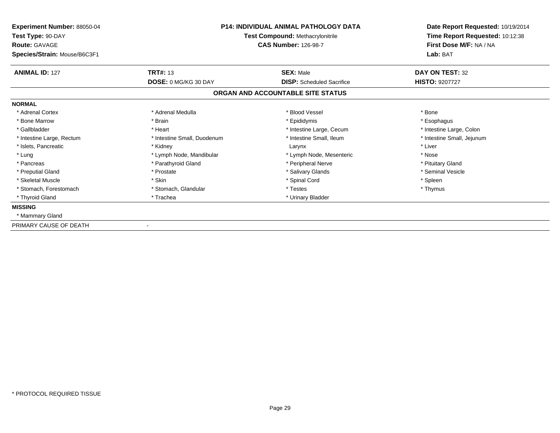| Experiment Number: 88050-04<br>Test Type: 90-DAY<br><b>Route: GAVAGE</b><br>Species/Strain: Mouse/B6C3F1 | <b>P14: INDIVIDUAL ANIMAL PATHOLOGY DATA</b><br><b>Test Compound: Methacrylonitrile</b><br><b>CAS Number: 126-98-7</b> |                                   | Date Report Requested: 10/19/2014<br>Time Report Requested: 10:12:38<br>First Dose M/F: NA / NA<br>Lab: BAT |
|----------------------------------------------------------------------------------------------------------|------------------------------------------------------------------------------------------------------------------------|-----------------------------------|-------------------------------------------------------------------------------------------------------------|
| <b>ANIMAL ID: 127</b>                                                                                    | <b>TRT#: 13</b>                                                                                                        | <b>SEX: Male</b>                  | DAY ON TEST: 32                                                                                             |
|                                                                                                          | <b>DOSE: 0 MG/KG 30 DAY</b>                                                                                            | <b>DISP:</b> Scheduled Sacrifice  | <b>HISTO: 9207727</b>                                                                                       |
|                                                                                                          |                                                                                                                        | ORGAN AND ACCOUNTABLE SITE STATUS |                                                                                                             |
| <b>NORMAL</b>                                                                                            |                                                                                                                        |                                   |                                                                                                             |
| * Adrenal Cortex                                                                                         | * Adrenal Medulla                                                                                                      | * Blood Vessel                    | * Bone                                                                                                      |
| * Bone Marrow                                                                                            | * Brain                                                                                                                | * Epididymis                      | * Esophagus                                                                                                 |
| * Gallbladder                                                                                            | * Heart                                                                                                                | * Intestine Large, Cecum          | * Intestine Large, Colon                                                                                    |
| * Intestine Large, Rectum                                                                                | * Intestine Small, Duodenum                                                                                            | * Intestine Small, Ileum          | * Intestine Small, Jejunum                                                                                  |
| * Islets, Pancreatic                                                                                     | * Kidney                                                                                                               | Larynx                            | * Liver                                                                                                     |
| * Lung                                                                                                   | * Lymph Node, Mandibular                                                                                               | * Lymph Node, Mesenteric          | * Nose                                                                                                      |
| * Pancreas                                                                                               | * Parathyroid Gland                                                                                                    | * Peripheral Nerve                | * Pituitary Gland                                                                                           |
| * Preputial Gland                                                                                        | * Prostate                                                                                                             | * Salivary Glands                 | * Seminal Vesicle                                                                                           |
| * Skeletal Muscle                                                                                        | * Skin                                                                                                                 | * Spinal Cord                     | * Spleen                                                                                                    |
| * Stomach, Forestomach                                                                                   | * Stomach, Glandular                                                                                                   | * Testes                          | * Thymus                                                                                                    |
| * Thyroid Gland                                                                                          | * Trachea                                                                                                              | * Urinary Bladder                 |                                                                                                             |
| <b>MISSING</b>                                                                                           |                                                                                                                        |                                   |                                                                                                             |
| * Mammary Gland                                                                                          |                                                                                                                        |                                   |                                                                                                             |
| PRIMARY CAUSE OF DEATH                                                                                   |                                                                                                                        |                                   |                                                                                                             |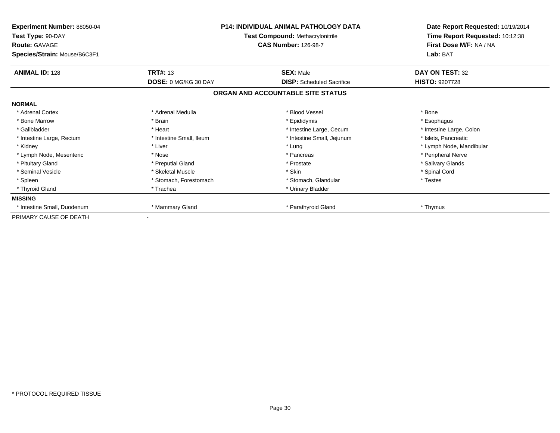| <b>Experiment Number: 88050-04</b><br>Test Type: 90-DAY<br><b>Route: GAVAGE</b> | <b>P14: INDIVIDUAL ANIMAL PATHOLOGY DATA</b><br>Test Compound: Methacrylonitrile<br><b>CAS Number: 126-98-7</b> |                                   | Date Report Requested: 10/19/2014<br>Time Report Requested: 10:12:38<br>First Dose M/F: NA / NA |  |
|---------------------------------------------------------------------------------|-----------------------------------------------------------------------------------------------------------------|-----------------------------------|-------------------------------------------------------------------------------------------------|--|
| Species/Strain: Mouse/B6C3F1                                                    |                                                                                                                 |                                   | Lab: BAT                                                                                        |  |
| <b>ANIMAL ID: 128</b>                                                           | <b>TRT#: 13</b>                                                                                                 | <b>SEX: Male</b>                  | DAY ON TEST: 32                                                                                 |  |
|                                                                                 | <b>DOSE: 0 MG/KG 30 DAY</b>                                                                                     | <b>DISP:</b> Scheduled Sacrifice  | <b>HISTO: 9207728</b>                                                                           |  |
|                                                                                 |                                                                                                                 | ORGAN AND ACCOUNTABLE SITE STATUS |                                                                                                 |  |
| <b>NORMAL</b>                                                                   |                                                                                                                 |                                   |                                                                                                 |  |
| * Adrenal Cortex                                                                | * Adrenal Medulla                                                                                               | * Blood Vessel                    | * Bone                                                                                          |  |
| * Bone Marrow                                                                   | * Brain                                                                                                         | * Epididymis                      | * Esophagus                                                                                     |  |
| * Gallbladder                                                                   | * Heart                                                                                                         | * Intestine Large, Cecum          | * Intestine Large, Colon                                                                        |  |
| * Intestine Large, Rectum                                                       | * Intestine Small, Ileum                                                                                        | * Intestine Small, Jejunum        | * Islets, Pancreatic                                                                            |  |
| * Kidney                                                                        | * Liver                                                                                                         | * Lung                            | * Lymph Node, Mandibular                                                                        |  |
| * Lymph Node, Mesenteric                                                        | * Nose                                                                                                          | * Pancreas                        | * Peripheral Nerve                                                                              |  |
| * Pituitary Gland                                                               | * Preputial Gland                                                                                               | * Prostate                        | * Salivary Glands                                                                               |  |
| * Seminal Vesicle                                                               | * Skeletal Muscle                                                                                               | * Skin                            | * Spinal Cord                                                                                   |  |
| * Spleen                                                                        | * Stomach, Forestomach                                                                                          | * Stomach, Glandular              | * Testes                                                                                        |  |
| * Thyroid Gland                                                                 | * Trachea                                                                                                       | * Urinary Bladder                 |                                                                                                 |  |
| <b>MISSING</b>                                                                  |                                                                                                                 |                                   |                                                                                                 |  |
| * Intestine Small, Duodenum                                                     | * Mammary Gland                                                                                                 | * Parathyroid Gland               | * Thymus                                                                                        |  |
| PRIMARY CAUSE OF DEATH                                                          |                                                                                                                 |                                   |                                                                                                 |  |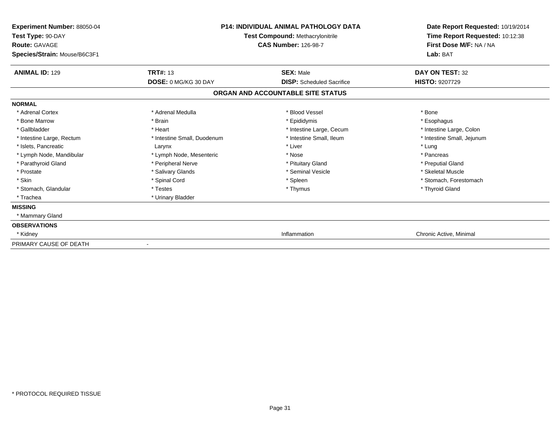| Experiment Number: 88050-04<br>Test Type: 90-DAY<br><b>Route: GAVAGE</b><br>Species/Strain: Mouse/B6C3F1 | <b>P14: INDIVIDUAL ANIMAL PATHOLOGY DATA</b><br><b>Test Compound: Methacrylonitrile</b><br><b>CAS Number: 126-98-7</b> |                                   | Date Report Requested: 10/19/2014<br>Time Report Requested: 10:12:38<br>First Dose M/F: NA / NA<br>Lab: BAT |
|----------------------------------------------------------------------------------------------------------|------------------------------------------------------------------------------------------------------------------------|-----------------------------------|-------------------------------------------------------------------------------------------------------------|
| <b>ANIMAL ID: 129</b>                                                                                    | <b>TRT#: 13</b>                                                                                                        | <b>SEX: Male</b>                  | <b>DAY ON TEST: 32</b>                                                                                      |
|                                                                                                          | DOSE: 0 MG/KG 30 DAY                                                                                                   | <b>DISP:</b> Scheduled Sacrifice  | <b>HISTO: 9207729</b>                                                                                       |
|                                                                                                          |                                                                                                                        | ORGAN AND ACCOUNTABLE SITE STATUS |                                                                                                             |
| <b>NORMAL</b>                                                                                            |                                                                                                                        |                                   |                                                                                                             |
| * Adrenal Cortex                                                                                         | * Adrenal Medulla                                                                                                      | * Blood Vessel                    | * Bone                                                                                                      |
| * Bone Marrow                                                                                            | * Brain                                                                                                                | * Epididymis                      | * Esophagus                                                                                                 |
| * Gallbladder                                                                                            | * Heart                                                                                                                | * Intestine Large, Cecum          | * Intestine Large, Colon                                                                                    |
| * Intestine Large, Rectum                                                                                | * Intestine Small, Duodenum                                                                                            | * Intestine Small, Ileum          | * Intestine Small, Jejunum                                                                                  |
| * Islets, Pancreatic                                                                                     | Larynx                                                                                                                 | * Liver                           | * Lung                                                                                                      |
| * Lymph Node, Mandibular                                                                                 | * Lymph Node, Mesenteric                                                                                               | * Nose                            | * Pancreas                                                                                                  |
| * Parathyroid Gland                                                                                      | * Peripheral Nerve                                                                                                     | * Pituitary Gland                 | * Preputial Gland                                                                                           |
| * Prostate                                                                                               | * Salivary Glands                                                                                                      | * Seminal Vesicle                 | * Skeletal Muscle                                                                                           |
| * Skin                                                                                                   | * Spinal Cord                                                                                                          | * Spleen                          | * Stomach. Forestomach                                                                                      |
| * Stomach, Glandular                                                                                     | * Testes                                                                                                               | * Thymus                          | * Thyroid Gland                                                                                             |
| * Trachea                                                                                                | * Urinary Bladder                                                                                                      |                                   |                                                                                                             |
| <b>MISSING</b>                                                                                           |                                                                                                                        |                                   |                                                                                                             |
| * Mammary Gland                                                                                          |                                                                                                                        |                                   |                                                                                                             |
| <b>OBSERVATIONS</b>                                                                                      |                                                                                                                        |                                   |                                                                                                             |
| * Kidney                                                                                                 |                                                                                                                        | Inflammation                      | Chronic Active, Minimal                                                                                     |
| PRIMARY CAUSE OF DEATH                                                                                   |                                                                                                                        |                                   |                                                                                                             |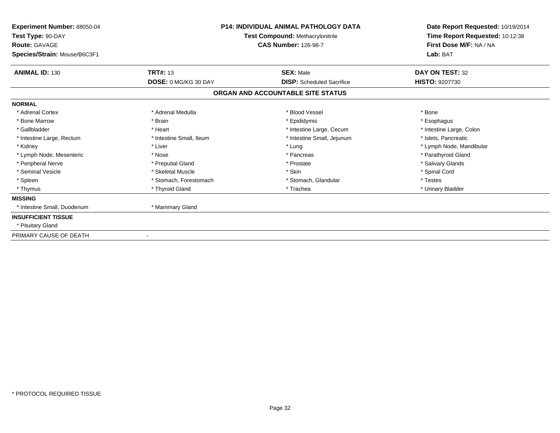| Experiment Number: 88050-04                                               |                                                                 | <b>P14: INDIVIDUAL ANIMAL PATHOLOGY DATA</b> | Date Report Requested: 10/19/2014<br>Time Report Requested: 10:12:38<br>First Dose M/F: NA / NA |
|---------------------------------------------------------------------------|-----------------------------------------------------------------|----------------------------------------------|-------------------------------------------------------------------------------------------------|
| Test Type: 90-DAY<br><b>Route: GAVAGE</b><br>Species/Strain: Mouse/B6C3F1 | Test Compound: Methacrylonitrile<br><b>CAS Number: 126-98-7</b> |                                              |                                                                                                 |
|                                                                           |                                                                 |                                              | Lab: BAT                                                                                        |
| <b>ANIMAL ID: 130</b>                                                     | <b>TRT#: 13</b>                                                 | <b>SEX: Male</b>                             | DAY ON TEST: 32                                                                                 |
|                                                                           | <b>DOSE: 0 MG/KG 30 DAY</b>                                     | <b>DISP:</b> Scheduled Sacrifice             | <b>HISTO: 9207730</b>                                                                           |
|                                                                           |                                                                 | ORGAN AND ACCOUNTABLE SITE STATUS            |                                                                                                 |
| <b>NORMAL</b>                                                             |                                                                 |                                              |                                                                                                 |
| * Adrenal Cortex                                                          | * Adrenal Medulla                                               | * Blood Vessel                               | * Bone                                                                                          |
| * Bone Marrow                                                             | * Brain                                                         | * Epididymis                                 | * Esophagus                                                                                     |
| * Gallbladder                                                             | * Heart                                                         | * Intestine Large, Cecum                     | * Intestine Large, Colon                                                                        |
| * Intestine Large, Rectum                                                 | * Intestine Small, Ileum                                        | * Intestine Small, Jejunum                   | * Islets, Pancreatic                                                                            |
| * Kidney                                                                  | * Liver                                                         | * Lung                                       | * Lymph Node, Mandibular                                                                        |
| * Lymph Node, Mesenteric                                                  | * Nose                                                          | * Pancreas                                   | * Parathyroid Gland                                                                             |
| * Peripheral Nerve                                                        | * Preputial Gland                                               | * Prostate                                   | * Salivary Glands                                                                               |
| * Seminal Vesicle                                                         | * Skeletal Muscle                                               | * Skin                                       | * Spinal Cord                                                                                   |
| * Spleen                                                                  | * Stomach, Forestomach                                          | * Stomach, Glandular                         | * Testes                                                                                        |
| * Thymus                                                                  | * Thyroid Gland                                                 | * Trachea                                    | * Urinary Bladder                                                                               |
| <b>MISSING</b>                                                            |                                                                 |                                              |                                                                                                 |
| * Intestine Small, Duodenum                                               | * Mammary Gland                                                 |                                              |                                                                                                 |
| <b>INSUFFICIENT TISSUE</b>                                                |                                                                 |                                              |                                                                                                 |
| * Pituitary Gland                                                         |                                                                 |                                              |                                                                                                 |
| PRIMARY CAUSE OF DEATH                                                    |                                                                 |                                              |                                                                                                 |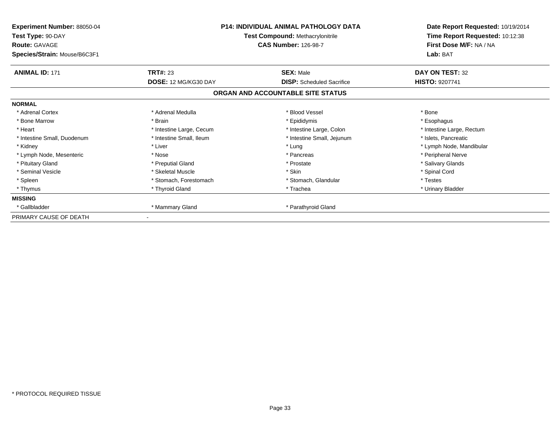| Experiment Number: 88050-04<br>Test Type: 90-DAY<br><b>Route: GAVAGE</b><br>Species/Strain: Mouse/B6C3F1 | <b>P14: INDIVIDUAL ANIMAL PATHOLOGY DATA</b><br><b>Test Compound: Methacrylonitrile</b><br><b>CAS Number: 126-98-7</b> |                                   | Lab: BAT                  | Date Report Requested: 10/19/2014<br>Time Report Requested: 10:12:38<br>First Dose M/F: NA / NA |
|----------------------------------------------------------------------------------------------------------|------------------------------------------------------------------------------------------------------------------------|-----------------------------------|---------------------------|-------------------------------------------------------------------------------------------------|
| <b>ANIMAL ID: 171</b>                                                                                    | <b>TRT#: 23</b>                                                                                                        | <b>SEX: Male</b>                  | DAY ON TEST: 32           |                                                                                                 |
|                                                                                                          | DOSE: 12 MG/KG30 DAY                                                                                                   | <b>DISP:</b> Scheduled Sacrifice  | <b>HISTO: 9207741</b>     |                                                                                                 |
|                                                                                                          |                                                                                                                        | ORGAN AND ACCOUNTABLE SITE STATUS |                           |                                                                                                 |
| <b>NORMAL</b>                                                                                            |                                                                                                                        |                                   |                           |                                                                                                 |
| * Adrenal Cortex                                                                                         | * Adrenal Medulla                                                                                                      | * Blood Vessel                    | * Bone                    |                                                                                                 |
| * Bone Marrow                                                                                            | * Brain                                                                                                                | * Epididymis                      | * Esophagus               |                                                                                                 |
| * Heart                                                                                                  | * Intestine Large, Cecum                                                                                               | * Intestine Large, Colon          | * Intestine Large, Rectum |                                                                                                 |
| * Intestine Small, Duodenum                                                                              | * Intestine Small, Ileum                                                                                               | * Intestine Small, Jejunum        | * Islets, Pancreatic      |                                                                                                 |
| * Kidney                                                                                                 | * Liver                                                                                                                | * Lung                            | * Lymph Node, Mandibular  |                                                                                                 |
| * Lymph Node, Mesenteric                                                                                 | * Nose                                                                                                                 | * Pancreas                        | * Peripheral Nerve        |                                                                                                 |
| * Pituitary Gland                                                                                        | * Preputial Gland                                                                                                      | * Prostate                        | * Salivary Glands         |                                                                                                 |
| * Seminal Vesicle                                                                                        | * Skeletal Muscle                                                                                                      | * Skin                            | * Spinal Cord             |                                                                                                 |
| * Spleen                                                                                                 | * Stomach, Forestomach                                                                                                 | * Stomach, Glandular              | * Testes                  |                                                                                                 |
| * Thymus                                                                                                 | * Thyroid Gland                                                                                                        | * Trachea                         | * Urinary Bladder         |                                                                                                 |
| <b>MISSING</b>                                                                                           |                                                                                                                        |                                   |                           |                                                                                                 |
| * Gallbladder                                                                                            | * Mammary Gland                                                                                                        | * Parathyroid Gland               |                           |                                                                                                 |
| PRIMARY CAUSE OF DEATH                                                                                   |                                                                                                                        |                                   |                           |                                                                                                 |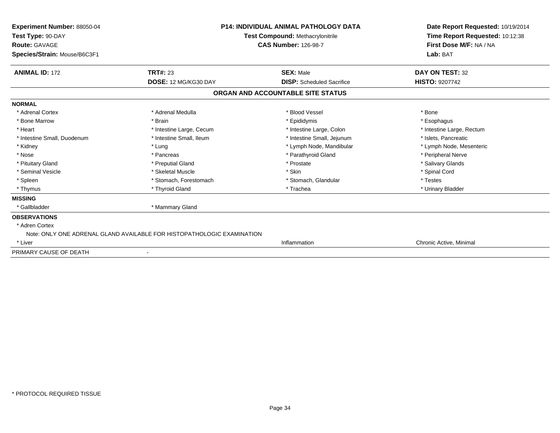| <b>Experiment Number: 88050-04</b><br>Test Type: 90-DAY<br><b>Route: GAVAGE</b><br>Species/Strain: Mouse/B6C3F1 | <b>P14: INDIVIDUAL ANIMAL PATHOLOGY DATA</b><br><b>Test Compound: Methacrylonitrile</b><br><b>CAS Number: 126-98-7</b> | Date Report Requested: 10/19/2014<br>Time Report Requested: 10:12:38<br>First Dose M/F: NA / NA<br>Lab: BAT |  |
|-----------------------------------------------------------------------------------------------------------------|------------------------------------------------------------------------------------------------------------------------|-------------------------------------------------------------------------------------------------------------|--|
| <b>ANIMAL ID: 172</b><br><b>TRT#: 23</b>                                                                        | <b>SEX: Male</b>                                                                                                       | DAY ON TEST: 32                                                                                             |  |
| DOSE: 12 MG/KG30 DAY                                                                                            | <b>DISP:</b> Scheduled Sacrifice                                                                                       | <b>HISTO: 9207742</b>                                                                                       |  |
|                                                                                                                 | ORGAN AND ACCOUNTABLE SITE STATUS                                                                                      |                                                                                                             |  |
| <b>NORMAL</b>                                                                                                   |                                                                                                                        |                                                                                                             |  |
| * Adrenal Medulla<br>* Adrenal Cortex                                                                           | * Blood Vessel                                                                                                         | * Bone                                                                                                      |  |
| * Bone Marrow<br>* Brain                                                                                        | * Epididymis                                                                                                           | * Esophagus                                                                                                 |  |
| * Heart<br>* Intestine Large, Cecum                                                                             | * Intestine Large, Colon                                                                                               | * Intestine Large, Rectum                                                                                   |  |
| * Intestine Small, Ileum<br>* Intestine Small, Duodenum                                                         | * Intestine Small, Jejunum                                                                                             | * Islets, Pancreatic                                                                                        |  |
| * Kidney<br>* Lung                                                                                              | * Lymph Node, Mandibular                                                                                               | * Lymph Node, Mesenteric                                                                                    |  |
| * Nose<br>* Pancreas                                                                                            | * Parathyroid Gland                                                                                                    | * Peripheral Nerve                                                                                          |  |
| * Pituitary Gland<br>* Preputial Gland                                                                          | * Prostate                                                                                                             | * Salivary Glands                                                                                           |  |
| * Seminal Vesicle<br>* Skeletal Muscle                                                                          | * Skin                                                                                                                 | * Spinal Cord                                                                                               |  |
| * Spleen<br>* Stomach, Forestomach                                                                              | * Stomach, Glandular                                                                                                   | * Testes                                                                                                    |  |
| * Thyroid Gland<br>* Thymus                                                                                     | * Trachea                                                                                                              | * Urinary Bladder                                                                                           |  |
| <b>MISSING</b>                                                                                                  |                                                                                                                        |                                                                                                             |  |
| * Mammary Gland<br>* Gallbladder                                                                                |                                                                                                                        |                                                                                                             |  |
| <b>OBSERVATIONS</b>                                                                                             |                                                                                                                        |                                                                                                             |  |
| * Adren Cortex                                                                                                  |                                                                                                                        |                                                                                                             |  |
| Note: ONLY ONE ADRENAL GLAND AVAILABLE FOR HISTOPATHOLOGIC EXAMINATION                                          |                                                                                                                        |                                                                                                             |  |
| * Liver                                                                                                         | Inflammation                                                                                                           | Chronic Active, Minimal                                                                                     |  |
| PRIMARY CAUSE OF DEATH                                                                                          |                                                                                                                        |                                                                                                             |  |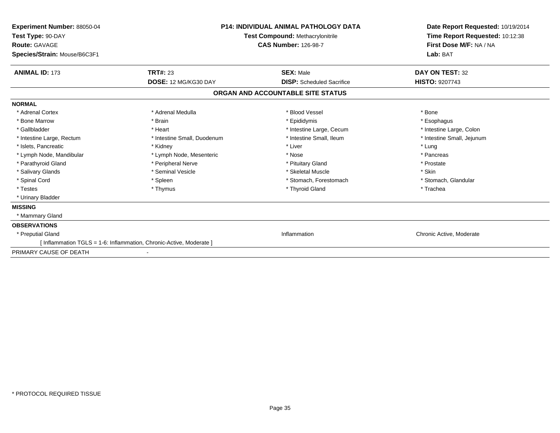| Experiment Number: 88050-04<br>Test Type: 90-DAY<br><b>Route: GAVAGE</b><br>Species/Strain: Mouse/B6C3F1 | <b>P14: INDIVIDUAL ANIMAL PATHOLOGY DATA</b><br>Test Compound: Methacrylonitrile<br><b>CAS Number: 126-98-7</b> |                                   | Date Report Requested: 10/19/2014<br>Time Report Requested: 10:12:38<br>First Dose M/F: NA / NA<br>Lab: BAT |
|----------------------------------------------------------------------------------------------------------|-----------------------------------------------------------------------------------------------------------------|-----------------------------------|-------------------------------------------------------------------------------------------------------------|
| <b>ANIMAL ID: 173</b>                                                                                    | <b>TRT#: 23</b>                                                                                                 | <b>SEX: Male</b>                  | DAY ON TEST: 32                                                                                             |
|                                                                                                          | DOSE: 12 MG/KG30 DAY                                                                                            | <b>DISP:</b> Scheduled Sacrifice  | HISTO: 9207743                                                                                              |
|                                                                                                          |                                                                                                                 | ORGAN AND ACCOUNTABLE SITE STATUS |                                                                                                             |
| <b>NORMAL</b>                                                                                            |                                                                                                                 |                                   |                                                                                                             |
| * Adrenal Cortex                                                                                         | * Adrenal Medulla                                                                                               | * Blood Vessel                    | * Bone                                                                                                      |
| * Bone Marrow                                                                                            | * Brain                                                                                                         | * Epididymis                      | * Esophagus                                                                                                 |
| * Gallbladder                                                                                            | * Heart                                                                                                         | * Intestine Large, Cecum          | * Intestine Large, Colon                                                                                    |
| * Intestine Large, Rectum                                                                                | * Intestine Small, Duodenum                                                                                     | * Intestine Small, Ileum          | * Intestine Small, Jejunum                                                                                  |
| * Islets, Pancreatic                                                                                     | * Kidney                                                                                                        | * Liver                           | * Lung                                                                                                      |
| * Lymph Node, Mandibular                                                                                 | * Lymph Node, Mesenteric                                                                                        | * Nose                            | * Pancreas                                                                                                  |
| * Parathyroid Gland                                                                                      | * Peripheral Nerve                                                                                              | * Pituitary Gland                 | * Prostate                                                                                                  |
| * Salivary Glands                                                                                        | * Seminal Vesicle                                                                                               | * Skeletal Muscle                 | * Skin                                                                                                      |
| * Spinal Cord                                                                                            | * Spleen                                                                                                        | * Stomach, Forestomach            | * Stomach, Glandular                                                                                        |
| * Testes                                                                                                 | * Thymus                                                                                                        | * Thyroid Gland                   | * Trachea                                                                                                   |
| * Urinary Bladder                                                                                        |                                                                                                                 |                                   |                                                                                                             |
| <b>MISSING</b>                                                                                           |                                                                                                                 |                                   |                                                                                                             |
| * Mammary Gland                                                                                          |                                                                                                                 |                                   |                                                                                                             |
| <b>OBSERVATIONS</b>                                                                                      |                                                                                                                 |                                   |                                                                                                             |
| * Preputial Gland                                                                                        |                                                                                                                 | Inflammation                      | Chronic Active, Moderate                                                                                    |
| [Inflammation TGLS = 1-6: Inflammation, Chronic-Active, Moderate ]                                       |                                                                                                                 |                                   |                                                                                                             |
| PRIMARY CAUSE OF DEATH                                                                                   |                                                                                                                 |                                   |                                                                                                             |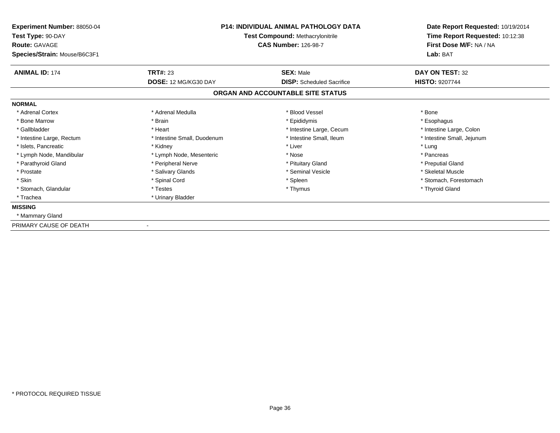| <b>Experiment Number: 88050-04</b><br>Test Type: 90-DAY<br><b>Route: GAVAGE</b><br>Species/Strain: Mouse/B6C3F1 | P14: INDIVIDUAL ANIMAL PATHOLOGY DATA<br><b>Test Compound: Methacrylonitrile</b><br><b>CAS Number: 126-98-7</b> |                                   | Date Report Requested: 10/19/2014<br>Time Report Requested: 10:12:38<br>First Dose M/F: NA / NA<br>Lab: BAT |
|-----------------------------------------------------------------------------------------------------------------|-----------------------------------------------------------------------------------------------------------------|-----------------------------------|-------------------------------------------------------------------------------------------------------------|
| <b>ANIMAL ID: 174</b>                                                                                           | <b>TRT#: 23</b>                                                                                                 | <b>SEX: Male</b>                  | DAY ON TEST: 32                                                                                             |
|                                                                                                                 | DOSE: 12 MG/KG30 DAY                                                                                            | <b>DISP:</b> Scheduled Sacrifice  | <b>HISTO: 9207744</b>                                                                                       |
|                                                                                                                 |                                                                                                                 | ORGAN AND ACCOUNTABLE SITE STATUS |                                                                                                             |
| <b>NORMAL</b>                                                                                                   |                                                                                                                 |                                   |                                                                                                             |
| * Adrenal Cortex                                                                                                | * Adrenal Medulla                                                                                               | * Blood Vessel                    | * Bone                                                                                                      |
| * Bone Marrow                                                                                                   | * Brain                                                                                                         | * Epididymis                      | * Esophagus                                                                                                 |
| * Gallbladder                                                                                                   | * Heart                                                                                                         | * Intestine Large, Cecum          | * Intestine Large, Colon                                                                                    |
| * Intestine Large, Rectum                                                                                       | * Intestine Small, Duodenum                                                                                     | * Intestine Small. Ileum          | * Intestine Small, Jejunum                                                                                  |
| * Islets, Pancreatic                                                                                            | * Kidney                                                                                                        | * Liver                           | * Lung                                                                                                      |
| * Lymph Node, Mandibular                                                                                        | * Lymph Node, Mesenteric                                                                                        | * Nose                            | * Pancreas                                                                                                  |
| * Parathyroid Gland                                                                                             | * Peripheral Nerve                                                                                              | * Pituitary Gland                 | * Preputial Gland                                                                                           |
| * Prostate                                                                                                      | * Salivary Glands                                                                                               | * Seminal Vesicle                 | * Skeletal Muscle                                                                                           |
| * Skin                                                                                                          | * Spinal Cord                                                                                                   | * Spleen                          | * Stomach, Forestomach                                                                                      |
| * Stomach, Glandular                                                                                            | * Testes                                                                                                        | * Thymus                          | * Thyroid Gland                                                                                             |
| * Trachea                                                                                                       | * Urinary Bladder                                                                                               |                                   |                                                                                                             |
| <b>MISSING</b>                                                                                                  |                                                                                                                 |                                   |                                                                                                             |
| * Mammary Gland                                                                                                 |                                                                                                                 |                                   |                                                                                                             |
| PRIMARY CAUSE OF DEATH                                                                                          |                                                                                                                 |                                   |                                                                                                             |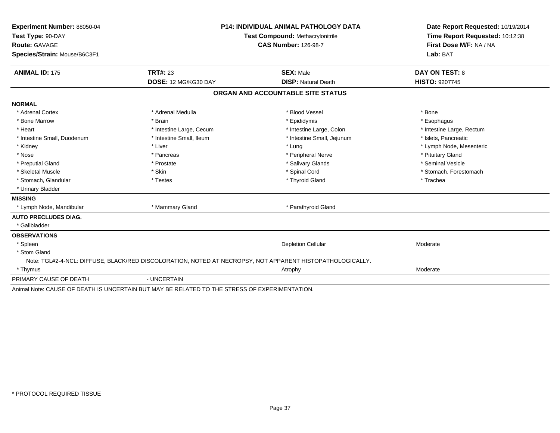| Experiment Number: 88050-04  |                                                                                               | <b>P14: INDIVIDUAL ANIMAL PATHOLOGY DATA</b>                                                              | Date Report Requested: 10/19/2014 |
|------------------------------|-----------------------------------------------------------------------------------------------|-----------------------------------------------------------------------------------------------------------|-----------------------------------|
| Test Type: 90-DAY            | Test Compound: Methacrylonitrile                                                              |                                                                                                           | Time Report Requested: 10:12:38   |
| Route: GAVAGE                |                                                                                               | <b>CAS Number: 126-98-7</b>                                                                               | First Dose M/F: NA / NA           |
| Species/Strain: Mouse/B6C3F1 |                                                                                               |                                                                                                           | Lab: BAT                          |
| <b>ANIMAL ID: 175</b>        | <b>TRT#: 23</b>                                                                               | <b>SEX: Male</b>                                                                                          | <b>DAY ON TEST: 8</b>             |
|                              | DOSE: 12 MG/KG30 DAY                                                                          | <b>DISP: Natural Death</b>                                                                                | <b>HISTO: 9207745</b>             |
|                              |                                                                                               | ORGAN AND ACCOUNTABLE SITE STATUS                                                                         |                                   |
| <b>NORMAL</b>                |                                                                                               |                                                                                                           |                                   |
| * Adrenal Cortex             | * Adrenal Medulla                                                                             | * Blood Vessel                                                                                            | * Bone                            |
| * Bone Marrow                | * Brain                                                                                       | * Epididymis                                                                                              | * Esophagus                       |
| * Heart                      | * Intestine Large, Cecum                                                                      | * Intestine Large, Colon                                                                                  | * Intestine Large, Rectum         |
| * Intestine Small, Duodenum  | * Intestine Small. Ileum                                                                      | * Intestine Small, Jejunum                                                                                | * Islets, Pancreatic              |
| * Kidney                     | * Liver                                                                                       | * Lung                                                                                                    | * Lymph Node, Mesenteric          |
| * Nose                       | * Pancreas                                                                                    | * Peripheral Nerve                                                                                        | * Pituitary Gland                 |
| * Preputial Gland            | * Prostate                                                                                    | * Salivary Glands                                                                                         | * Seminal Vesicle                 |
| * Skeletal Muscle            | * Skin                                                                                        | * Spinal Cord                                                                                             | * Stomach, Forestomach            |
| * Stomach, Glandular         | * Testes                                                                                      | * Thyroid Gland                                                                                           | * Trachea                         |
| * Urinary Bladder            |                                                                                               |                                                                                                           |                                   |
| <b>MISSING</b>               |                                                                                               |                                                                                                           |                                   |
| * Lymph Node, Mandibular     | * Mammary Gland                                                                               | * Parathyroid Gland                                                                                       |                                   |
| <b>AUTO PRECLUDES DIAG.</b>  |                                                                                               |                                                                                                           |                                   |
| * Gallbladder                |                                                                                               |                                                                                                           |                                   |
| <b>OBSERVATIONS</b>          |                                                                                               |                                                                                                           |                                   |
| * Spleen                     |                                                                                               | <b>Depletion Cellular</b>                                                                                 | Moderate                          |
| * Stom Gland                 |                                                                                               |                                                                                                           |                                   |
|                              |                                                                                               | Note: TGL#2-4-NCL: DIFFUSE, BLACK/RED DISCOLORATION, NOTED AT NECROPSY, NOT APPARENT HISTOPATHOLOGICALLY. |                                   |
| * Thymus                     |                                                                                               | Atrophy                                                                                                   | Moderate                          |
| PRIMARY CAUSE OF DEATH       | - UNCERTAIN                                                                                   |                                                                                                           |                                   |
|                              | Animal Note: CAUSE OF DEATH IS UNCERTAIN BUT MAY BE RELATED TO THE STRESS OF EXPERIMENTATION. |                                                                                                           |                                   |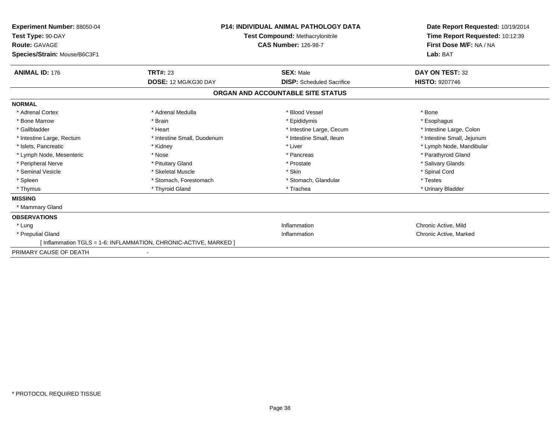| Experiment Number: 88050-04<br>Test Type: 90-DAY<br><b>Route: GAVAGE</b><br>Species/Strain: Mouse/B6C3F1 |                                                                  | <b>P14: INDIVIDUAL ANIMAL PATHOLOGY DATA</b><br>Test Compound: Methacrylonitrile<br><b>CAS Number: 126-98-7</b> | Date Report Requested: 10/19/2014<br>Time Report Requested: 10:12:39<br>First Dose M/F: NA / NA<br>Lab: BAT |
|----------------------------------------------------------------------------------------------------------|------------------------------------------------------------------|-----------------------------------------------------------------------------------------------------------------|-------------------------------------------------------------------------------------------------------------|
| <b>ANIMAL ID: 176</b>                                                                                    | <b>TRT#: 23</b>                                                  | <b>SEX: Male</b>                                                                                                | DAY ON TEST: 32                                                                                             |
|                                                                                                          | DOSE: 12 MG/KG30 DAY                                             | <b>DISP:</b> Scheduled Sacrifice                                                                                | <b>HISTO: 9207746</b>                                                                                       |
|                                                                                                          |                                                                  | ORGAN AND ACCOUNTABLE SITE STATUS                                                                               |                                                                                                             |
| <b>NORMAL</b>                                                                                            |                                                                  |                                                                                                                 |                                                                                                             |
| * Adrenal Cortex                                                                                         | * Adrenal Medulla                                                | * Blood Vessel                                                                                                  | * Bone                                                                                                      |
| * Bone Marrow                                                                                            | * Brain                                                          | * Epididymis                                                                                                    | * Esophagus                                                                                                 |
| * Gallbladder                                                                                            | * Heart                                                          | * Intestine Large, Cecum                                                                                        | * Intestine Large, Colon                                                                                    |
| * Intestine Large, Rectum                                                                                | * Intestine Small, Duodenum                                      | * Intestine Small, Ileum                                                                                        | * Intestine Small, Jejunum                                                                                  |
| * Islets, Pancreatic                                                                                     | * Kidney                                                         | * Liver                                                                                                         | * Lymph Node, Mandibular                                                                                    |
| * Lymph Node, Mesenteric                                                                                 | * Nose                                                           | * Pancreas                                                                                                      | * Parathyroid Gland                                                                                         |
| * Peripheral Nerve                                                                                       | * Pituitary Gland                                                | * Prostate                                                                                                      | * Salivary Glands                                                                                           |
| * Seminal Vesicle                                                                                        | * Skeletal Muscle                                                | * Skin                                                                                                          | * Spinal Cord                                                                                               |
| * Spleen                                                                                                 | * Stomach, Forestomach                                           | * Stomach, Glandular                                                                                            | * Testes                                                                                                    |
| * Thymus                                                                                                 | * Thyroid Gland                                                  | * Trachea                                                                                                       | * Urinary Bladder                                                                                           |
| <b>MISSING</b>                                                                                           |                                                                  |                                                                                                                 |                                                                                                             |
| * Mammary Gland                                                                                          |                                                                  |                                                                                                                 |                                                                                                             |
| <b>OBSERVATIONS</b>                                                                                      |                                                                  |                                                                                                                 |                                                                                                             |
| * Luna                                                                                                   |                                                                  | Inflammation                                                                                                    | Chronic Active, Mild                                                                                        |
| * Preputial Gland                                                                                        |                                                                  | Inflammation                                                                                                    | Chronic Active, Marked                                                                                      |
|                                                                                                          | [Inflammation TGLS = 1-6: INFLAMMATION, CHRONIC-ACTIVE, MARKED ] |                                                                                                                 |                                                                                                             |
| PRIMARY CAUSE OF DEATH                                                                                   |                                                                  |                                                                                                                 |                                                                                                             |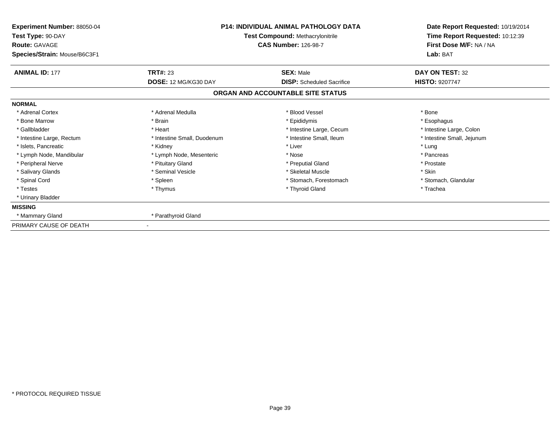| Experiment Number: 88050-04<br>Test Type: 90-DAY<br><b>Route: GAVAGE</b><br>Species/Strain: Mouse/B6C3F1 | <b>P14: INDIVIDUAL ANIMAL PATHOLOGY DATA</b><br>Test Compound: Methacrylonitrile<br><b>CAS Number: 126-98-7</b> |                                                      | Date Report Requested: 10/19/2014<br>Time Report Requested: 10:12:39<br>First Dose M/F: NA / NA<br>Lab: BAT |
|----------------------------------------------------------------------------------------------------------|-----------------------------------------------------------------------------------------------------------------|------------------------------------------------------|-------------------------------------------------------------------------------------------------------------|
| <b>ANIMAL ID: 177</b>                                                                                    | <b>TRT#: 23</b><br>DOSE: 12 MG/KG30 DAY                                                                         | <b>SEX: Male</b><br><b>DISP:</b> Scheduled Sacrifice | DAY ON TEST: 32<br><b>HISTO: 9207747</b>                                                                    |
|                                                                                                          |                                                                                                                 | ORGAN AND ACCOUNTABLE SITE STATUS                    |                                                                                                             |
| <b>NORMAL</b>                                                                                            |                                                                                                                 |                                                      |                                                                                                             |
| * Adrenal Cortex                                                                                         | * Adrenal Medulla                                                                                               | * Blood Vessel                                       | * Bone                                                                                                      |
| * Bone Marrow                                                                                            | * Brain                                                                                                         | * Epididymis                                         | * Esophagus                                                                                                 |
| * Gallbladder                                                                                            | * Heart                                                                                                         | * Intestine Large, Cecum                             | * Intestine Large, Colon                                                                                    |
| * Intestine Large, Rectum                                                                                | * Intestine Small, Duodenum                                                                                     | * Intestine Small, Ileum                             | * Intestine Small, Jejunum                                                                                  |
| * Islets, Pancreatic                                                                                     | * Kidney                                                                                                        | * Liver                                              | * Lung                                                                                                      |
| * Lymph Node, Mandibular                                                                                 | * Lymph Node, Mesenteric                                                                                        | * Nose                                               | * Pancreas                                                                                                  |
| * Peripheral Nerve                                                                                       | * Pituitary Gland                                                                                               | * Preputial Gland                                    | * Prostate                                                                                                  |
| * Salivary Glands                                                                                        | * Seminal Vesicle                                                                                               | * Skeletal Muscle                                    | * Skin                                                                                                      |
| * Spinal Cord                                                                                            | * Spleen                                                                                                        | * Stomach, Forestomach                               | * Stomach, Glandular                                                                                        |
| * Testes                                                                                                 | * Thymus                                                                                                        | * Thyroid Gland                                      | * Trachea                                                                                                   |
| * Urinary Bladder                                                                                        |                                                                                                                 |                                                      |                                                                                                             |
| <b>MISSING</b>                                                                                           |                                                                                                                 |                                                      |                                                                                                             |
| * Mammary Gland                                                                                          | * Parathyroid Gland                                                                                             |                                                      |                                                                                                             |
| PRIMARY CAUSE OF DEATH                                                                                   |                                                                                                                 |                                                      |                                                                                                             |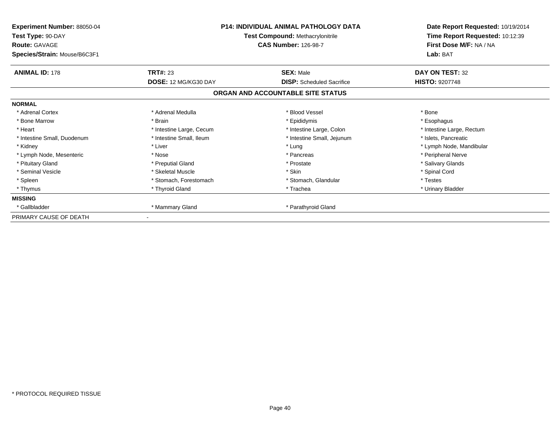| Experiment Number: 88050-04<br>Test Type: 90-DAY<br><b>Route: GAVAGE</b><br>Species/Strain: Mouse/B6C3F1 | <b>P14: INDIVIDUAL ANIMAL PATHOLOGY DATA</b><br><b>Test Compound: Methacrylonitrile</b><br><b>CAS Number: 126-98-7</b> |                                   | Date Report Requested: 10/19/2014<br>Time Report Requested: 10:12:39<br>First Dose M/F: NA / NA<br>Lab: BAT |  |
|----------------------------------------------------------------------------------------------------------|------------------------------------------------------------------------------------------------------------------------|-----------------------------------|-------------------------------------------------------------------------------------------------------------|--|
| <b>ANIMAL ID: 178</b>                                                                                    | <b>TRT#: 23</b>                                                                                                        | <b>SEX: Male</b>                  | DAY ON TEST: 32                                                                                             |  |
|                                                                                                          | DOSE: 12 MG/KG30 DAY                                                                                                   | <b>DISP:</b> Scheduled Sacrifice  | <b>HISTO: 9207748</b>                                                                                       |  |
|                                                                                                          |                                                                                                                        | ORGAN AND ACCOUNTABLE SITE STATUS |                                                                                                             |  |
| <b>NORMAL</b>                                                                                            |                                                                                                                        |                                   |                                                                                                             |  |
| * Adrenal Cortex                                                                                         | * Adrenal Medulla                                                                                                      | * Blood Vessel                    | * Bone                                                                                                      |  |
| * Bone Marrow                                                                                            | * Brain                                                                                                                | * Epididymis                      | * Esophagus                                                                                                 |  |
| * Heart                                                                                                  | * Intestine Large, Cecum                                                                                               | * Intestine Large, Colon          | * Intestine Large, Rectum                                                                                   |  |
| * Intestine Small, Duodenum                                                                              | * Intestine Small, Ileum                                                                                               | * Intestine Small, Jejunum        | * Islets, Pancreatic                                                                                        |  |
| * Kidney                                                                                                 | * Liver                                                                                                                | * Lung                            | * Lymph Node, Mandibular                                                                                    |  |
| * Lymph Node, Mesenteric                                                                                 | * Nose                                                                                                                 | * Pancreas                        | * Peripheral Nerve                                                                                          |  |
| * Pituitary Gland                                                                                        | * Preputial Gland                                                                                                      | * Prostate                        | * Salivary Glands                                                                                           |  |
| * Seminal Vesicle                                                                                        | * Skeletal Muscle                                                                                                      | * Skin                            | * Spinal Cord                                                                                               |  |
| * Spleen                                                                                                 | * Stomach, Forestomach                                                                                                 | * Stomach, Glandular              | * Testes                                                                                                    |  |
| * Thymus                                                                                                 | * Thyroid Gland                                                                                                        | * Trachea                         | * Urinary Bladder                                                                                           |  |
| <b>MISSING</b>                                                                                           |                                                                                                                        |                                   |                                                                                                             |  |
| * Gallbladder                                                                                            | * Mammary Gland                                                                                                        | * Parathyroid Gland               |                                                                                                             |  |
| PRIMARY CAUSE OF DEATH                                                                                   |                                                                                                                        |                                   |                                                                                                             |  |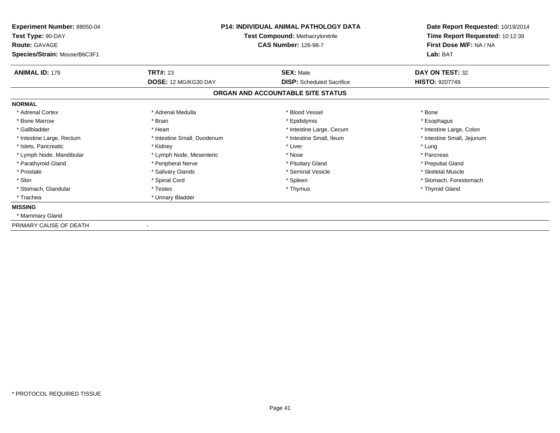| <b>Experiment Number: 88050-04</b><br>Test Type: 90-DAY<br><b>Route: GAVAGE</b><br>Species/Strain: Mouse/B6C3F1 | P14: INDIVIDUAL ANIMAL PATHOLOGY DATA<br><b>Test Compound: Methacrylonitrile</b><br><b>CAS Number: 126-98-7</b> |                                   | Date Report Requested: 10/19/2014<br>Time Report Requested: 10:12:39<br>First Dose M/F: NA / NA<br>Lab: BAT |
|-----------------------------------------------------------------------------------------------------------------|-----------------------------------------------------------------------------------------------------------------|-----------------------------------|-------------------------------------------------------------------------------------------------------------|
| <b>ANIMAL ID: 179</b>                                                                                           | <b>TRT#: 23</b>                                                                                                 | <b>SEX: Male</b>                  | DAY ON TEST: 32                                                                                             |
|                                                                                                                 | DOSE: 12 MG/KG30 DAY                                                                                            | <b>DISP:</b> Scheduled Sacrifice  | <b>HISTO: 9207749</b>                                                                                       |
|                                                                                                                 |                                                                                                                 | ORGAN AND ACCOUNTABLE SITE STATUS |                                                                                                             |
| <b>NORMAL</b>                                                                                                   |                                                                                                                 |                                   |                                                                                                             |
| * Adrenal Cortex                                                                                                | * Adrenal Medulla                                                                                               | * Blood Vessel                    | * Bone                                                                                                      |
| * Bone Marrow                                                                                                   | * Brain                                                                                                         | * Epididymis                      | * Esophagus                                                                                                 |
| * Gallbladder                                                                                                   | * Heart                                                                                                         | * Intestine Large, Cecum          | * Intestine Large, Colon                                                                                    |
| * Intestine Large, Rectum                                                                                       | * Intestine Small, Duodenum                                                                                     | * Intestine Small. Ileum          | * Intestine Small, Jejunum                                                                                  |
| * Islets, Pancreatic                                                                                            | * Kidney                                                                                                        | * Liver                           | * Lung                                                                                                      |
| * Lymph Node, Mandibular                                                                                        | * Lymph Node, Mesenteric                                                                                        | * Nose                            | * Pancreas                                                                                                  |
| * Parathyroid Gland                                                                                             | * Peripheral Nerve                                                                                              | * Pituitary Gland                 | * Preputial Gland                                                                                           |
| * Prostate                                                                                                      | * Salivary Glands                                                                                               | * Seminal Vesicle                 | * Skeletal Muscle                                                                                           |
| * Skin                                                                                                          | * Spinal Cord                                                                                                   | * Spleen                          | * Stomach, Forestomach                                                                                      |
| * Stomach, Glandular                                                                                            | * Testes                                                                                                        | * Thymus                          | * Thyroid Gland                                                                                             |
| * Trachea                                                                                                       | * Urinary Bladder                                                                                               |                                   |                                                                                                             |
| <b>MISSING</b>                                                                                                  |                                                                                                                 |                                   |                                                                                                             |
| * Mammary Gland                                                                                                 |                                                                                                                 |                                   |                                                                                                             |
| PRIMARY CAUSE OF DEATH                                                                                          |                                                                                                                 |                                   |                                                                                                             |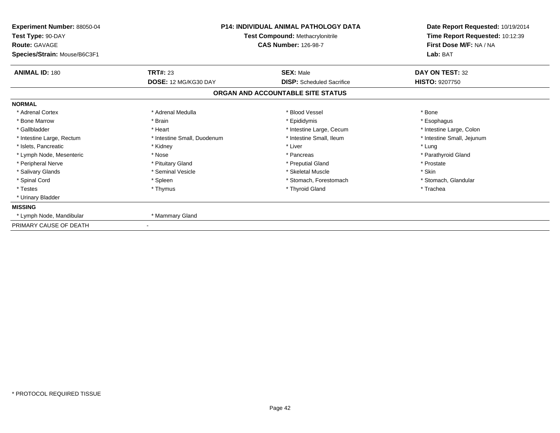| Experiment Number: 88050-04<br>Test Type: 90-DAY<br><b>Route: GAVAGE</b><br>Species/Strain: Mouse/B6C3F1 |                             | <b>P14: INDIVIDUAL ANIMAL PATHOLOGY DATA</b><br>Test Compound: Methacrylonitrile<br><b>CAS Number: 126-98-7</b> | Date Report Requested: 10/19/2014<br>Time Report Requested: 10:12:39<br>First Dose M/F: NA / NA<br>Lab: BAT |
|----------------------------------------------------------------------------------------------------------|-----------------------------|-----------------------------------------------------------------------------------------------------------------|-------------------------------------------------------------------------------------------------------------|
| <b>ANIMAL ID: 180</b>                                                                                    | <b>TRT#: 23</b>             | <b>SEX: Male</b><br><b>DISP:</b> Scheduled Sacrifice                                                            | DAY ON TEST: 32<br><b>HISTO: 9207750</b>                                                                    |
|                                                                                                          | DOSE: 12 MG/KG30 DAY        | ORGAN AND ACCOUNTABLE SITE STATUS                                                                               |                                                                                                             |
| <b>NORMAL</b>                                                                                            |                             |                                                                                                                 |                                                                                                             |
| * Adrenal Cortex                                                                                         | * Adrenal Medulla           | * Blood Vessel                                                                                                  | * Bone                                                                                                      |
| * Bone Marrow                                                                                            | * Brain                     | * Epididymis                                                                                                    | * Esophagus                                                                                                 |
| * Gallbladder                                                                                            | * Heart                     | * Intestine Large, Cecum                                                                                        | * Intestine Large, Colon                                                                                    |
| * Intestine Large, Rectum                                                                                | * Intestine Small, Duodenum | * Intestine Small, Ileum                                                                                        | * Intestine Small, Jejunum                                                                                  |
| * Islets, Pancreatic                                                                                     | * Kidney                    | * Liver                                                                                                         | * Lung                                                                                                      |
| * Lymph Node, Mesenteric                                                                                 | * Nose                      | * Pancreas                                                                                                      | * Parathyroid Gland                                                                                         |
| * Peripheral Nerve                                                                                       | * Pituitary Gland           | * Preputial Gland                                                                                               | * Prostate                                                                                                  |
| * Salivary Glands                                                                                        | * Seminal Vesicle           | * Skeletal Muscle                                                                                               | * Skin                                                                                                      |
| * Spinal Cord                                                                                            | * Spleen                    | * Stomach, Forestomach                                                                                          | * Stomach, Glandular                                                                                        |
| * Testes                                                                                                 | * Thymus                    | * Thyroid Gland                                                                                                 | * Trachea                                                                                                   |
| * Urinary Bladder                                                                                        |                             |                                                                                                                 |                                                                                                             |
| <b>MISSING</b>                                                                                           |                             |                                                                                                                 |                                                                                                             |
| * Lymph Node, Mandibular                                                                                 | * Mammary Gland             |                                                                                                                 |                                                                                                             |
| PRIMARY CAUSE OF DEATH                                                                                   |                             |                                                                                                                 |                                                                                                             |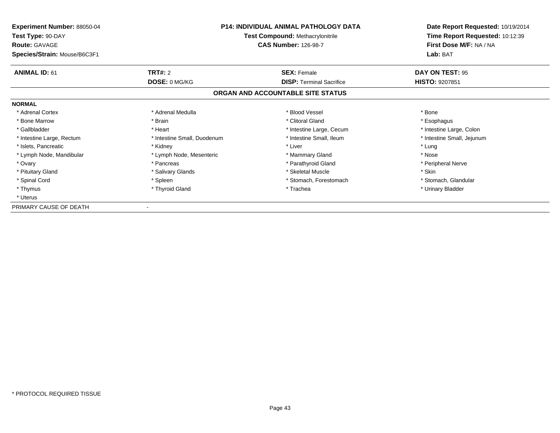| <b>Experiment Number: 88050-04</b><br>Test Type: 90-DAY<br><b>Route: GAVAGE</b><br>Species/Strain: Mouse/B6C3F1 | <b>P14: INDIVIDUAL ANIMAL PATHOLOGY DATA</b><br><b>Test Compound: Methacrylonitrile</b><br><b>CAS Number: 126-98-7</b> |                                   | Date Report Requested: 10/19/2014<br>Time Report Requested: 10:12:39<br>First Dose M/F: NA / NA<br>Lab: BAT |
|-----------------------------------------------------------------------------------------------------------------|------------------------------------------------------------------------------------------------------------------------|-----------------------------------|-------------------------------------------------------------------------------------------------------------|
| <b>ANIMAL ID: 61</b>                                                                                            | <b>TRT#: 2</b>                                                                                                         | <b>SEX: Female</b>                | DAY ON TEST: 95                                                                                             |
|                                                                                                                 | DOSE: 0 MG/KG                                                                                                          | <b>DISP:</b> Terminal Sacrifice   | <b>HISTO: 9207851</b>                                                                                       |
|                                                                                                                 |                                                                                                                        | ORGAN AND ACCOUNTABLE SITE STATUS |                                                                                                             |
| <b>NORMAL</b>                                                                                                   |                                                                                                                        |                                   |                                                                                                             |
| * Adrenal Cortex                                                                                                | * Adrenal Medulla                                                                                                      | * Blood Vessel                    | * Bone                                                                                                      |
| * Bone Marrow                                                                                                   | * Brain                                                                                                                | * Clitoral Gland                  | * Esophagus                                                                                                 |
| * Gallbladder                                                                                                   | * Heart                                                                                                                | * Intestine Large, Cecum          | * Intestine Large, Colon                                                                                    |
| * Intestine Large, Rectum                                                                                       | * Intestine Small, Duodenum                                                                                            | * Intestine Small, Ileum          | * Intestine Small, Jejunum                                                                                  |
| * Islets, Pancreatic                                                                                            | * Kidney                                                                                                               | * Liver                           | * Lung                                                                                                      |
| * Lymph Node, Mandibular                                                                                        | * Lymph Node, Mesenteric                                                                                               | * Mammary Gland                   | * Nose                                                                                                      |
| * Ovary                                                                                                         | * Pancreas                                                                                                             | * Parathyroid Gland               | * Peripheral Nerve                                                                                          |
| * Pituitary Gland                                                                                               | * Salivary Glands                                                                                                      | * Skeletal Muscle                 | * Skin                                                                                                      |
| * Spinal Cord                                                                                                   | * Spleen                                                                                                               | * Stomach, Forestomach            | * Stomach, Glandular                                                                                        |
| * Thymus                                                                                                        | * Thyroid Gland                                                                                                        | * Trachea                         | * Urinary Bladder                                                                                           |
| * Uterus                                                                                                        |                                                                                                                        |                                   |                                                                                                             |
| PRIMARY CAUSE OF DEATH                                                                                          |                                                                                                                        |                                   |                                                                                                             |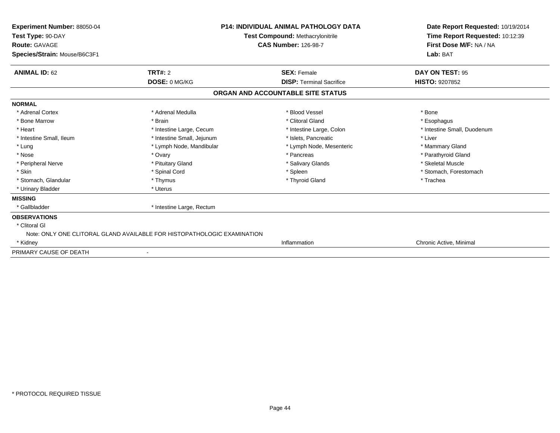| <b>P14: INDIVIDUAL ANIMAL PATHOLOGY DATA</b><br>Experiment Number: 88050-04<br>Test Compound: Methacrylonitrile<br>Test Type: 90-DAY<br><b>CAS Number: 126-98-7</b><br><b>Route: GAVAGE</b><br>Species/Strain: Mouse/B6C3F1 |                                                                         |                                   | Date Report Requested: 10/19/2014<br>Time Report Requested: 10:12:39<br>First Dose M/F: NA / NA<br>Lab: BAT |
|-----------------------------------------------------------------------------------------------------------------------------------------------------------------------------------------------------------------------------|-------------------------------------------------------------------------|-----------------------------------|-------------------------------------------------------------------------------------------------------------|
| <b>ANIMAL ID: 62</b>                                                                                                                                                                                                        | <b>TRT#: 2</b>                                                          | <b>SEX: Female</b>                | DAY ON TEST: 95                                                                                             |
|                                                                                                                                                                                                                             | DOSE: 0 MG/KG                                                           | <b>DISP: Terminal Sacrifice</b>   | <b>HISTO: 9207852</b>                                                                                       |
|                                                                                                                                                                                                                             |                                                                         | ORGAN AND ACCOUNTABLE SITE STATUS |                                                                                                             |
| <b>NORMAL</b>                                                                                                                                                                                                               |                                                                         |                                   |                                                                                                             |
| * Adrenal Cortex                                                                                                                                                                                                            | * Adrenal Medulla                                                       | * Blood Vessel                    | * Bone                                                                                                      |
| * Bone Marrow                                                                                                                                                                                                               | * Brain                                                                 | * Clitoral Gland                  | * Esophagus                                                                                                 |
| * Heart                                                                                                                                                                                                                     | * Intestine Large, Cecum                                                | * Intestine Large, Colon          | * Intestine Small, Duodenum                                                                                 |
| * Intestine Small, Ileum                                                                                                                                                                                                    | * Intestine Small, Jejunum                                              | * Islets, Pancreatic              | * Liver                                                                                                     |
| * Lung                                                                                                                                                                                                                      | * Lymph Node, Mandibular                                                | * Lymph Node, Mesenteric          | * Mammary Gland                                                                                             |
| * Nose                                                                                                                                                                                                                      | * Ovary                                                                 | * Pancreas                        | * Parathyroid Gland                                                                                         |
| * Peripheral Nerve                                                                                                                                                                                                          | * Pituitary Gland                                                       | * Salivary Glands                 | * Skeletal Muscle                                                                                           |
| * Skin                                                                                                                                                                                                                      | * Spinal Cord                                                           | * Spleen                          | * Stomach, Forestomach                                                                                      |
| * Stomach, Glandular                                                                                                                                                                                                        | * Thymus                                                                | * Thyroid Gland                   | * Trachea                                                                                                   |
| * Urinary Bladder                                                                                                                                                                                                           | * Uterus                                                                |                                   |                                                                                                             |
| <b>MISSING</b>                                                                                                                                                                                                              |                                                                         |                                   |                                                                                                             |
| * Gallbladder                                                                                                                                                                                                               | * Intestine Large, Rectum                                               |                                   |                                                                                                             |
| <b>OBSERVATIONS</b>                                                                                                                                                                                                         |                                                                         |                                   |                                                                                                             |
| * Clitoral GI                                                                                                                                                                                                               |                                                                         |                                   |                                                                                                             |
|                                                                                                                                                                                                                             | Note: ONLY ONE CLITORAL GLAND AVAILABLE FOR HISTOPATHOLOGIC EXAMINATION |                                   |                                                                                                             |
| * Kidney                                                                                                                                                                                                                    |                                                                         | Inflammation                      | Chronic Active, Minimal                                                                                     |
| PRIMARY CAUSE OF DEATH                                                                                                                                                                                                      |                                                                         |                                   |                                                                                                             |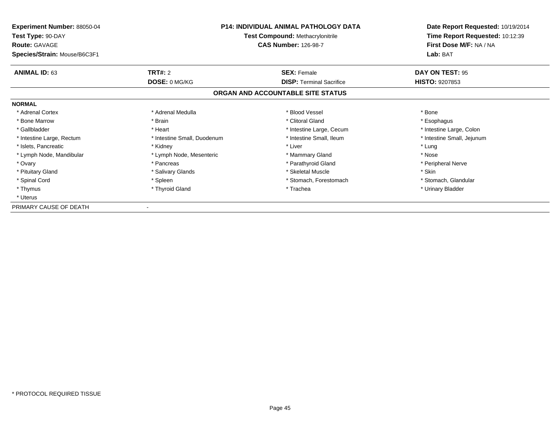| <b>Experiment Number: 88050-04</b><br>Test Type: 90-DAY<br><b>Route: GAVAGE</b><br>Species/Strain: Mouse/B6C3F1 | <b>P14: INDIVIDUAL ANIMAL PATHOLOGY DATA</b><br><b>Test Compound: Methacrylonitrile</b><br><b>CAS Number: 126-98-7</b> |                                   | Date Report Requested: 10/19/2014<br>Time Report Requested: 10:12:39<br>First Dose M/F: NA / NA<br>Lab: BAT |
|-----------------------------------------------------------------------------------------------------------------|------------------------------------------------------------------------------------------------------------------------|-----------------------------------|-------------------------------------------------------------------------------------------------------------|
| <b>ANIMAL ID: 63</b>                                                                                            | <b>TRT#: 2</b>                                                                                                         | <b>SEX: Female</b>                | DAY ON TEST: 95                                                                                             |
|                                                                                                                 | DOSE: 0 MG/KG                                                                                                          | <b>DISP:</b> Terminal Sacrifice   | <b>HISTO: 9207853</b>                                                                                       |
|                                                                                                                 |                                                                                                                        | ORGAN AND ACCOUNTABLE SITE STATUS |                                                                                                             |
| <b>NORMAL</b>                                                                                                   |                                                                                                                        |                                   |                                                                                                             |
| * Adrenal Cortex                                                                                                | * Adrenal Medulla                                                                                                      | * Blood Vessel                    | * Bone                                                                                                      |
| * Bone Marrow                                                                                                   | * Brain                                                                                                                | * Clitoral Gland                  | * Esophagus                                                                                                 |
| * Gallbladder                                                                                                   | * Heart                                                                                                                | * Intestine Large, Cecum          | * Intestine Large, Colon                                                                                    |
| * Intestine Large, Rectum                                                                                       | * Intestine Small, Duodenum                                                                                            | * Intestine Small, Ileum          | * Intestine Small, Jejunum                                                                                  |
| * Islets, Pancreatic                                                                                            | * Kidney                                                                                                               | * Liver                           | * Lung                                                                                                      |
| * Lymph Node, Mandibular                                                                                        | * Lymph Node, Mesenteric                                                                                               | * Mammary Gland                   | * Nose                                                                                                      |
| * Ovary                                                                                                         | * Pancreas                                                                                                             | * Parathyroid Gland               | * Peripheral Nerve                                                                                          |
| * Pituitary Gland                                                                                               | * Salivary Glands                                                                                                      | * Skeletal Muscle                 | * Skin                                                                                                      |
| * Spinal Cord                                                                                                   | * Spleen                                                                                                               | * Stomach, Forestomach            | * Stomach, Glandular                                                                                        |
| * Thymus                                                                                                        | * Thyroid Gland                                                                                                        | * Trachea                         | * Urinary Bladder                                                                                           |
| * Uterus                                                                                                        |                                                                                                                        |                                   |                                                                                                             |
| PRIMARY CAUSE OF DEATH                                                                                          |                                                                                                                        |                                   |                                                                                                             |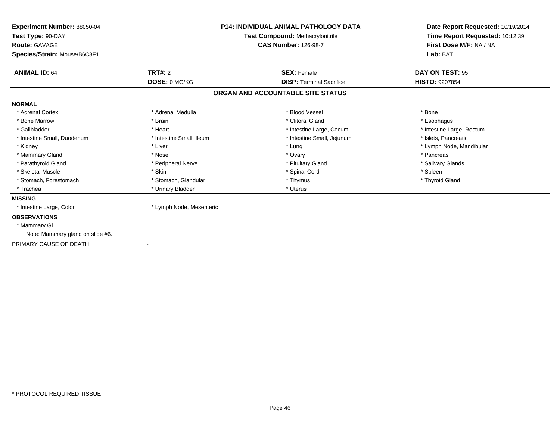| Experiment Number: 88050-04<br>Test Type: 90-DAY<br><b>Route: GAVAGE</b> |                          | <b>P14: INDIVIDUAL ANIMAL PATHOLOGY DATA</b><br>Test Compound: Methacrylonitrile<br><b>CAS Number: 126-98-7</b> | Date Report Requested: 10/19/2014<br>Time Report Requested: 10:12:39<br>First Dose M/F: NA / NA |
|--------------------------------------------------------------------------|--------------------------|-----------------------------------------------------------------------------------------------------------------|-------------------------------------------------------------------------------------------------|
| Species/Strain: Mouse/B6C3F1                                             |                          |                                                                                                                 | Lab: BAT                                                                                        |
| <b>ANIMAL ID: 64</b>                                                     | TRT#: 2                  | <b>SEX: Female</b>                                                                                              | DAY ON TEST: 95                                                                                 |
|                                                                          | DOSE: 0 MG/KG            | <b>DISP: Terminal Sacrifice</b>                                                                                 | <b>HISTO: 9207854</b>                                                                           |
|                                                                          |                          | ORGAN AND ACCOUNTABLE SITE STATUS                                                                               |                                                                                                 |
| <b>NORMAL</b>                                                            |                          |                                                                                                                 |                                                                                                 |
| * Adrenal Cortex                                                         | * Adrenal Medulla        | * Blood Vessel                                                                                                  | * Bone                                                                                          |
| * Bone Marrow                                                            | * Brain                  | * Clitoral Gland                                                                                                | * Esophagus                                                                                     |
| * Gallbladder                                                            | * Heart                  | * Intestine Large, Cecum                                                                                        | * Intestine Large, Rectum                                                                       |
| * Intestine Small, Duodenum                                              | * Intestine Small, Ileum | * Intestine Small, Jejunum                                                                                      | * Islets. Pancreatic                                                                            |
| * Kidney                                                                 | * Liver                  | * Lung                                                                                                          | * Lymph Node, Mandibular                                                                        |
| * Mammary Gland                                                          | * Nose                   | * Ovary                                                                                                         | * Pancreas                                                                                      |
| * Parathyroid Gland                                                      | * Peripheral Nerve       | * Pituitary Gland                                                                                               | * Salivary Glands                                                                               |
| * Skeletal Muscle                                                        | * Skin                   | * Spinal Cord                                                                                                   | * Spleen                                                                                        |
| * Stomach, Forestomach                                                   | * Stomach, Glandular     | * Thymus                                                                                                        | * Thyroid Gland                                                                                 |
| * Trachea                                                                | * Urinary Bladder        | * Uterus                                                                                                        |                                                                                                 |
| <b>MISSING</b>                                                           |                          |                                                                                                                 |                                                                                                 |
| * Intestine Large, Colon                                                 | * Lymph Node, Mesenteric |                                                                                                                 |                                                                                                 |
| <b>OBSERVATIONS</b>                                                      |                          |                                                                                                                 |                                                                                                 |
| * Mammary GI                                                             |                          |                                                                                                                 |                                                                                                 |
| Note: Mammary gland on slide #6.                                         |                          |                                                                                                                 |                                                                                                 |
| PRIMARY CAUSE OF DEATH                                                   |                          |                                                                                                                 |                                                                                                 |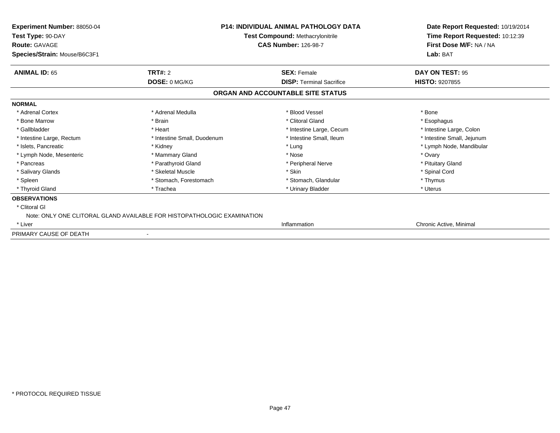| <b>Experiment Number: 88050-04</b><br>Test Type: 90-DAY<br><b>Route: GAVAGE</b> | <b>P14: INDIVIDUAL ANIMAL PATHOLOGY DATA</b><br><b>Test Compound: Methacrylonitrile</b><br><b>CAS Number: 126-98-7</b> |                                   | Date Report Requested: 10/19/2014<br>Time Report Requested: 10:12:39<br>First Dose M/F: NA / NA |
|---------------------------------------------------------------------------------|------------------------------------------------------------------------------------------------------------------------|-----------------------------------|-------------------------------------------------------------------------------------------------|
| Species/Strain: Mouse/B6C3F1                                                    |                                                                                                                        |                                   | Lab: BAT                                                                                        |
| <b>ANIMAL ID: 65</b>                                                            | TRT#: 2                                                                                                                | <b>SEX: Female</b>                | DAY ON TEST: 95                                                                                 |
|                                                                                 | DOSE: 0 MG/KG                                                                                                          | <b>DISP: Terminal Sacrifice</b>   | <b>HISTO: 9207855</b>                                                                           |
|                                                                                 |                                                                                                                        | ORGAN AND ACCOUNTABLE SITE STATUS |                                                                                                 |
| <b>NORMAL</b>                                                                   |                                                                                                                        |                                   |                                                                                                 |
| * Adrenal Cortex                                                                | * Adrenal Medulla                                                                                                      | * Blood Vessel                    | * Bone                                                                                          |
| * Bone Marrow                                                                   | * Brain                                                                                                                | * Clitoral Gland                  | * Esophagus                                                                                     |
| * Gallbladder                                                                   | * Heart                                                                                                                | * Intestine Large, Cecum          | * Intestine Large, Colon                                                                        |
| * Intestine Large, Rectum                                                       | * Intestine Small, Duodenum                                                                                            | * Intestine Small, Ileum          | * Intestine Small, Jejunum                                                                      |
| * Islets, Pancreatic                                                            | * Kidney                                                                                                               | * Lung                            | * Lymph Node, Mandibular                                                                        |
| * Lymph Node, Mesenteric                                                        | * Mammary Gland                                                                                                        | * Nose                            | * Ovary                                                                                         |
| * Pancreas                                                                      | * Parathyroid Gland                                                                                                    | * Peripheral Nerve                | * Pituitary Gland                                                                               |
| * Salivary Glands                                                               | * Skeletal Muscle                                                                                                      | * Skin                            | * Spinal Cord                                                                                   |
| * Spleen                                                                        | * Stomach, Forestomach                                                                                                 | * Stomach, Glandular              | * Thymus                                                                                        |
| * Thyroid Gland                                                                 | * Trachea                                                                                                              | * Urinary Bladder                 | * Uterus                                                                                        |
| <b>OBSERVATIONS</b>                                                             |                                                                                                                        |                                   |                                                                                                 |
| * Clitoral GI                                                                   |                                                                                                                        |                                   |                                                                                                 |
|                                                                                 | Note: ONLY ONE CLITORAL GLAND AVAILABLE FOR HISTOPATHOLOGIC EXAMINATION                                                |                                   |                                                                                                 |
| * Liver                                                                         |                                                                                                                        | Inflammation                      | Chronic Active, Minimal                                                                         |
| PRIMARY CAUSE OF DEATH                                                          |                                                                                                                        |                                   |                                                                                                 |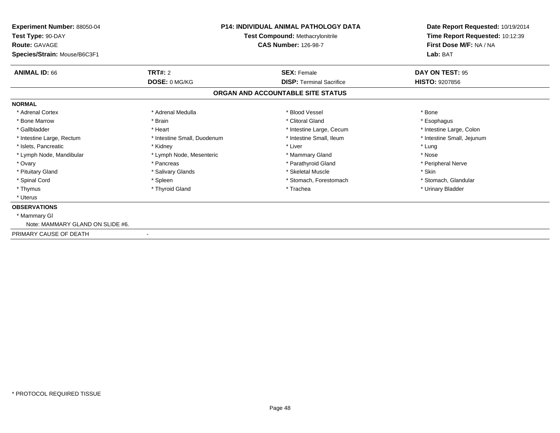| Experiment Number: 88050-04<br>Test Type: 90-DAY     | <b>P14: INDIVIDUAL ANIMAL PATHOLOGY DATA</b><br>Test Compound: Methacrylonitrile<br><b>CAS Number: 126-98-7</b> |                                   | Date Report Requested: 10/19/2014<br>Time Report Requested: 10:12:39 |
|------------------------------------------------------|-----------------------------------------------------------------------------------------------------------------|-----------------------------------|----------------------------------------------------------------------|
| <b>Route: GAVAGE</b><br>Species/Strain: Mouse/B6C3F1 |                                                                                                                 |                                   | First Dose M/F: NA / NA<br>Lab: BAT                                  |
| <b>ANIMAL ID: 66</b>                                 | TRT#: 2                                                                                                         | <b>SEX: Female</b>                | DAY ON TEST: 95                                                      |
|                                                      | DOSE: 0 MG/KG                                                                                                   | <b>DISP: Terminal Sacrifice</b>   | <b>HISTO: 9207856</b>                                                |
|                                                      |                                                                                                                 | ORGAN AND ACCOUNTABLE SITE STATUS |                                                                      |
| <b>NORMAL</b>                                        |                                                                                                                 |                                   |                                                                      |
| * Adrenal Cortex                                     | * Adrenal Medulla                                                                                               | * Blood Vessel                    | * Bone                                                               |
| * Bone Marrow                                        | * Brain                                                                                                         | * Clitoral Gland                  | * Esophagus                                                          |
| * Gallbladder                                        | * Heart                                                                                                         | * Intestine Large, Cecum          | * Intestine Large, Colon                                             |
| * Intestine Large, Rectum                            | * Intestine Small, Duodenum                                                                                     | * Intestine Small, Ileum          | * Intestine Small, Jejunum                                           |
| * Islets, Pancreatic                                 | * Kidney                                                                                                        | * Liver                           | * Lung                                                               |
| * Lymph Node, Mandibular                             | * Lymph Node, Mesenteric                                                                                        | * Mammary Gland                   | * Nose                                                               |
| * Ovary                                              | * Pancreas                                                                                                      | * Parathyroid Gland               | * Peripheral Nerve                                                   |
| * Pituitary Gland                                    | * Salivary Glands                                                                                               | * Skeletal Muscle                 | * Skin                                                               |
| * Spinal Cord                                        | * Spleen                                                                                                        | * Stomach, Forestomach            | * Stomach, Glandular                                                 |
| * Thymus                                             | * Thyroid Gland                                                                                                 | * Trachea                         | * Urinary Bladder                                                    |
| * Uterus                                             |                                                                                                                 |                                   |                                                                      |
| <b>OBSERVATIONS</b>                                  |                                                                                                                 |                                   |                                                                      |
| * Mammary GI                                         |                                                                                                                 |                                   |                                                                      |
| Note: MAMMARY GLAND ON SLIDE #6.                     |                                                                                                                 |                                   |                                                                      |
| PRIMARY CAUSE OF DEATH                               |                                                                                                                 |                                   |                                                                      |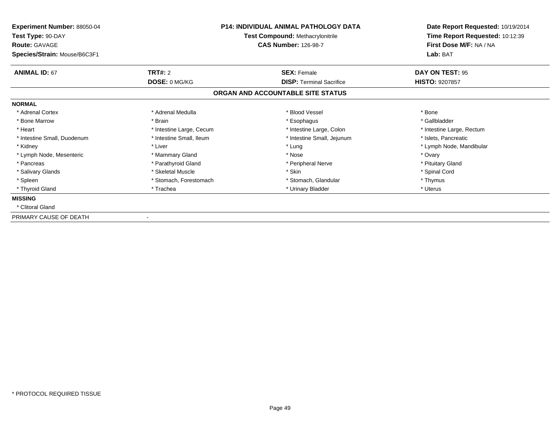| Experiment Number: 88050-04<br>Test Type: 90-DAY<br><b>Route: GAVAGE</b><br>Species/Strain: Mouse/B6C3F1 | <b>P14: INDIVIDUAL ANIMAL PATHOLOGY DATA</b><br>Test Compound: Methacrylonitrile<br><b>CAS Number: 126-98-7</b><br><b>TRT#: 2</b><br><b>SEX: Female</b> |                                                                      | Date Report Requested: 10/19/2014<br>Time Report Requested: 10:12:39<br>First Dose M/F: NA / NA<br>Lab: BAT |  |
|----------------------------------------------------------------------------------------------------------|---------------------------------------------------------------------------------------------------------------------------------------------------------|----------------------------------------------------------------------|-------------------------------------------------------------------------------------------------------------|--|
| <b>ANIMAL ID: 67</b>                                                                                     |                                                                                                                                                         |                                                                      | <b>DAY ON TEST: 95</b><br><b>HISTO: 9207857</b>                                                             |  |
|                                                                                                          | DOSE: 0 MG/KG                                                                                                                                           | <b>DISP: Terminal Sacrifice</b><br>ORGAN AND ACCOUNTABLE SITE STATUS |                                                                                                             |  |
| <b>NORMAL</b>                                                                                            |                                                                                                                                                         |                                                                      |                                                                                                             |  |
| * Adrenal Cortex                                                                                         | * Adrenal Medulla                                                                                                                                       | * Blood Vessel                                                       | * Bone                                                                                                      |  |
| * Bone Marrow                                                                                            | * Brain                                                                                                                                                 | * Esophagus                                                          | * Gallbladder                                                                                               |  |
| * Heart                                                                                                  | * Intestine Large, Cecum                                                                                                                                | * Intestine Large, Colon                                             | * Intestine Large, Rectum                                                                                   |  |
| * Intestine Small, Duodenum                                                                              | * Intestine Small, Ileum                                                                                                                                | * Intestine Small, Jejunum                                           | * Islets, Pancreatic                                                                                        |  |
| * Kidney                                                                                                 | * Liver                                                                                                                                                 | * Lung                                                               | * Lymph Node, Mandibular                                                                                    |  |
| * Lymph Node, Mesenteric                                                                                 | * Mammary Gland                                                                                                                                         | * Nose                                                               | * Ovary                                                                                                     |  |
| * Pancreas                                                                                               | * Parathyroid Gland                                                                                                                                     | * Peripheral Nerve                                                   | * Pituitary Gland                                                                                           |  |
| * Salivary Glands                                                                                        | * Skeletal Muscle                                                                                                                                       | * Skin                                                               | * Spinal Cord                                                                                               |  |
| * Spleen                                                                                                 | * Stomach, Forestomach                                                                                                                                  | * Stomach, Glandular                                                 | * Thymus                                                                                                    |  |
| * Thyroid Gland                                                                                          | * Trachea                                                                                                                                               | * Urinary Bladder                                                    | * Uterus                                                                                                    |  |
| <b>MISSING</b>                                                                                           |                                                                                                                                                         |                                                                      |                                                                                                             |  |
| * Clitoral Gland                                                                                         |                                                                                                                                                         |                                                                      |                                                                                                             |  |
| PRIMARY CAUSE OF DEATH                                                                                   |                                                                                                                                                         |                                                                      |                                                                                                             |  |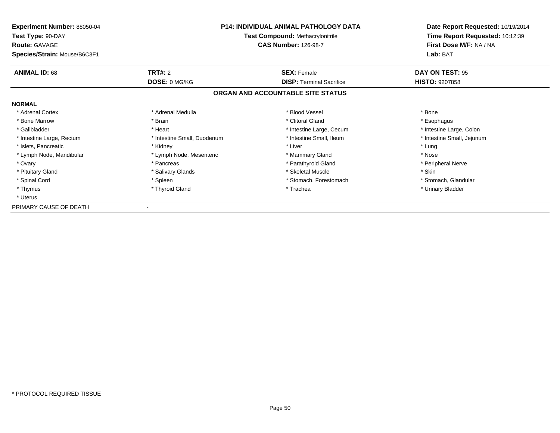| <b>Experiment Number: 88050-04</b><br>Test Type: 90-DAY<br><b>Route: GAVAGE</b><br>Species/Strain: Mouse/B6C3F1 | <b>P14: INDIVIDUAL ANIMAL PATHOLOGY DATA</b><br><b>Test Compound: Methacrylonitrile</b><br><b>CAS Number: 126-98-7</b> |                                   | Date Report Requested: 10/19/2014<br>Time Report Requested: 10:12:39<br>First Dose M/F: NA / NA<br>Lab: BAT |
|-----------------------------------------------------------------------------------------------------------------|------------------------------------------------------------------------------------------------------------------------|-----------------------------------|-------------------------------------------------------------------------------------------------------------|
| <b>ANIMAL ID: 68</b>                                                                                            | <b>TRT#: 2</b>                                                                                                         | <b>SEX: Female</b>                | DAY ON TEST: 95                                                                                             |
|                                                                                                                 | DOSE: 0 MG/KG                                                                                                          | <b>DISP:</b> Terminal Sacrifice   | <b>HISTO: 9207858</b>                                                                                       |
|                                                                                                                 |                                                                                                                        | ORGAN AND ACCOUNTABLE SITE STATUS |                                                                                                             |
| <b>NORMAL</b>                                                                                                   |                                                                                                                        |                                   |                                                                                                             |
| * Adrenal Cortex                                                                                                | * Adrenal Medulla                                                                                                      | * Blood Vessel                    | * Bone                                                                                                      |
| * Bone Marrow                                                                                                   | * Brain                                                                                                                | * Clitoral Gland                  | * Esophagus                                                                                                 |
| * Gallbladder                                                                                                   | * Heart                                                                                                                | * Intestine Large, Cecum          | * Intestine Large, Colon                                                                                    |
| * Intestine Large, Rectum                                                                                       | * Intestine Small, Duodenum                                                                                            | * Intestine Small, Ileum          | * Intestine Small, Jejunum                                                                                  |
| * Islets, Pancreatic                                                                                            | * Kidney                                                                                                               | * Liver                           | * Lung                                                                                                      |
| * Lymph Node, Mandibular                                                                                        | * Lymph Node, Mesenteric                                                                                               | * Mammary Gland                   | * Nose                                                                                                      |
| * Ovary                                                                                                         | * Pancreas                                                                                                             | * Parathyroid Gland               | * Peripheral Nerve                                                                                          |
| * Pituitary Gland                                                                                               | * Salivary Glands                                                                                                      | * Skeletal Muscle                 | * Skin                                                                                                      |
| * Spinal Cord                                                                                                   | * Spleen                                                                                                               | * Stomach, Forestomach            | * Stomach, Glandular                                                                                        |
| * Thymus                                                                                                        | * Thyroid Gland                                                                                                        | * Trachea                         | * Urinary Bladder                                                                                           |
| * Uterus                                                                                                        |                                                                                                                        |                                   |                                                                                                             |
| PRIMARY CAUSE OF DEATH                                                                                          |                                                                                                                        |                                   |                                                                                                             |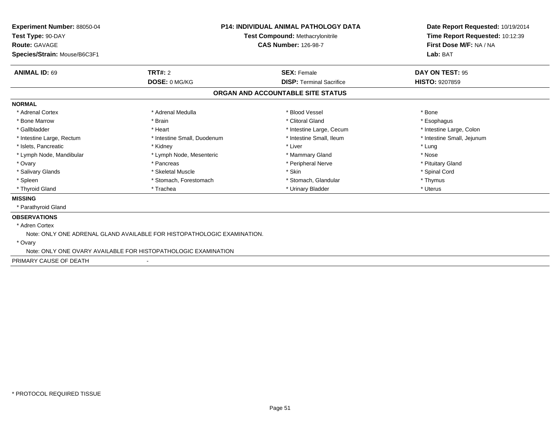| Experiment Number: 88050-04<br>Test Type: 90-DAY<br><b>Route: GAVAGE</b><br>Species/Strain: Mouse/B6C3F1 |                                                                         | <b>P14: INDIVIDUAL ANIMAL PATHOLOGY DATA</b><br>Test Compound: Methacrylonitrile<br><b>CAS Number: 126-98-7</b> | Date Report Requested: 10/19/2014<br>Time Report Requested: 10:12:39<br>First Dose M/F: NA / NA<br>Lab: BAT |
|----------------------------------------------------------------------------------------------------------|-------------------------------------------------------------------------|-----------------------------------------------------------------------------------------------------------------|-------------------------------------------------------------------------------------------------------------|
| <b>ANIMAL ID: 69</b>                                                                                     | TRT#: 2                                                                 | <b>SEX: Female</b>                                                                                              | DAY ON TEST: 95                                                                                             |
|                                                                                                          | DOSE: 0 MG/KG                                                           | <b>DISP: Terminal Sacrifice</b>                                                                                 | <b>HISTO: 9207859</b>                                                                                       |
|                                                                                                          |                                                                         | ORGAN AND ACCOUNTABLE SITE STATUS                                                                               |                                                                                                             |
| <b>NORMAL</b>                                                                                            |                                                                         |                                                                                                                 |                                                                                                             |
| * Adrenal Cortex                                                                                         | * Adrenal Medulla                                                       | * Blood Vessel                                                                                                  | * Bone                                                                                                      |
| * Bone Marrow                                                                                            | * Brain                                                                 | * Clitoral Gland                                                                                                | * Esophagus                                                                                                 |
| * Gallbladder                                                                                            | * Heart                                                                 | * Intestine Large, Cecum                                                                                        | * Intestine Large, Colon                                                                                    |
| * Intestine Large, Rectum                                                                                | * Intestine Small, Duodenum                                             | * Intestine Small, Ileum                                                                                        | * Intestine Small, Jejunum                                                                                  |
| * Islets, Pancreatic                                                                                     | * Kidney                                                                | * Liver                                                                                                         | * Lung                                                                                                      |
| * Lymph Node, Mandibular                                                                                 | * Lymph Node, Mesenteric                                                | * Mammary Gland                                                                                                 | * Nose                                                                                                      |
| * Ovary                                                                                                  | * Pancreas                                                              | * Peripheral Nerve                                                                                              | * Pituitary Gland                                                                                           |
| * Salivary Glands                                                                                        | * Skeletal Muscle                                                       | * Skin                                                                                                          | * Spinal Cord                                                                                               |
| * Spleen                                                                                                 | * Stomach, Forestomach                                                  | * Stomach, Glandular                                                                                            | * Thymus                                                                                                    |
| * Thyroid Gland                                                                                          | * Trachea                                                               | * Urinary Bladder                                                                                               | * Uterus                                                                                                    |
| <b>MISSING</b>                                                                                           |                                                                         |                                                                                                                 |                                                                                                             |
| * Parathyroid Gland                                                                                      |                                                                         |                                                                                                                 |                                                                                                             |
| <b>OBSERVATIONS</b>                                                                                      |                                                                         |                                                                                                                 |                                                                                                             |
| * Adren Cortex                                                                                           |                                                                         |                                                                                                                 |                                                                                                             |
|                                                                                                          | Note: ONLY ONE ADRENAL GLAND AVAILABLE FOR HISTOPATHOLOGIC EXAMINATION. |                                                                                                                 |                                                                                                             |
| * Ovary                                                                                                  |                                                                         |                                                                                                                 |                                                                                                             |
|                                                                                                          | Note: ONLY ONE OVARY AVAILABLE FOR HISTOPATHOLOGIC EXAMINATION          |                                                                                                                 |                                                                                                             |
| PRIMARY CAUSE OF DEATH                                                                                   |                                                                         |                                                                                                                 |                                                                                                             |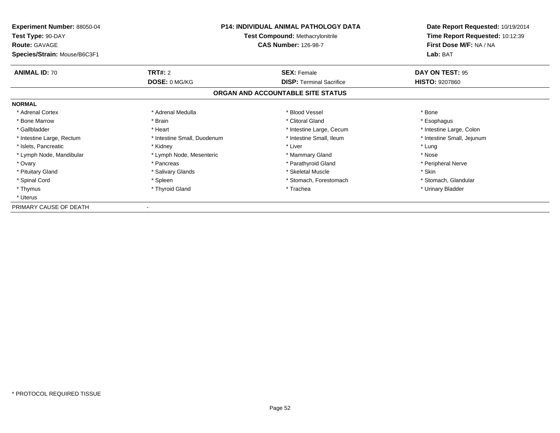| <b>Experiment Number: 88050-04</b><br>Test Type: 90-DAY<br><b>Route: GAVAGE</b><br>Species/Strain: Mouse/B6C3F1 | <b>P14: INDIVIDUAL ANIMAL PATHOLOGY DATA</b><br><b>Test Compound: Methacrylonitrile</b><br><b>CAS Number: 126-98-7</b> |                                   | Date Report Requested: 10/19/2014<br>Time Report Requested: 10:12:39<br>First Dose M/F: NA / NA<br>Lab: BAT |
|-----------------------------------------------------------------------------------------------------------------|------------------------------------------------------------------------------------------------------------------------|-----------------------------------|-------------------------------------------------------------------------------------------------------------|
| <b>ANIMAL ID: 70</b>                                                                                            | <b>TRT#: 2</b>                                                                                                         | <b>SEX: Female</b>                | DAY ON TEST: 95                                                                                             |
|                                                                                                                 | DOSE: 0 MG/KG                                                                                                          | <b>DISP:</b> Terminal Sacrifice   | <b>HISTO: 9207860</b>                                                                                       |
|                                                                                                                 |                                                                                                                        | ORGAN AND ACCOUNTABLE SITE STATUS |                                                                                                             |
| <b>NORMAL</b>                                                                                                   |                                                                                                                        |                                   |                                                                                                             |
| * Adrenal Cortex                                                                                                | * Adrenal Medulla                                                                                                      | * Blood Vessel                    | * Bone                                                                                                      |
| * Bone Marrow                                                                                                   | * Brain                                                                                                                | * Clitoral Gland                  | * Esophagus                                                                                                 |
| * Gallbladder                                                                                                   | * Heart                                                                                                                | * Intestine Large, Cecum          | * Intestine Large, Colon                                                                                    |
| * Intestine Large, Rectum                                                                                       | * Intestine Small, Duodenum                                                                                            | * Intestine Small, Ileum          | * Intestine Small, Jejunum                                                                                  |
| * Islets, Pancreatic                                                                                            | * Kidney                                                                                                               | * Liver                           | * Lung                                                                                                      |
| * Lymph Node, Mandibular                                                                                        | * Lymph Node, Mesenteric                                                                                               | * Mammary Gland                   | * Nose                                                                                                      |
| * Ovary                                                                                                         | * Pancreas                                                                                                             | * Parathyroid Gland               | * Peripheral Nerve                                                                                          |
| * Pituitary Gland                                                                                               | * Salivary Glands                                                                                                      | * Skeletal Muscle                 | * Skin                                                                                                      |
| * Spinal Cord                                                                                                   | * Spleen                                                                                                               | * Stomach, Forestomach            | * Stomach, Glandular                                                                                        |
| * Thymus                                                                                                        | * Thyroid Gland                                                                                                        | * Trachea                         | * Urinary Bladder                                                                                           |
| * Uterus                                                                                                        |                                                                                                                        |                                   |                                                                                                             |
| PRIMARY CAUSE OF DEATH                                                                                          |                                                                                                                        |                                   |                                                                                                             |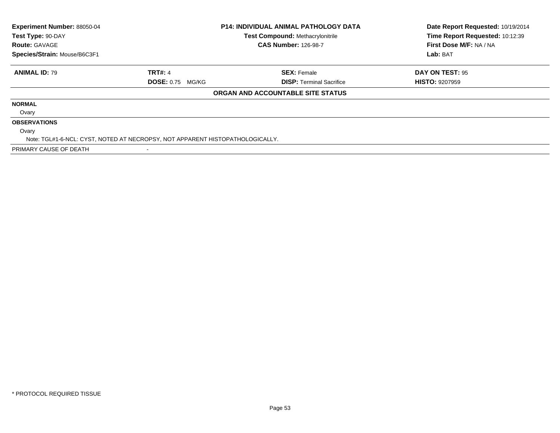| Experiment Number: 88050-04<br>Test Type: 90-DAY |                                                                               | <b>P14: INDIVIDUAL ANIMAL PATHOLOGY DATA</b><br><b>Test Compound: Methacrylonitrile</b> | Date Report Requested: 10/19/2014<br>Time Report Requested: 10:12:39 |
|--------------------------------------------------|-------------------------------------------------------------------------------|-----------------------------------------------------------------------------------------|----------------------------------------------------------------------|
| <b>Route: GAVAGE</b>                             |                                                                               | <b>CAS Number: 126-98-7</b>                                                             | First Dose M/F: NA / NA                                              |
| Species/Strain: Mouse/B6C3F1                     |                                                                               |                                                                                         | Lab: BAT                                                             |
| <b>ANIMAL ID: 79</b>                             | <b>TRT#: 4</b>                                                                | <b>SEX: Female</b>                                                                      | DAY ON TEST: 95                                                      |
|                                                  | <b>DOSE: 0.75 MG/KG</b>                                                       | <b>DISP: Terminal Sacrifice</b>                                                         | <b>HISTO: 9207959</b>                                                |
|                                                  |                                                                               | ORGAN AND ACCOUNTABLE SITE STATUS                                                       |                                                                      |
| <b>NORMAL</b>                                    |                                                                               |                                                                                         |                                                                      |
| Ovary                                            |                                                                               |                                                                                         |                                                                      |
| <b>OBSERVATIONS</b>                              |                                                                               |                                                                                         |                                                                      |
| Ovary                                            |                                                                               |                                                                                         |                                                                      |
|                                                  | Note: TGL#1-6-NCL: CYST, NOTED AT NECROPSY, NOT APPARENT HISTOPATHOLOGICALLY. |                                                                                         |                                                                      |
| PRIMARY CAUSE OF DEATH                           |                                                                               |                                                                                         |                                                                      |

-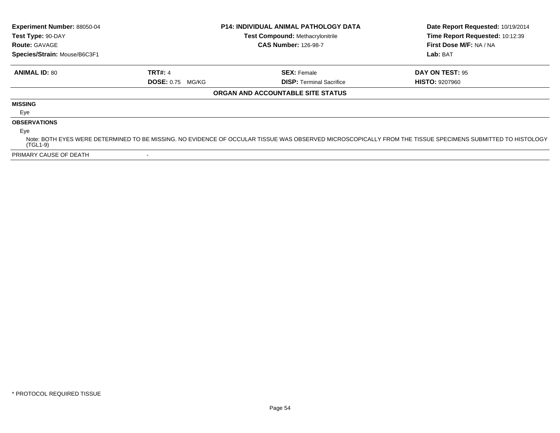| Experiment Number: 88050-04<br>Test Type: 90-DAY |                         | <b>P14: INDIVIDUAL ANIMAL PATHOLOGY DATA</b><br><b>Test Compound: Methacrylonitrile</b> | Date Report Requested: 10/19/2014<br>Time Report Requested: 10:12:39                                                                                       |
|--------------------------------------------------|-------------------------|-----------------------------------------------------------------------------------------|------------------------------------------------------------------------------------------------------------------------------------------------------------|
| <b>Route: GAVAGE</b>                             |                         | <b>CAS Number: 126-98-7</b>                                                             | First Dose M/F: NA / NA                                                                                                                                    |
| Species/Strain: Mouse/B6C3F1                     |                         |                                                                                         | Lab: BAT                                                                                                                                                   |
| <b>ANIMAL ID: 80</b>                             | <b>TRT#: 4</b>          | <b>SEX: Female</b>                                                                      | DAY ON TEST: 95                                                                                                                                            |
|                                                  | <b>DOSE: 0.75 MG/KG</b> | <b>DISP:</b> Terminal Sacrifice                                                         | <b>HISTO: 9207960</b>                                                                                                                                      |
|                                                  |                         | ORGAN AND ACCOUNTABLE SITE STATUS                                                       |                                                                                                                                                            |
| <b>MISSING</b>                                   |                         |                                                                                         |                                                                                                                                                            |
| Eye                                              |                         |                                                                                         |                                                                                                                                                            |
| <b>OBSERVATIONS</b>                              |                         |                                                                                         |                                                                                                                                                            |
| Eve                                              |                         |                                                                                         |                                                                                                                                                            |
| (TGL1-9)                                         |                         |                                                                                         | Note: BOTH EYES WERE DETERMINED TO BE MISSING. NO EVIDENCE OF OCCULAR TISSUE WAS OBSERVED MICROSCOPICALLY FROM THE TISSUE SPECIMENS SUBMITTED TO HISTOLOGY |
| PRIMARY CAUSE OF DEATH                           |                         |                                                                                         |                                                                                                                                                            |

-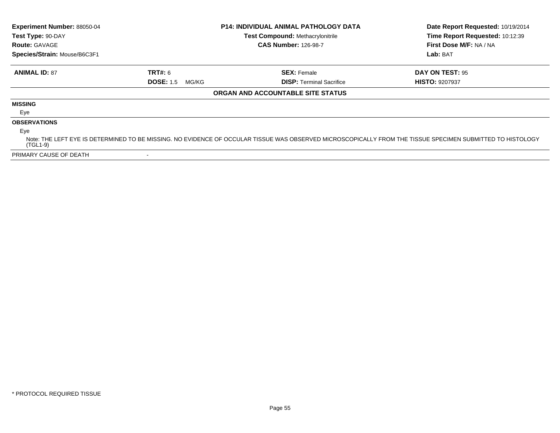| Experiment Number: 88050-04<br>Test Type: 90-DAY |                           | <b>P14: INDIVIDUAL ANIMAL PATHOLOGY DATA</b><br><b>Test Compound: Methacrylonitrile</b> | Date Report Requested: 10/19/2014<br>Time Report Requested: 10:12:39                                                                                       |  |
|--------------------------------------------------|---------------------------|-----------------------------------------------------------------------------------------|------------------------------------------------------------------------------------------------------------------------------------------------------------|--|
| <b>Route: GAVAGE</b>                             |                           | <b>CAS Number: 126-98-7</b>                                                             | First Dose M/F: NA / NA                                                                                                                                    |  |
| Species/Strain: Mouse/B6C3F1                     |                           |                                                                                         | Lab: BAT                                                                                                                                                   |  |
| <b>ANIMAL ID: 87</b>                             | <b>TRT#: 6</b>            | <b>SEX: Female</b>                                                                      | DAY ON TEST: 95                                                                                                                                            |  |
|                                                  | <b>DOSE: 1.5</b><br>MG/KG | <b>DISP:</b> Terminal Sacrifice                                                         | <b>HISTO: 9207937</b>                                                                                                                                      |  |
|                                                  |                           | ORGAN AND ACCOUNTABLE SITE STATUS                                                       |                                                                                                                                                            |  |
| <b>MISSING</b>                                   |                           |                                                                                         |                                                                                                                                                            |  |
| Eye                                              |                           |                                                                                         |                                                                                                                                                            |  |
| <b>OBSERVATIONS</b>                              |                           |                                                                                         |                                                                                                                                                            |  |
| Eye                                              |                           |                                                                                         |                                                                                                                                                            |  |
| (TGL1-9)                                         |                           |                                                                                         | Note: THE LEFT EYE IS DETERMINED TO BE MISSING. NO EVIDENCE OF OCCULAR TISSUE WAS OBSERVED MICROSCOPICALLY FROM THE TISSUE SPECIMEN SUBMITTED TO HISTOLOGY |  |
| PRIMARY CAUSE OF DEATH                           |                           |                                                                                         |                                                                                                                                                            |  |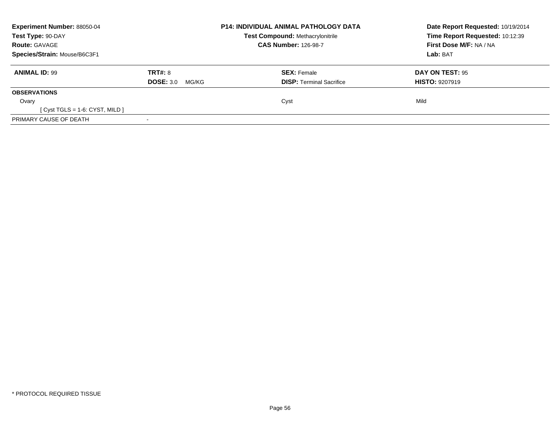| <b>Experiment Number: 88050-04</b><br>Test Type: 90-DAY<br><b>Route: GAVAGE</b><br>Species/Strain: Mouse/B6C3F1 |                           | <b>P14: INDIVIDUAL ANIMAL PATHOLOGY DATA</b><br><b>Test Compound: Methacrylonitrile</b><br><b>CAS Number: 126-98-7</b> |                                 | Date Report Requested: 10/19/2014<br>Time Report Requested: 10:12:39 |
|-----------------------------------------------------------------------------------------------------------------|---------------------------|------------------------------------------------------------------------------------------------------------------------|---------------------------------|----------------------------------------------------------------------|
|                                                                                                                 |                           |                                                                                                                        |                                 |                                                                      |
|                                                                                                                 |                           |                                                                                                                        |                                 |                                                                      |
|                                                                                                                 |                           | <b>ANIMAL ID: 99</b>                                                                                                   | TRT#: 8                         |                                                                      |
|                                                                                                                 | <b>DOSE: 3.0</b><br>MG/KG |                                                                                                                        | <b>DISP:</b> Terminal Sacrifice | <b>HISTO: 9207919</b>                                                |
| <b>OBSERVATIONS</b>                                                                                             |                           |                                                                                                                        |                                 |                                                                      |
| Ovary                                                                                                           |                           | Cyst                                                                                                                   |                                 | Mild                                                                 |
| $[Cyst TGLS = 1-6: CYST, MILD]$                                                                                 |                           |                                                                                                                        |                                 |                                                                      |
| PRIMARY CAUSE OF DEATH                                                                                          |                           |                                                                                                                        |                                 |                                                                      |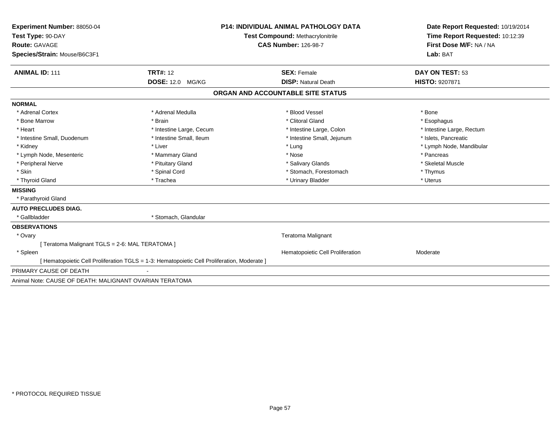| Experiment Number: 88050-04                                                                 |                                                                 | <b>P14: INDIVIDUAL ANIMAL PATHOLOGY DATA</b> | Date Report Requested: 10/19/2014                          |  |
|---------------------------------------------------------------------------------------------|-----------------------------------------------------------------|----------------------------------------------|------------------------------------------------------------|--|
| Test Type: 90-DAY                                                                           | Test Compound: Methacrylonitrile<br><b>CAS Number: 126-98-7</b> |                                              | Time Report Requested: 10:12:39<br>First Dose M/F: NA / NA |  |
| <b>Route: GAVAGE</b>                                                                        |                                                                 |                                              |                                                            |  |
| Species/Strain: Mouse/B6C3F1                                                                |                                                                 |                                              | Lab: BAT                                                   |  |
| <b>ANIMAL ID: 111</b>                                                                       | <b>TRT#: 12</b>                                                 | <b>SEX: Female</b>                           | DAY ON TEST: 53                                            |  |
|                                                                                             | <b>DOSE: 12.0 MG/KG</b>                                         | <b>DISP: Natural Death</b>                   | HISTO: 9207871                                             |  |
|                                                                                             |                                                                 | ORGAN AND ACCOUNTABLE SITE STATUS            |                                                            |  |
| <b>NORMAL</b>                                                                               |                                                                 |                                              |                                                            |  |
| * Adrenal Cortex                                                                            | * Adrenal Medulla                                               | * Blood Vessel                               | * Bone                                                     |  |
| * Bone Marrow                                                                               | * Brain                                                         | * Clitoral Gland                             | * Esophagus                                                |  |
| * Heart                                                                                     | * Intestine Large, Cecum                                        | * Intestine Large, Colon                     | * Intestine Large, Rectum                                  |  |
| * Intestine Small, Duodenum                                                                 | * Intestine Small, Ileum                                        | * Intestine Small, Jejunum                   | * Islets, Pancreatic                                       |  |
| * Kidney                                                                                    | * Liver                                                         | * Lung                                       | * Lymph Node, Mandibular                                   |  |
| * Lymph Node, Mesenteric                                                                    | * Mammary Gland                                                 | * Nose                                       | * Pancreas                                                 |  |
| * Peripheral Nerve                                                                          | * Pituitary Gland                                               | * Salivary Glands                            | * Skeletal Muscle                                          |  |
| * Skin                                                                                      | * Spinal Cord                                                   | * Stomach, Forestomach                       | * Thymus                                                   |  |
| * Thyroid Gland                                                                             | * Trachea                                                       | * Urinary Bladder                            | * Uterus                                                   |  |
| <b>MISSING</b>                                                                              |                                                                 |                                              |                                                            |  |
| * Parathyroid Gland                                                                         |                                                                 |                                              |                                                            |  |
| <b>AUTO PRECLUDES DIAG.</b>                                                                 |                                                                 |                                              |                                                            |  |
| * Gallbladder                                                                               | * Stomach, Glandular                                            |                                              |                                                            |  |
| <b>OBSERVATIONS</b>                                                                         |                                                                 |                                              |                                                            |  |
| * Ovary                                                                                     |                                                                 | <b>Teratoma Malignant</b>                    |                                                            |  |
| [ Teratoma Malignant TGLS = 2-6: MAL TERATOMA ]                                             |                                                                 |                                              |                                                            |  |
| * Spleen                                                                                    |                                                                 | Hematopoietic Cell Proliferation             | Moderate                                                   |  |
| [ Hematopoietic Cell Proliferation TGLS = 1-3: Hematopoietic Cell Proliferation, Moderate ] |                                                                 |                                              |                                                            |  |
| PRIMARY CAUSE OF DEATH                                                                      |                                                                 |                                              |                                                            |  |
| Animal Note: CAUSE OF DEATH: MALIGNANT OVARIAN TERATOMA                                     |                                                                 |                                              |                                                            |  |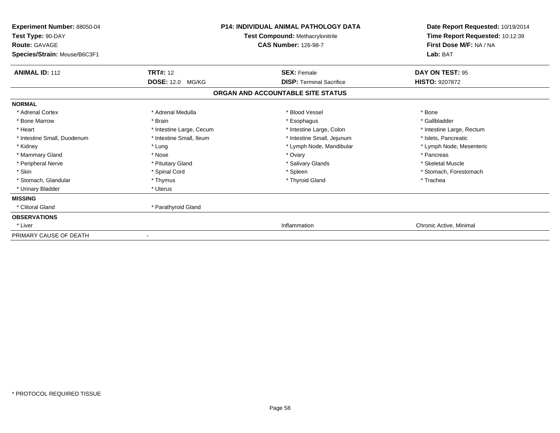| Experiment Number: 88050-04<br>Test Type: 90-DAY<br><b>Route: GAVAGE</b> |                          | <b>P14: INDIVIDUAL ANIMAL PATHOLOGY DATA</b><br><b>Test Compound: Methacrylonitrile</b><br><b>CAS Number: 126-98-7</b> | Date Report Requested: 10/19/2014<br>Time Report Requested: 10:12:39<br>First Dose M/F: NA / NA |  |
|--------------------------------------------------------------------------|--------------------------|------------------------------------------------------------------------------------------------------------------------|-------------------------------------------------------------------------------------------------|--|
| Species/Strain: Mouse/B6C3F1                                             |                          |                                                                                                                        | Lab: BAT                                                                                        |  |
| <b>ANIMAL ID: 112</b>                                                    | <b>TRT#: 12</b>          | <b>SEX: Female</b>                                                                                                     | <b>DAY ON TEST: 95</b>                                                                          |  |
|                                                                          | <b>DOSE: 12.0 MG/KG</b>  | <b>DISP: Terminal Sacrifice</b>                                                                                        | <b>HISTO: 9207872</b>                                                                           |  |
|                                                                          |                          | ORGAN AND ACCOUNTABLE SITE STATUS                                                                                      |                                                                                                 |  |
| <b>NORMAL</b>                                                            |                          |                                                                                                                        |                                                                                                 |  |
| * Adrenal Cortex                                                         | * Adrenal Medulla        | * Blood Vessel                                                                                                         | * Bone                                                                                          |  |
| * Bone Marrow                                                            | * Brain                  | * Esophagus                                                                                                            | * Gallbladder                                                                                   |  |
| * Heart                                                                  | * Intestine Large, Cecum | * Intestine Large, Colon                                                                                               | * Intestine Large, Rectum                                                                       |  |
| * Intestine Small, Duodenum                                              | * Intestine Small, Ileum | * Intestine Small, Jejunum                                                                                             | * Islets, Pancreatic                                                                            |  |
| * Kidney                                                                 | * Lung                   | * Lymph Node, Mandibular                                                                                               | * Lymph Node, Mesenteric                                                                        |  |
| * Mammary Gland                                                          | * Nose                   | * Ovary                                                                                                                | * Pancreas                                                                                      |  |
| * Peripheral Nerve                                                       | * Pituitary Gland        | * Salivary Glands                                                                                                      | * Skeletal Muscle                                                                               |  |
| * Skin                                                                   | * Spinal Cord            | * Spleen                                                                                                               | * Stomach, Forestomach                                                                          |  |
| * Stomach, Glandular                                                     | * Thymus                 | * Thyroid Gland                                                                                                        | * Trachea                                                                                       |  |
| * Urinary Bladder                                                        | * Uterus                 |                                                                                                                        |                                                                                                 |  |
| <b>MISSING</b>                                                           |                          |                                                                                                                        |                                                                                                 |  |
| * Clitoral Gland                                                         | * Parathyroid Gland      |                                                                                                                        |                                                                                                 |  |
| <b>OBSERVATIONS</b>                                                      |                          |                                                                                                                        |                                                                                                 |  |
| * Liver                                                                  |                          | Inflammation                                                                                                           | Chronic Active, Minimal                                                                         |  |
| PRIMARY CAUSE OF DEATH                                                   |                          |                                                                                                                        |                                                                                                 |  |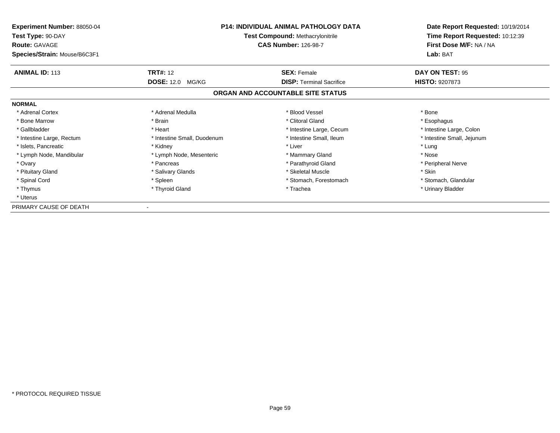| <b>Experiment Number: 88050-04</b><br>Test Type: 90-DAY<br><b>Route: GAVAGE</b><br>Species/Strain: Mouse/B6C3F1 | <b>P14: INDIVIDUAL ANIMAL PATHOLOGY DATA</b><br><b>Test Compound: Methacrylonitrile</b><br><b>CAS Number: 126-98-7</b> |                                   | Date Report Requested: 10/19/2014<br>Time Report Requested: 10:12:39<br>First Dose M/F: NA / NA<br>Lab: BAT |
|-----------------------------------------------------------------------------------------------------------------|------------------------------------------------------------------------------------------------------------------------|-----------------------------------|-------------------------------------------------------------------------------------------------------------|
| <b>ANIMAL ID: 113</b>                                                                                           | <b>TRT#: 12</b>                                                                                                        | <b>SEX: Female</b>                | DAY ON TEST: 95                                                                                             |
|                                                                                                                 | <b>DOSE: 12.0 MG/KG</b>                                                                                                | <b>DISP:</b> Terminal Sacrifice   | <b>HISTO: 9207873</b>                                                                                       |
|                                                                                                                 |                                                                                                                        | ORGAN AND ACCOUNTABLE SITE STATUS |                                                                                                             |
| <b>NORMAL</b>                                                                                                   |                                                                                                                        |                                   |                                                                                                             |
| * Adrenal Cortex                                                                                                | * Adrenal Medulla                                                                                                      | * Blood Vessel                    | * Bone                                                                                                      |
| * Bone Marrow                                                                                                   | * Brain                                                                                                                | * Clitoral Gland                  | * Esophagus                                                                                                 |
| * Gallbladder                                                                                                   | * Heart                                                                                                                | * Intestine Large, Cecum          | * Intestine Large, Colon                                                                                    |
| * Intestine Large, Rectum                                                                                       | * Intestine Small, Duodenum                                                                                            | * Intestine Small, Ileum          | * Intestine Small, Jejunum                                                                                  |
| * Islets, Pancreatic                                                                                            | * Kidney                                                                                                               | * Liver                           | * Lung                                                                                                      |
| * Lymph Node, Mandibular                                                                                        | * Lymph Node, Mesenteric                                                                                               | * Mammary Gland                   | * Nose                                                                                                      |
| * Ovary                                                                                                         | * Pancreas                                                                                                             | * Parathyroid Gland               | * Peripheral Nerve                                                                                          |
| * Pituitary Gland                                                                                               | * Salivary Glands                                                                                                      | * Skeletal Muscle                 | * Skin                                                                                                      |
| * Spinal Cord                                                                                                   | * Spleen                                                                                                               | * Stomach, Forestomach            | * Stomach, Glandular                                                                                        |
| * Thymus                                                                                                        | * Thyroid Gland                                                                                                        | * Trachea                         | * Urinary Bladder                                                                                           |
| * Uterus                                                                                                        |                                                                                                                        |                                   |                                                                                                             |
| PRIMARY CAUSE OF DEATH                                                                                          |                                                                                                                        |                                   |                                                                                                             |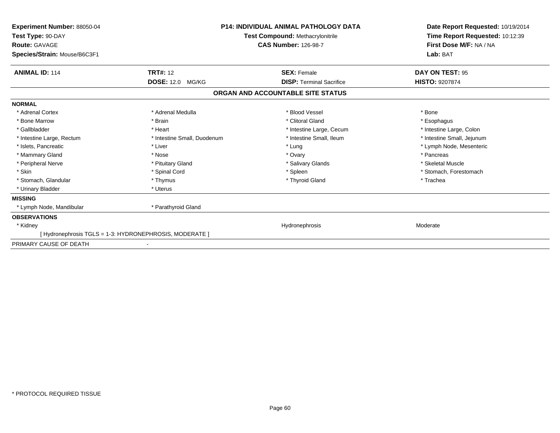| Experiment Number: 88050-04<br>Test Type: 90-DAY<br><b>Route: GAVAGE</b><br>Species/Strain: Mouse/B6C3F1 | <b>P14: INDIVIDUAL ANIMAL PATHOLOGY DATA</b><br><b>Test Compound: Methacrylonitrile</b><br><b>CAS Number: 126-98-7</b> |                                   | Date Report Requested: 10/19/2014<br>Time Report Requested: 10:12:39<br>First Dose M/F: NA / NA<br>Lab: BAT |  |
|----------------------------------------------------------------------------------------------------------|------------------------------------------------------------------------------------------------------------------------|-----------------------------------|-------------------------------------------------------------------------------------------------------------|--|
| <b>ANIMAL ID: 114</b>                                                                                    | <b>TRT#: 12</b>                                                                                                        | <b>SEX: Female</b>                | DAY ON TEST: 95                                                                                             |  |
|                                                                                                          | <b>DOSE: 12.0 MG/KG</b>                                                                                                | <b>DISP: Terminal Sacrifice</b>   | <b>HISTO: 9207874</b>                                                                                       |  |
|                                                                                                          |                                                                                                                        | ORGAN AND ACCOUNTABLE SITE STATUS |                                                                                                             |  |
| <b>NORMAL</b>                                                                                            |                                                                                                                        |                                   |                                                                                                             |  |
| * Adrenal Cortex                                                                                         | * Adrenal Medulla                                                                                                      | * Blood Vessel                    | * Bone                                                                                                      |  |
| * Bone Marrow                                                                                            | * Brain                                                                                                                | * Clitoral Gland                  | * Esophagus                                                                                                 |  |
| * Gallbladder                                                                                            | * Heart                                                                                                                | * Intestine Large, Cecum          | * Intestine Large, Colon                                                                                    |  |
| * Intestine Large, Rectum                                                                                | * Intestine Small, Duodenum                                                                                            | * Intestine Small, Ileum          | * Intestine Small, Jejunum                                                                                  |  |
| * Islets, Pancreatic                                                                                     | * Liver                                                                                                                | * Lung                            | * Lymph Node, Mesenteric                                                                                    |  |
| * Mammary Gland                                                                                          | * Nose                                                                                                                 | * Ovary                           | * Pancreas                                                                                                  |  |
| * Peripheral Nerve                                                                                       | * Pituitary Gland                                                                                                      | * Salivary Glands                 | * Skeletal Muscle                                                                                           |  |
| * Skin                                                                                                   | * Spinal Cord                                                                                                          | * Spleen                          | * Stomach, Forestomach                                                                                      |  |
| * Stomach. Glandular                                                                                     | * Thymus                                                                                                               | * Thyroid Gland                   | * Trachea                                                                                                   |  |
| * Urinary Bladder                                                                                        | * Uterus                                                                                                               |                                   |                                                                                                             |  |
| <b>MISSING</b>                                                                                           |                                                                                                                        |                                   |                                                                                                             |  |
| * Lymph Node, Mandibular                                                                                 | * Parathyroid Gland                                                                                                    |                                   |                                                                                                             |  |
| <b>OBSERVATIONS</b>                                                                                      |                                                                                                                        |                                   |                                                                                                             |  |
| * Kidney                                                                                                 |                                                                                                                        | Hydronephrosis                    | Moderate                                                                                                    |  |
|                                                                                                          | [Hydronephrosis TGLS = 1-3: HYDRONEPHROSIS, MODERATE ]                                                                 |                                   |                                                                                                             |  |
| PRIMARY CAUSE OF DEATH                                                                                   |                                                                                                                        |                                   |                                                                                                             |  |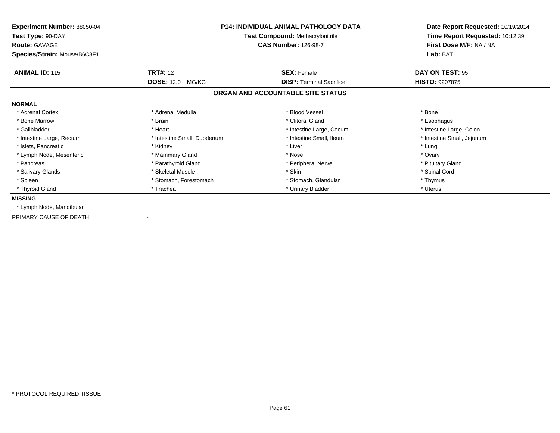| Experiment Number: 88050-04<br>Test Type: 90-DAY<br><b>Route: GAVAGE</b><br>Species/Strain: Mouse/B6C3F1 | <b>P14: INDIVIDUAL ANIMAL PATHOLOGY DATA</b><br><b>Test Compound: Methacrylonitrile</b><br><b>CAS Number: 126-98-7</b><br><b>TRT#:</b> 12<br><b>SEX: Female</b> |                                   | Date Report Requested: 10/19/2014<br>Time Report Requested: 10:12:39<br>First Dose M/F: NA / NA<br>Lab: BAT |  |
|----------------------------------------------------------------------------------------------------------|-----------------------------------------------------------------------------------------------------------------------------------------------------------------|-----------------------------------|-------------------------------------------------------------------------------------------------------------|--|
| <b>ANIMAL ID: 115</b>                                                                                    |                                                                                                                                                                 |                                   | DAY ON TEST: 95                                                                                             |  |
|                                                                                                          | <b>DOSE: 12.0</b><br>MG/KG                                                                                                                                      | <b>DISP: Terminal Sacrifice</b>   | <b>HISTO: 9207875</b>                                                                                       |  |
|                                                                                                          |                                                                                                                                                                 | ORGAN AND ACCOUNTABLE SITE STATUS |                                                                                                             |  |
| <b>NORMAL</b>                                                                                            |                                                                                                                                                                 |                                   |                                                                                                             |  |
| * Adrenal Cortex                                                                                         | * Adrenal Medulla                                                                                                                                               | * Blood Vessel                    | * Bone                                                                                                      |  |
| * Bone Marrow                                                                                            | * Brain                                                                                                                                                         | * Clitoral Gland                  | * Esophagus                                                                                                 |  |
| * Gallbladder                                                                                            | * Heart                                                                                                                                                         | * Intestine Large, Cecum          | * Intestine Large, Colon                                                                                    |  |
| * Intestine Large, Rectum                                                                                | * Intestine Small, Duodenum                                                                                                                                     | * Intestine Small, Ileum          | * Intestine Small, Jejunum                                                                                  |  |
| * Islets, Pancreatic                                                                                     | * Kidney                                                                                                                                                        | * Liver                           | * Lung                                                                                                      |  |
| * Lymph Node, Mesenteric                                                                                 | * Mammary Gland                                                                                                                                                 | * Nose                            | * Ovary                                                                                                     |  |
| * Pancreas                                                                                               | * Parathyroid Gland                                                                                                                                             | * Peripheral Nerve                | * Pituitary Gland                                                                                           |  |
| * Salivary Glands                                                                                        | * Skeletal Muscle                                                                                                                                               | * Skin                            | * Spinal Cord                                                                                               |  |
| * Spleen                                                                                                 | * Stomach, Forestomach                                                                                                                                          | * Stomach, Glandular              | * Thymus                                                                                                    |  |
| * Thyroid Gland                                                                                          | * Trachea                                                                                                                                                       | * Urinary Bladder                 | * Uterus                                                                                                    |  |
| <b>MISSING</b>                                                                                           |                                                                                                                                                                 |                                   |                                                                                                             |  |
| * Lymph Node, Mandibular                                                                                 |                                                                                                                                                                 |                                   |                                                                                                             |  |
| PRIMARY CAUSE OF DEATH                                                                                   |                                                                                                                                                                 |                                   |                                                                                                             |  |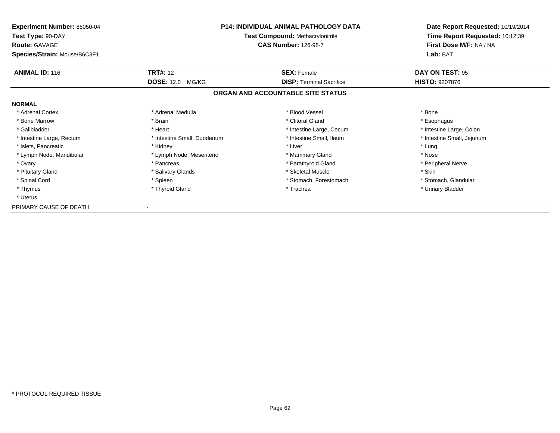| <b>Experiment Number: 88050-04</b><br>Test Type: 90-DAY<br><b>Route: GAVAGE</b><br>Species/Strain: Mouse/B6C3F1 | <b>P14: INDIVIDUAL ANIMAL PATHOLOGY DATA</b><br><b>Test Compound: Methacrylonitrile</b><br><b>CAS Number: 126-98-7</b> |                                   | Date Report Requested: 10/19/2014<br>Time Report Requested: 10:12:39<br>First Dose M/F: NA / NA<br>Lab: BAT |
|-----------------------------------------------------------------------------------------------------------------|------------------------------------------------------------------------------------------------------------------------|-----------------------------------|-------------------------------------------------------------------------------------------------------------|
| <b>ANIMAL ID: 116</b>                                                                                           | <b>TRT#: 12</b>                                                                                                        | <b>SEX: Female</b>                | DAY ON TEST: 95                                                                                             |
|                                                                                                                 | <b>DOSE: 12.0 MG/KG</b>                                                                                                | <b>DISP:</b> Terminal Sacrifice   | <b>HISTO: 9207876</b>                                                                                       |
|                                                                                                                 |                                                                                                                        | ORGAN AND ACCOUNTABLE SITE STATUS |                                                                                                             |
| <b>NORMAL</b>                                                                                                   |                                                                                                                        |                                   |                                                                                                             |
| * Adrenal Cortex                                                                                                | * Adrenal Medulla                                                                                                      | * Blood Vessel                    | * Bone                                                                                                      |
| * Bone Marrow                                                                                                   | * Brain                                                                                                                | * Clitoral Gland                  | * Esophagus                                                                                                 |
| * Gallbladder                                                                                                   | * Heart                                                                                                                | * Intestine Large, Cecum          | * Intestine Large, Colon                                                                                    |
| * Intestine Large, Rectum                                                                                       | * Intestine Small, Duodenum                                                                                            | * Intestine Small, Ileum          | * Intestine Small, Jejunum                                                                                  |
| * Islets, Pancreatic                                                                                            | * Kidney                                                                                                               | * Liver                           | * Lung                                                                                                      |
| * Lymph Node, Mandibular                                                                                        | * Lymph Node, Mesenteric                                                                                               | * Mammary Gland                   | * Nose                                                                                                      |
| * Ovary                                                                                                         | * Pancreas                                                                                                             | * Parathyroid Gland               | * Peripheral Nerve                                                                                          |
| * Pituitary Gland                                                                                               | * Salivary Glands                                                                                                      | * Skeletal Muscle                 | * Skin                                                                                                      |
| * Spinal Cord                                                                                                   | * Spleen                                                                                                               | * Stomach, Forestomach            | * Stomach, Glandular                                                                                        |
| * Thymus                                                                                                        | * Thyroid Gland                                                                                                        | * Trachea                         | * Urinary Bladder                                                                                           |
| * Uterus                                                                                                        |                                                                                                                        |                                   |                                                                                                             |
| PRIMARY CAUSE OF DEATH                                                                                          |                                                                                                                        |                                   |                                                                                                             |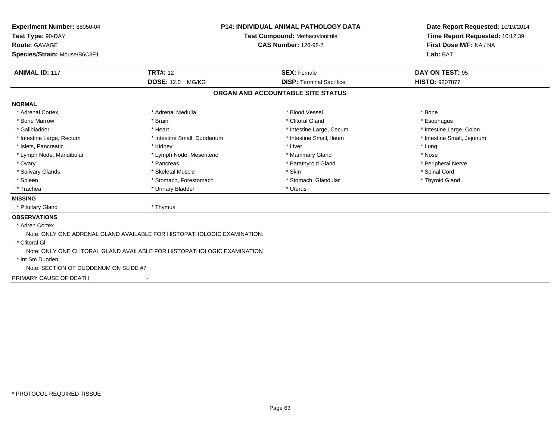| <b>Experiment Number: 88050-04</b>    | <b>P14: INDIVIDUAL ANIMAL PATHOLOGY DATA</b><br>Test Compound: Methacrylonitrile<br><b>CAS Number: 126-98-7</b> |                                   | Date Report Requested: 10/19/2014                          |  |
|---------------------------------------|-----------------------------------------------------------------------------------------------------------------|-----------------------------------|------------------------------------------------------------|--|
| Test Type: 90-DAY                     |                                                                                                                 |                                   | Time Report Requested: 10:12:39<br>First Dose M/F: NA / NA |  |
| <b>Route: GAVAGE</b>                  |                                                                                                                 |                                   |                                                            |  |
| Species/Strain: Mouse/B6C3F1          |                                                                                                                 |                                   | Lab: BAT                                                   |  |
| <b>ANIMAL ID: 117</b>                 | <b>TRT#: 12</b>                                                                                                 | <b>SEX: Female</b>                | <b>DAY ON TEST: 95</b>                                     |  |
|                                       | <b>DOSE: 12.0 MG/KG</b>                                                                                         | <b>DISP: Terminal Sacrifice</b>   | <b>HISTO: 9207877</b>                                      |  |
|                                       |                                                                                                                 | ORGAN AND ACCOUNTABLE SITE STATUS |                                                            |  |
| <b>NORMAL</b>                         |                                                                                                                 |                                   |                                                            |  |
| * Adrenal Cortex                      | * Adrenal Medulla                                                                                               | * Blood Vessel                    | * Bone                                                     |  |
| * Bone Marrow                         | * Brain                                                                                                         | * Clitoral Gland                  | * Esophagus                                                |  |
| * Gallbladder                         | * Heart                                                                                                         | * Intestine Large, Cecum          | * Intestine Large, Colon                                   |  |
| * Intestine Large, Rectum             | * Intestine Small, Duodenum                                                                                     | * Intestine Small, Ileum          | * Intestine Small, Jejunum                                 |  |
| * Islets, Pancreatic                  | * Kidney                                                                                                        | * Liver                           | * Lung                                                     |  |
| * Lymph Node, Mandibular              | * Lymph Node, Mesenteric                                                                                        | * Mammary Gland                   | * Nose                                                     |  |
| * Ovary                               | * Pancreas                                                                                                      | * Parathyroid Gland               | * Peripheral Nerve                                         |  |
| * Salivary Glands                     | * Skeletal Muscle                                                                                               | * Skin                            | * Spinal Cord                                              |  |
| * Spleen                              | * Stomach, Forestomach                                                                                          | * Stomach, Glandular              | * Thyroid Gland                                            |  |
| * Trachea                             | * Urinary Bladder                                                                                               | * Uterus                          |                                                            |  |
| <b>MISSING</b>                        |                                                                                                                 |                                   |                                                            |  |
| * Pituitary Gland                     | * Thymus                                                                                                        |                                   |                                                            |  |
| <b>OBSERVATIONS</b>                   |                                                                                                                 |                                   |                                                            |  |
| * Adren Cortex                        |                                                                                                                 |                                   |                                                            |  |
|                                       | Note: ONLY ONE ADRENAL GLAND AVAILABLE FOR HISTOPATHOLOGIC EXAMINATION.                                         |                                   |                                                            |  |
| * Clitoral GI                         |                                                                                                                 |                                   |                                                            |  |
|                                       | Note: ONLY ONE CLITORAL GLAND AVAILABLE FOR HISTOPATHOLOGIC EXAMINATION                                         |                                   |                                                            |  |
| * Int Sm Duoden                       |                                                                                                                 |                                   |                                                            |  |
| Note: SECTION OF DUODENUM ON SLIDE #7 |                                                                                                                 |                                   |                                                            |  |
| PRIMARY CAUSE OF DEATH                |                                                                                                                 |                                   |                                                            |  |
|                                       |                                                                                                                 |                                   |                                                            |  |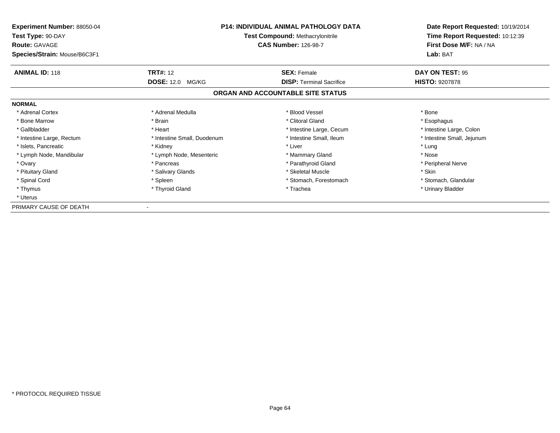| <b>Experiment Number: 88050-04</b><br>Test Type: 90-DAY<br><b>Route: GAVAGE</b><br>Species/Strain: Mouse/B6C3F1 | <b>P14: INDIVIDUAL ANIMAL PATHOLOGY DATA</b><br><b>Test Compound: Methacrylonitrile</b><br><b>CAS Number: 126-98-7</b> |                                   | Date Report Requested: 10/19/2014<br>Time Report Requested: 10:12:39<br>First Dose M/F: NA / NA<br>Lab: BAT |
|-----------------------------------------------------------------------------------------------------------------|------------------------------------------------------------------------------------------------------------------------|-----------------------------------|-------------------------------------------------------------------------------------------------------------|
| <b>ANIMAL ID: 118</b>                                                                                           | <b>TRT#: 12</b>                                                                                                        | <b>SEX: Female</b>                | DAY ON TEST: 95                                                                                             |
|                                                                                                                 | <b>DOSE: 12.0 MG/KG</b>                                                                                                | <b>DISP:</b> Terminal Sacrifice   | <b>HISTO: 9207878</b>                                                                                       |
|                                                                                                                 |                                                                                                                        | ORGAN AND ACCOUNTABLE SITE STATUS |                                                                                                             |
| <b>NORMAL</b>                                                                                                   |                                                                                                                        |                                   |                                                                                                             |
| * Adrenal Cortex                                                                                                | * Adrenal Medulla                                                                                                      | * Blood Vessel                    | * Bone                                                                                                      |
| * Bone Marrow                                                                                                   | * Brain                                                                                                                | * Clitoral Gland                  | * Esophagus                                                                                                 |
| * Gallbladder                                                                                                   | * Heart                                                                                                                | * Intestine Large, Cecum          | * Intestine Large, Colon                                                                                    |
| * Intestine Large, Rectum                                                                                       | * Intestine Small, Duodenum                                                                                            | * Intestine Small, Ileum          | * Intestine Small, Jejunum                                                                                  |
| * Islets, Pancreatic                                                                                            | * Kidney                                                                                                               | * Liver                           | * Lung                                                                                                      |
| * Lymph Node, Mandibular                                                                                        | * Lymph Node, Mesenteric                                                                                               | * Mammary Gland                   | * Nose                                                                                                      |
| * Ovary                                                                                                         | * Pancreas                                                                                                             | * Parathyroid Gland               | * Peripheral Nerve                                                                                          |
| * Pituitary Gland                                                                                               | * Salivary Glands                                                                                                      | * Skeletal Muscle                 | * Skin                                                                                                      |
| * Spinal Cord                                                                                                   | * Spleen                                                                                                               | * Stomach, Forestomach            | * Stomach, Glandular                                                                                        |
| * Thymus                                                                                                        | * Thyroid Gland                                                                                                        | * Trachea                         | * Urinary Bladder                                                                                           |
| * Uterus                                                                                                        |                                                                                                                        |                                   |                                                                                                             |
| PRIMARY CAUSE OF DEATH                                                                                          |                                                                                                                        |                                   |                                                                                                             |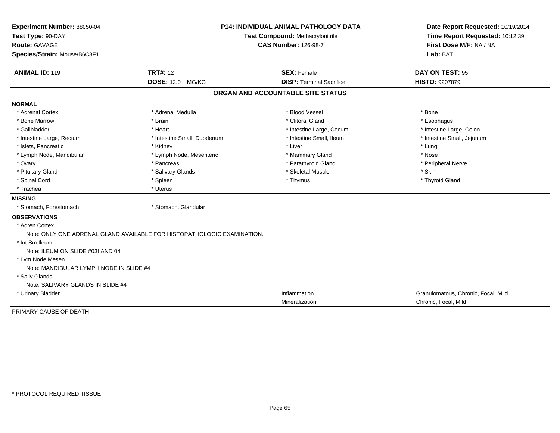| Experiment Number: 88050-04             | <b>P14: INDIVIDUAL ANIMAL PATHOLOGY DATA</b><br>Test Compound: Methacrylonitrile |                                   | Date Report Requested: 10/19/2014<br>Time Report Requested: 10:12:39 |  |
|-----------------------------------------|----------------------------------------------------------------------------------|-----------------------------------|----------------------------------------------------------------------|--|
| Test Type: 90-DAY                       |                                                                                  |                                   |                                                                      |  |
| Route: GAVAGE                           |                                                                                  | <b>CAS Number: 126-98-7</b>       | First Dose M/F: NA / NA                                              |  |
| Species/Strain: Mouse/B6C3F1            |                                                                                  |                                   | Lab: BAT                                                             |  |
| <b>ANIMAL ID: 119</b>                   | <b>TRT#: 12</b>                                                                  | <b>SEX: Female</b>                | DAY ON TEST: 95                                                      |  |
|                                         | <b>DOSE: 12.0 MG/KG</b>                                                          | <b>DISP: Terminal Sacrifice</b>   | HISTO: 9207879                                                       |  |
|                                         |                                                                                  | ORGAN AND ACCOUNTABLE SITE STATUS |                                                                      |  |
| <b>NORMAL</b>                           |                                                                                  |                                   |                                                                      |  |
| * Adrenal Cortex                        | * Adrenal Medulla                                                                | * Blood Vessel                    | * Bone                                                               |  |
| * Bone Marrow                           | * Brain                                                                          | * Clitoral Gland                  | * Esophagus                                                          |  |
| * Gallbladder                           | * Heart                                                                          | * Intestine Large, Cecum          | * Intestine Large, Colon                                             |  |
| * Intestine Large, Rectum               | * Intestine Small, Duodenum                                                      | * Intestine Small, Ileum          | * Intestine Small, Jejunum                                           |  |
| * Islets, Pancreatic                    | * Kidney                                                                         | * Liver                           | * Lung                                                               |  |
| * Lymph Node, Mandibular                | * Lymph Node, Mesenteric                                                         | * Mammary Gland                   | * Nose                                                               |  |
| * Ovary                                 | * Pancreas                                                                       | * Parathyroid Gland               | * Peripheral Nerve                                                   |  |
| * Pituitary Gland                       | * Salivary Glands                                                                | * Skeletal Muscle                 | * Skin                                                               |  |
| * Spinal Cord                           | * Spleen                                                                         | * Thymus                          | * Thyroid Gland                                                      |  |
| * Trachea                               | * Uterus                                                                         |                                   |                                                                      |  |
| <b>MISSING</b>                          |                                                                                  |                                   |                                                                      |  |
| * Stomach, Forestomach                  | * Stomach, Glandular                                                             |                                   |                                                                      |  |
| <b>OBSERVATIONS</b>                     |                                                                                  |                                   |                                                                      |  |
| * Adren Cortex                          |                                                                                  |                                   |                                                                      |  |
|                                         | Note: ONLY ONE ADRENAL GLAND AVAILABLE FOR HISTOPATHOLOGIC EXAMINATION.          |                                   |                                                                      |  |
| * Int Sm Ileum                          |                                                                                  |                                   |                                                                      |  |
| Note: ILEUM ON SLIDE #03I AND 04        |                                                                                  |                                   |                                                                      |  |
| * Lym Node Mesen                        |                                                                                  |                                   |                                                                      |  |
| Note: MANDIBULAR LYMPH NODE IN SLIDE #4 |                                                                                  |                                   |                                                                      |  |
| * Saliv Glands                          |                                                                                  |                                   |                                                                      |  |
| Note: SALIVARY GLANDS IN SLIDE #4       |                                                                                  |                                   |                                                                      |  |
| * Urinary Bladder                       |                                                                                  | Inflammation                      | Granulomatous, Chronic, Focal, Mild                                  |  |
|                                         |                                                                                  | Mineralization                    | Chronic, Focal, Mild                                                 |  |
| PRIMARY CAUSE OF DEATH                  | $\blacksquare$                                                                   |                                   |                                                                      |  |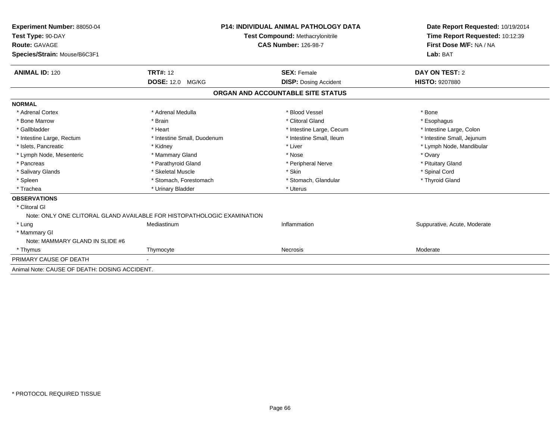| Experiment Number: 88050-04<br>Test Type: 90-DAY<br>Route: GAVAGE<br>Species/Strain: Mouse/B6C3F1 |                                                                         | <b>P14: INDIVIDUAL ANIMAL PATHOLOGY DATA</b><br><b>Test Compound: Methacrylonitrile</b><br><b>CAS Number: 126-98-7</b> | Date Report Requested: 10/19/2014<br>Time Report Requested: 10:12:39<br>First Dose M/F: NA / NA<br>Lab: BAT |
|---------------------------------------------------------------------------------------------------|-------------------------------------------------------------------------|------------------------------------------------------------------------------------------------------------------------|-------------------------------------------------------------------------------------------------------------|
| <b>ANIMAL ID: 120</b>                                                                             | <b>TRT#: 12</b>                                                         | <b>SEX: Female</b>                                                                                                     | DAY ON TEST: 2                                                                                              |
|                                                                                                   | <b>DOSE: 12.0 MG/KG</b>                                                 | <b>DISP:</b> Dosing Accident                                                                                           | <b>HISTO: 9207880</b>                                                                                       |
|                                                                                                   |                                                                         | ORGAN AND ACCOUNTABLE SITE STATUS                                                                                      |                                                                                                             |
| <b>NORMAL</b>                                                                                     |                                                                         |                                                                                                                        |                                                                                                             |
| * Adrenal Cortex                                                                                  | * Adrenal Medulla                                                       | * Blood Vessel                                                                                                         | * Bone                                                                                                      |
| * Bone Marrow                                                                                     | * Brain                                                                 | * Clitoral Gland                                                                                                       | * Esophagus                                                                                                 |
| * Gallbladder                                                                                     | * Heart                                                                 | * Intestine Large, Cecum                                                                                               | * Intestine Large, Colon                                                                                    |
| * Intestine Large, Rectum                                                                         | * Intestine Small, Duodenum                                             | * Intestine Small, Ileum                                                                                               | * Intestine Small, Jejunum                                                                                  |
| * Islets, Pancreatic                                                                              | * Kidney                                                                | * Liver                                                                                                                | * Lymph Node, Mandibular                                                                                    |
| * Lymph Node, Mesenteric                                                                          | * Mammary Gland                                                         | * Nose                                                                                                                 | * Ovary                                                                                                     |
| * Pancreas                                                                                        | * Parathyroid Gland                                                     | * Peripheral Nerve                                                                                                     | * Pituitary Gland                                                                                           |
| * Salivary Glands                                                                                 | * Skeletal Muscle                                                       | * Skin                                                                                                                 | * Spinal Cord                                                                                               |
| * Spleen                                                                                          | * Stomach, Forestomach                                                  | * Stomach, Glandular                                                                                                   | * Thyroid Gland                                                                                             |
| * Trachea                                                                                         | * Urinary Bladder                                                       | * Uterus                                                                                                               |                                                                                                             |
| <b>OBSERVATIONS</b>                                                                               |                                                                         |                                                                                                                        |                                                                                                             |
| * Clitoral GI                                                                                     |                                                                         |                                                                                                                        |                                                                                                             |
|                                                                                                   | Note: ONLY ONE CLITORAL GLAND AVAILABLE FOR HISTOPATHOLOGIC EXAMINATION |                                                                                                                        |                                                                                                             |
| * Lung                                                                                            | Mediastinum                                                             | Inflammation                                                                                                           | Suppurative, Acute, Moderate                                                                                |
| * Mammary GI                                                                                      |                                                                         |                                                                                                                        |                                                                                                             |
| Note: MAMMARY GLAND IN SLIDE #6                                                                   |                                                                         |                                                                                                                        |                                                                                                             |
| * Thymus                                                                                          | Thymocyte                                                               | <b>Necrosis</b>                                                                                                        | Moderate                                                                                                    |
| PRIMARY CAUSE OF DEATH                                                                            |                                                                         |                                                                                                                        |                                                                                                             |
| Animal Note: CAUSE OF DEATH: DOSING ACCIDENT.                                                     |                                                                         |                                                                                                                        |                                                                                                             |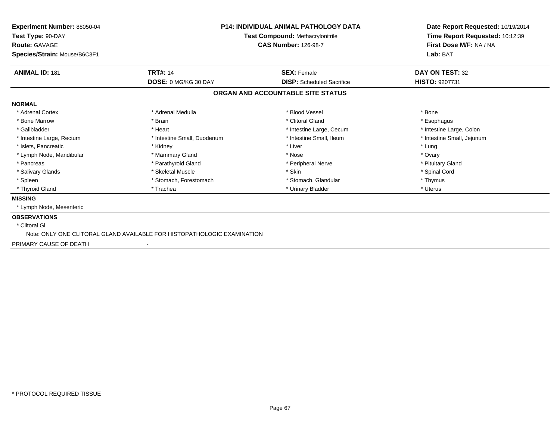| Experiment Number: 88050-04<br>Test Type: 90-DAY<br><b>Route: GAVAGE</b><br>Species/Strain: Mouse/B6C3F1 | <b>P14: INDIVIDUAL ANIMAL PATHOLOGY DATA</b><br><b>Test Compound: Methacrylonitrile</b><br><b>CAS Number: 126-98-7</b> |                                   | Date Report Requested: 10/19/2014<br>Time Report Requested: 10:12:39<br>First Dose M/F: NA / NA<br>Lab: BAT |
|----------------------------------------------------------------------------------------------------------|------------------------------------------------------------------------------------------------------------------------|-----------------------------------|-------------------------------------------------------------------------------------------------------------|
| <b>ANIMAL ID: 181</b>                                                                                    | <b>TRT#: 14</b>                                                                                                        | <b>SEX: Female</b>                | DAY ON TEST: 32                                                                                             |
|                                                                                                          | DOSE: 0 MG/KG 30 DAY                                                                                                   | <b>DISP:</b> Scheduled Sacrifice  | <b>HISTO: 9207731</b>                                                                                       |
|                                                                                                          |                                                                                                                        | ORGAN AND ACCOUNTABLE SITE STATUS |                                                                                                             |
| <b>NORMAL</b>                                                                                            |                                                                                                                        |                                   |                                                                                                             |
| * Adrenal Cortex                                                                                         | * Adrenal Medulla                                                                                                      | * Blood Vessel                    | * Bone                                                                                                      |
| * Bone Marrow                                                                                            | * Brain                                                                                                                | * Clitoral Gland                  | * Esophagus                                                                                                 |
| * Gallbladder                                                                                            | * Heart                                                                                                                | * Intestine Large, Cecum          | * Intestine Large, Colon                                                                                    |
| * Intestine Large, Rectum                                                                                | * Intestine Small, Duodenum                                                                                            | * Intestine Small, Ileum          | * Intestine Small, Jejunum                                                                                  |
| * Islets, Pancreatic                                                                                     | * Kidney                                                                                                               | * Liver                           | * Lung                                                                                                      |
| * Lymph Node, Mandibular                                                                                 | * Mammary Gland                                                                                                        | * Nose                            | * Ovary                                                                                                     |
| * Pancreas                                                                                               | * Parathyroid Gland                                                                                                    | * Peripheral Nerve                | * Pituitary Gland                                                                                           |
| * Salivary Glands                                                                                        | * Skeletal Muscle                                                                                                      | * Skin                            | * Spinal Cord                                                                                               |
| * Spleen                                                                                                 | * Stomach, Forestomach                                                                                                 | * Stomach, Glandular              | * Thymus                                                                                                    |
| * Thyroid Gland                                                                                          | * Trachea                                                                                                              | * Urinary Bladder                 | * Uterus                                                                                                    |
| <b>MISSING</b>                                                                                           |                                                                                                                        |                                   |                                                                                                             |
| * Lymph Node, Mesenteric                                                                                 |                                                                                                                        |                                   |                                                                                                             |
| <b>OBSERVATIONS</b>                                                                                      |                                                                                                                        |                                   |                                                                                                             |
| * Clitoral GI                                                                                            |                                                                                                                        |                                   |                                                                                                             |
|                                                                                                          | Note: ONLY ONE CLITORAL GLAND AVAILABLE FOR HISTOPATHOLOGIC EXAMINATION                                                |                                   |                                                                                                             |
| PRIMARY CAUSE OF DEATH                                                                                   | $\overline{\phantom{a}}$                                                                                               |                                   |                                                                                                             |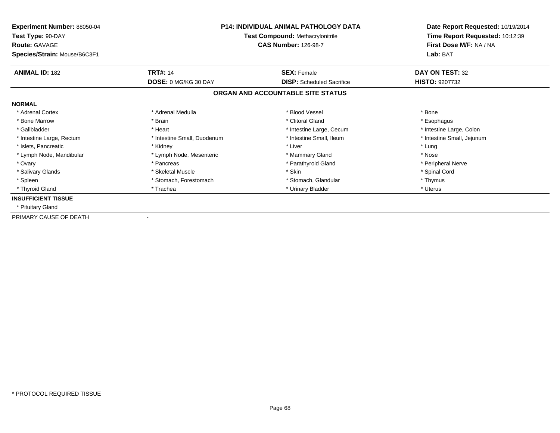| Experiment Number: 88050-04<br>Test Type: 90-DAY<br><b>Route: GAVAGE</b> | <b>P14: INDIVIDUAL ANIMAL PATHOLOGY DATA</b><br><b>Test Compound: Methacrylonitrile</b><br><b>CAS Number: 126-98-7</b> |                                   | Date Report Requested: 10/19/2014<br>Time Report Requested: 10:12:39<br>First Dose M/F: NA / NA |  |
|--------------------------------------------------------------------------|------------------------------------------------------------------------------------------------------------------------|-----------------------------------|-------------------------------------------------------------------------------------------------|--|
| Species/Strain: Mouse/B6C3F1                                             |                                                                                                                        |                                   | Lab: BAT                                                                                        |  |
| <b>ANIMAL ID: 182</b>                                                    | <b>TRT#: 14</b>                                                                                                        | <b>SEX: Female</b>                | DAY ON TEST: 32                                                                                 |  |
|                                                                          | <b>DOSE: 0 MG/KG 30 DAY</b>                                                                                            | <b>DISP:</b> Scheduled Sacrifice  | <b>HISTO: 9207732</b>                                                                           |  |
|                                                                          |                                                                                                                        | ORGAN AND ACCOUNTABLE SITE STATUS |                                                                                                 |  |
| <b>NORMAL</b>                                                            |                                                                                                                        |                                   |                                                                                                 |  |
| * Adrenal Cortex                                                         | * Adrenal Medulla                                                                                                      | * Blood Vessel                    | * Bone                                                                                          |  |
| * Bone Marrow                                                            | * Brain                                                                                                                | * Clitoral Gland                  | * Esophagus                                                                                     |  |
| * Gallbladder                                                            | * Heart                                                                                                                | * Intestine Large, Cecum          | * Intestine Large, Colon                                                                        |  |
| * Intestine Large, Rectum                                                | * Intestine Small, Duodenum                                                                                            | * Intestine Small, Ileum          | * Intestine Small, Jejunum                                                                      |  |
| * Islets, Pancreatic                                                     | * Kidney                                                                                                               | * Liver                           | * Lung                                                                                          |  |
| * Lymph Node, Mandibular                                                 | * Lymph Node, Mesenteric                                                                                               | * Mammary Gland                   | * Nose                                                                                          |  |
| * Ovary                                                                  | * Pancreas                                                                                                             | * Parathyroid Gland               | * Peripheral Nerve                                                                              |  |
| * Salivary Glands                                                        | * Skeletal Muscle                                                                                                      | * Skin                            | * Spinal Cord                                                                                   |  |
| * Spleen                                                                 | * Stomach, Forestomach                                                                                                 | * Stomach, Glandular              | * Thymus                                                                                        |  |
| * Thyroid Gland                                                          | * Trachea                                                                                                              | * Urinary Bladder                 | * Uterus                                                                                        |  |
| <b>INSUFFICIENT TISSUE</b>                                               |                                                                                                                        |                                   |                                                                                                 |  |
| * Pituitary Gland                                                        |                                                                                                                        |                                   |                                                                                                 |  |
| PRIMARY CAUSE OF DEATH                                                   |                                                                                                                        |                                   |                                                                                                 |  |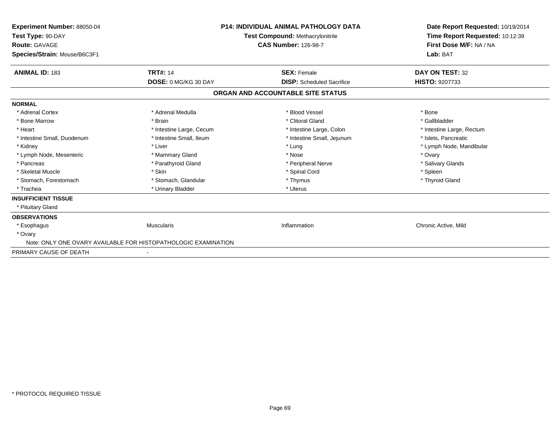| Experiment Number: 88050-04<br>Test Type: 90-DAY<br>Route: GAVAGE<br>Species/Strain: Mouse/B6C3F1 | <b>P14: INDIVIDUAL ANIMAL PATHOLOGY DATA</b><br>Test Compound: Methacrylonitrile<br><b>CAS Number: 126-98-7</b> |                                   | Date Report Requested: 10/19/2014<br>Time Report Requested: 10:12:39<br>First Dose M/F: NA / NA<br>Lab: BAT |  |
|---------------------------------------------------------------------------------------------------|-----------------------------------------------------------------------------------------------------------------|-----------------------------------|-------------------------------------------------------------------------------------------------------------|--|
| <b>ANIMAL ID: 183</b>                                                                             | <b>TRT#: 14</b>                                                                                                 | <b>SEX: Female</b>                | DAY ON TEST: 32                                                                                             |  |
|                                                                                                   | DOSE: 0 MG/KG 30 DAY                                                                                            | <b>DISP:</b> Scheduled Sacrifice  | HISTO: 9207733                                                                                              |  |
|                                                                                                   |                                                                                                                 | ORGAN AND ACCOUNTABLE SITE STATUS |                                                                                                             |  |
| <b>NORMAL</b>                                                                                     |                                                                                                                 |                                   |                                                                                                             |  |
| * Adrenal Cortex                                                                                  | * Adrenal Medulla                                                                                               | * Blood Vessel                    | * Bone                                                                                                      |  |
| * Bone Marrow                                                                                     | * Brain                                                                                                         | * Clitoral Gland                  | * Gallbladder                                                                                               |  |
| * Heart                                                                                           | * Intestine Large, Cecum                                                                                        | * Intestine Large, Colon          | * Intestine Large, Rectum                                                                                   |  |
| * Intestine Small, Duodenum                                                                       | * Intestine Small, Ileum                                                                                        | * Intestine Small, Jejunum        | * Islets, Pancreatic                                                                                        |  |
| * Kidney                                                                                          | * Liver                                                                                                         | * Lung                            | * Lymph Node, Mandibular                                                                                    |  |
| * Lymph Node, Mesenteric                                                                          | * Mammary Gland                                                                                                 | * Nose                            | * Ovary                                                                                                     |  |
| * Pancreas                                                                                        | * Parathyroid Gland                                                                                             | * Peripheral Nerve                | * Salivary Glands                                                                                           |  |
| * Skeletal Muscle                                                                                 | * Skin                                                                                                          | * Spinal Cord                     | * Spleen                                                                                                    |  |
| * Stomach, Forestomach                                                                            | * Stomach, Glandular                                                                                            | * Thymus                          | * Thyroid Gland                                                                                             |  |
| * Trachea                                                                                         | * Urinary Bladder                                                                                               | * Uterus                          |                                                                                                             |  |
| <b>INSUFFICIENT TISSUE</b>                                                                        |                                                                                                                 |                                   |                                                                                                             |  |
| * Pituitary Gland                                                                                 |                                                                                                                 |                                   |                                                                                                             |  |
| <b>OBSERVATIONS</b>                                                                               |                                                                                                                 |                                   |                                                                                                             |  |
| * Esophagus                                                                                       | <b>Muscularis</b>                                                                                               | Inflammation                      | Chronic Active, Mild                                                                                        |  |
| * Ovary                                                                                           |                                                                                                                 |                                   |                                                                                                             |  |
| Note: ONLY ONE OVARY AVAILABLE FOR HISTOPATHOLOGIC EXAMINATION                                    |                                                                                                                 |                                   |                                                                                                             |  |
| PRIMARY CAUSE OF DEATH                                                                            |                                                                                                                 |                                   |                                                                                                             |  |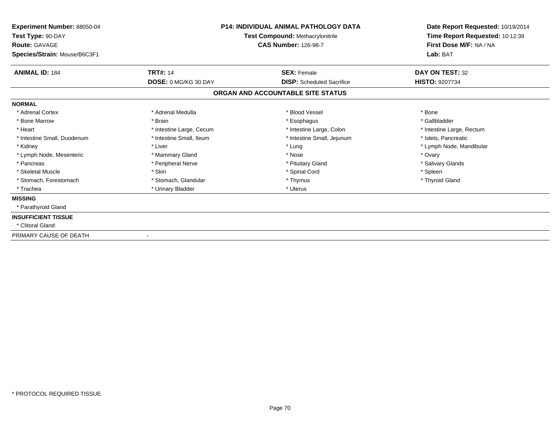| Experiment Number: 88050-04<br>Test Type: 90-DAY |                          | <b>P14: INDIVIDUAL ANIMAL PATHOLOGY DATA</b><br>Test Compound: Methacrylonitrile | Date Report Requested: 10/19/2014<br>Time Report Requested: 10:12:39 |  |
|--------------------------------------------------|--------------------------|----------------------------------------------------------------------------------|----------------------------------------------------------------------|--|
| Route: GAVAGE<br>Species/Strain: Mouse/B6C3F1    |                          | <b>CAS Number: 126-98-7</b>                                                      | First Dose M/F: NA / NA<br>Lab: BAT                                  |  |
| <b>ANIMAL ID: 184</b>                            | <b>TRT#: 14</b>          | <b>SEX: Female</b>                                                               | DAY ON TEST: 32                                                      |  |
|                                                  | DOSE: 0 MG/KG 30 DAY     | <b>DISP:</b> Scheduled Sacrifice                                                 | <b>HISTO: 9207734</b>                                                |  |
|                                                  |                          | ORGAN AND ACCOUNTABLE SITE STATUS                                                |                                                                      |  |
| <b>NORMAL</b>                                    |                          |                                                                                  |                                                                      |  |
| * Adrenal Cortex                                 | * Adrenal Medulla        | * Blood Vessel                                                                   | * Bone                                                               |  |
| * Bone Marrow                                    | * Brain                  | * Esophagus                                                                      | * Gallbladder                                                        |  |
| * Heart                                          | * Intestine Large, Cecum | * Intestine Large, Colon                                                         | * Intestine Large, Rectum                                            |  |
| * Intestine Small, Duodenum                      | * Intestine Small, Ileum | * Intestine Small, Jejunum                                                       | * Islets, Pancreatic                                                 |  |
| * Kidney                                         | * Liver                  | * Lung                                                                           | * Lymph Node, Mandibular                                             |  |
| * Lymph Node, Mesenteric                         | * Mammary Gland          | * Nose                                                                           | * Ovary                                                              |  |
| * Pancreas                                       | * Peripheral Nerve       | * Pituitary Gland                                                                | * Salivary Glands                                                    |  |
| * Skeletal Muscle                                | * Skin                   | * Spinal Cord                                                                    | * Spleen                                                             |  |
| * Stomach, Forestomach                           | * Stomach, Glandular     | * Thymus                                                                         | * Thyroid Gland                                                      |  |
| * Trachea                                        | * Urinary Bladder        | * Uterus                                                                         |                                                                      |  |
| <b>MISSING</b>                                   |                          |                                                                                  |                                                                      |  |
| * Parathyroid Gland                              |                          |                                                                                  |                                                                      |  |
| <b>INSUFFICIENT TISSUE</b>                       |                          |                                                                                  |                                                                      |  |
| * Clitoral Gland                                 |                          |                                                                                  |                                                                      |  |
| PRIMARY CAUSE OF DEATH                           |                          |                                                                                  |                                                                      |  |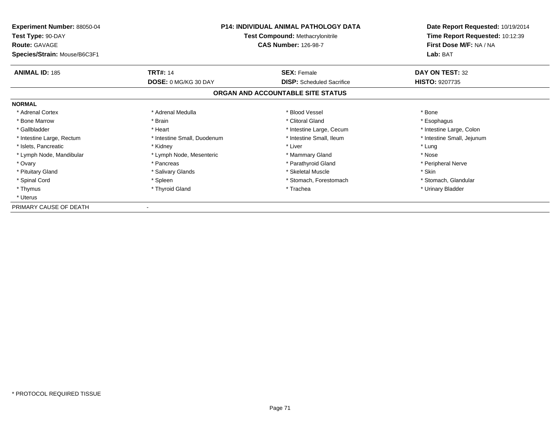| <b>Experiment Number: 88050-04</b><br>Test Type: 90-DAY<br><b>Route: GAVAGE</b><br>Species/Strain: Mouse/B6C3F1 | P14: INDIVIDUAL ANIMAL PATHOLOGY DATA<br><b>Test Compound: Methacrylonitrile</b><br><b>CAS Number: 126-98-7</b> |                                   | Date Report Requested: 10/19/2014<br>Time Report Requested: 10:12:39<br>First Dose M/F: NA / NA<br>Lab: BAT |
|-----------------------------------------------------------------------------------------------------------------|-----------------------------------------------------------------------------------------------------------------|-----------------------------------|-------------------------------------------------------------------------------------------------------------|
| <b>ANIMAL ID: 185</b>                                                                                           | <b>TRT#: 14</b>                                                                                                 | <b>SEX: Female</b>                | DAY ON TEST: 32                                                                                             |
|                                                                                                                 | <b>DOSE: 0 MG/KG 30 DAY</b>                                                                                     | <b>DISP:</b> Scheduled Sacrifice  | <b>HISTO: 9207735</b>                                                                                       |
|                                                                                                                 |                                                                                                                 | ORGAN AND ACCOUNTABLE SITE STATUS |                                                                                                             |
| <b>NORMAL</b>                                                                                                   |                                                                                                                 |                                   |                                                                                                             |
| * Adrenal Cortex                                                                                                | * Adrenal Medulla                                                                                               | * Blood Vessel                    | * Bone                                                                                                      |
| * Bone Marrow                                                                                                   | * Brain                                                                                                         | * Clitoral Gland                  | * Esophagus                                                                                                 |
| * Gallbladder                                                                                                   | * Heart                                                                                                         | * Intestine Large, Cecum          | * Intestine Large, Colon                                                                                    |
| * Intestine Large, Rectum                                                                                       | * Intestine Small, Duodenum                                                                                     | * Intestine Small, Ileum          | * Intestine Small, Jejunum                                                                                  |
| * Islets, Pancreatic                                                                                            | * Kidney                                                                                                        | * Liver                           | * Lung                                                                                                      |
| * Lymph Node, Mandibular                                                                                        | * Lymph Node, Mesenteric                                                                                        | * Mammary Gland                   | * Nose                                                                                                      |
| * Ovary                                                                                                         | * Pancreas                                                                                                      | * Parathyroid Gland               | * Peripheral Nerve                                                                                          |
| * Pituitary Gland                                                                                               | * Salivary Glands                                                                                               | * Skeletal Muscle                 | * Skin                                                                                                      |
| * Spinal Cord                                                                                                   | * Spleen                                                                                                        | * Stomach, Forestomach            | * Stomach, Glandular                                                                                        |
| * Thymus                                                                                                        | * Thyroid Gland                                                                                                 | * Trachea                         | * Urinary Bladder                                                                                           |
| * Uterus                                                                                                        |                                                                                                                 |                                   |                                                                                                             |
| PRIMARY CAUSE OF DEATH                                                                                          |                                                                                                                 |                                   |                                                                                                             |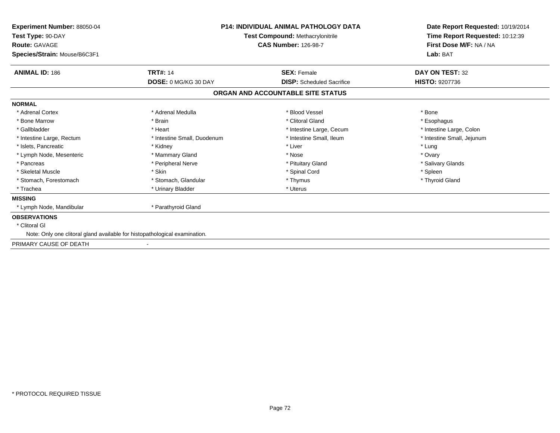| Experiment Number: 88050-04<br>Test Type: 90-DAY<br><b>Route: GAVAGE</b><br>Species/Strain: Mouse/B6C3F1 | <b>P14: INDIVIDUAL ANIMAL PATHOLOGY DATA</b><br>Test Compound: Methacrylonitrile<br><b>CAS Number: 126-98-7</b> |                                   | Date Report Requested: 10/19/2014<br>Time Report Requested: 10:12:39<br>First Dose M/F: NA / NA<br>Lab: BAT |
|----------------------------------------------------------------------------------------------------------|-----------------------------------------------------------------------------------------------------------------|-----------------------------------|-------------------------------------------------------------------------------------------------------------|
| <b>ANIMAL ID: 186</b>                                                                                    | <b>TRT#: 14</b>                                                                                                 | <b>SEX: Female</b>                | <b>DAY ON TEST: 32</b>                                                                                      |
|                                                                                                          | DOSE: 0 MG/KG 30 DAY                                                                                            | <b>DISP:</b> Scheduled Sacrifice  | <b>HISTO: 9207736</b>                                                                                       |
|                                                                                                          |                                                                                                                 | ORGAN AND ACCOUNTABLE SITE STATUS |                                                                                                             |
| <b>NORMAL</b>                                                                                            |                                                                                                                 |                                   |                                                                                                             |
| * Adrenal Cortex                                                                                         | * Adrenal Medulla                                                                                               | * Blood Vessel                    | * Bone                                                                                                      |
| * Bone Marrow                                                                                            | * Brain                                                                                                         | * Clitoral Gland                  | * Esophagus                                                                                                 |
| * Gallbladder                                                                                            | * Heart                                                                                                         | * Intestine Large, Cecum          | * Intestine Large, Colon                                                                                    |
| * Intestine Large, Rectum                                                                                | * Intestine Small, Duodenum                                                                                     | * Intestine Small. Ileum          | * Intestine Small, Jejunum                                                                                  |
| * Islets, Pancreatic                                                                                     | * Kidney                                                                                                        | * Liver                           | * Lung                                                                                                      |
| * Lymph Node, Mesenteric                                                                                 | * Mammary Gland                                                                                                 | * Nose                            | * Ovary                                                                                                     |
| * Pancreas                                                                                               | * Peripheral Nerve                                                                                              | * Pituitary Gland                 | * Salivary Glands                                                                                           |
| * Skeletal Muscle                                                                                        | * Skin                                                                                                          | * Spinal Cord                     | * Spleen                                                                                                    |
| * Stomach, Forestomach                                                                                   | * Stomach, Glandular                                                                                            | * Thymus                          | * Thyroid Gland                                                                                             |
| * Trachea                                                                                                | * Urinary Bladder                                                                                               | * Uterus                          |                                                                                                             |
| <b>MISSING</b>                                                                                           |                                                                                                                 |                                   |                                                                                                             |
| * Lymph Node, Mandibular                                                                                 | * Parathyroid Gland                                                                                             |                                   |                                                                                                             |
| <b>OBSERVATIONS</b>                                                                                      |                                                                                                                 |                                   |                                                                                                             |
| * Clitoral GI                                                                                            |                                                                                                                 |                                   |                                                                                                             |
| Note: Only one clitoral gland available for histopathological examination.                               |                                                                                                                 |                                   |                                                                                                             |
| PRIMARY CAUSE OF DEATH                                                                                   |                                                                                                                 |                                   |                                                                                                             |
|                                                                                                          |                                                                                                                 |                                   |                                                                                                             |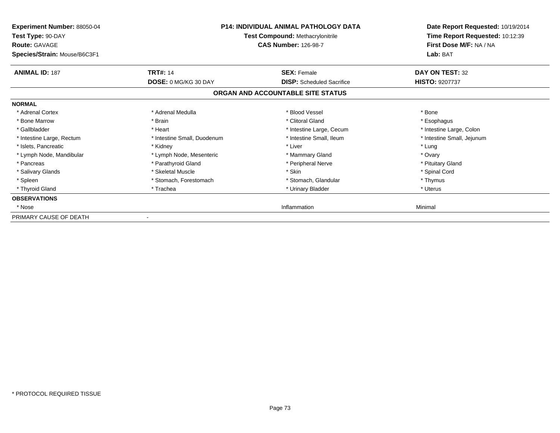| Experiment Number: 88050-04<br>Test Type: 90-DAY<br><b>Route: GAVAGE</b><br>Species/Strain: Mouse/B6C3F1 |                                                | <b>P14: INDIVIDUAL ANIMAL PATHOLOGY DATA</b><br><b>Test Compound: Methacrylonitrile</b><br><b>CAS Number: 126-98-7</b> | Date Report Requested: 10/19/2014<br>Time Report Requested: 10:12:39<br>First Dose M/F: NA / NA<br>Lab: BAT |
|----------------------------------------------------------------------------------------------------------|------------------------------------------------|------------------------------------------------------------------------------------------------------------------------|-------------------------------------------------------------------------------------------------------------|
| <b>ANIMAL ID: 187</b>                                                                                    | <b>TRT#: 14</b><br><b>DOSE: 0 MG/KG 30 DAY</b> | <b>SEX: Female</b><br><b>DISP:</b> Scheduled Sacrifice                                                                 | DAY ON TEST: 32<br><b>HISTO: 9207737</b>                                                                    |
|                                                                                                          |                                                | ORGAN AND ACCOUNTABLE SITE STATUS                                                                                      |                                                                                                             |
| <b>NORMAL</b>                                                                                            |                                                |                                                                                                                        |                                                                                                             |
| * Adrenal Cortex                                                                                         | * Adrenal Medulla                              | * Blood Vessel                                                                                                         | * Bone                                                                                                      |
| * Bone Marrow                                                                                            | * Brain                                        | * Clitoral Gland                                                                                                       | * Esophagus                                                                                                 |
| * Gallbladder                                                                                            | * Heart                                        | * Intestine Large, Cecum                                                                                               | * Intestine Large, Colon                                                                                    |
| * Intestine Large, Rectum                                                                                | * Intestine Small, Duodenum                    | * Intestine Small, Ileum                                                                                               | * Intestine Small, Jejunum                                                                                  |
| * Islets, Pancreatic                                                                                     | * Kidney                                       | * Liver                                                                                                                | * Lung                                                                                                      |
| * Lymph Node, Mandibular                                                                                 | * Lymph Node, Mesenteric                       | * Mammary Gland                                                                                                        | * Ovary                                                                                                     |
| * Pancreas                                                                                               | * Parathyroid Gland                            | * Peripheral Nerve                                                                                                     | * Pituitary Gland                                                                                           |
| * Salivary Glands                                                                                        | * Skeletal Muscle                              | * Skin                                                                                                                 | * Spinal Cord                                                                                               |
| * Spleen                                                                                                 | * Stomach, Forestomach                         | * Stomach, Glandular                                                                                                   | * Thymus                                                                                                    |
| * Thyroid Gland                                                                                          | * Trachea                                      | * Urinary Bladder                                                                                                      | * Uterus                                                                                                    |
| <b>OBSERVATIONS</b>                                                                                      |                                                |                                                                                                                        |                                                                                                             |
| * Nose                                                                                                   |                                                | Inflammation                                                                                                           | Minimal                                                                                                     |
| PRIMARY CAUSE OF DEATH                                                                                   |                                                |                                                                                                                        |                                                                                                             |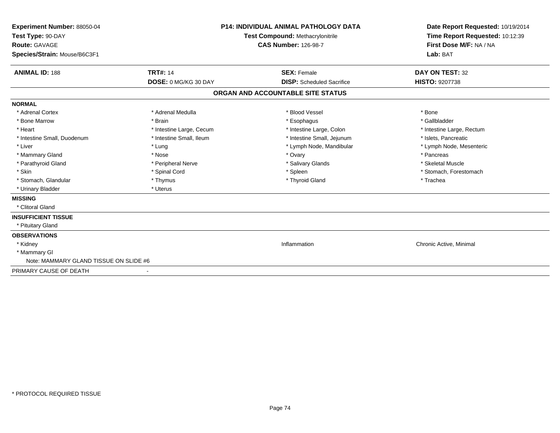| Experiment Number: 88050-04<br>Test Type: 90-DAY<br><b>Route: GAVAGE</b><br>Species/Strain: Mouse/B6C3F1 |                          | <b>P14: INDIVIDUAL ANIMAL PATHOLOGY DATA</b><br>Test Compound: Methacrylonitrile<br><b>CAS Number: 126-98-7</b> | Date Report Requested: 10/19/2014<br>Time Report Requested: 10:12:39<br>First Dose M/F: NA / NA<br>Lab: BAT |
|----------------------------------------------------------------------------------------------------------|--------------------------|-----------------------------------------------------------------------------------------------------------------|-------------------------------------------------------------------------------------------------------------|
| <b>ANIMAL ID: 188</b>                                                                                    | <b>TRT#: 14</b>          | <b>SEX: Female</b>                                                                                              | DAY ON TEST: 32                                                                                             |
|                                                                                                          | DOSE: 0 MG/KG 30 DAY     | <b>DISP:</b> Scheduled Sacrifice                                                                                | <b>HISTO: 9207738</b>                                                                                       |
|                                                                                                          |                          | ORGAN AND ACCOUNTABLE SITE STATUS                                                                               |                                                                                                             |
| <b>NORMAL</b>                                                                                            |                          |                                                                                                                 |                                                                                                             |
| * Adrenal Cortex                                                                                         | * Adrenal Medulla        | * Blood Vessel                                                                                                  | * Bone                                                                                                      |
| * Bone Marrow                                                                                            | * Brain                  | * Esophagus                                                                                                     | * Gallbladder                                                                                               |
| * Heart                                                                                                  | * Intestine Large, Cecum | * Intestine Large, Colon                                                                                        | * Intestine Large, Rectum                                                                                   |
| * Intestine Small, Duodenum                                                                              | * Intestine Small, Ileum | * Intestine Small, Jejunum                                                                                      | * Islets. Pancreatic                                                                                        |
| * Liver                                                                                                  | * Lung                   | * Lymph Node, Mandibular                                                                                        | * Lymph Node, Mesenteric                                                                                    |
| * Mammary Gland                                                                                          | * Nose                   | * Ovary                                                                                                         | * Pancreas                                                                                                  |
| * Parathyroid Gland                                                                                      | * Peripheral Nerve       | * Salivary Glands                                                                                               | * Skeletal Muscle                                                                                           |
| * Skin                                                                                                   | * Spinal Cord            | * Spleen                                                                                                        | * Stomach, Forestomach                                                                                      |
| * Stomach, Glandular                                                                                     | * Thymus                 | * Thyroid Gland                                                                                                 | * Trachea                                                                                                   |
| * Urinary Bladder                                                                                        | * Uterus                 |                                                                                                                 |                                                                                                             |
| <b>MISSING</b>                                                                                           |                          |                                                                                                                 |                                                                                                             |
| * Clitoral Gland                                                                                         |                          |                                                                                                                 |                                                                                                             |
| <b>INSUFFICIENT TISSUE</b>                                                                               |                          |                                                                                                                 |                                                                                                             |
| * Pituitary Gland                                                                                        |                          |                                                                                                                 |                                                                                                             |
| <b>OBSERVATIONS</b>                                                                                      |                          |                                                                                                                 |                                                                                                             |
| * Kidney                                                                                                 |                          | Inflammation                                                                                                    | Chronic Active, Minimal                                                                                     |
| * Mammary GI                                                                                             |                          |                                                                                                                 |                                                                                                             |
| Note: MAMMARY GLAND TISSUE ON SLIDE #6                                                                   |                          |                                                                                                                 |                                                                                                             |
| PRIMARY CAUSE OF DEATH                                                                                   |                          |                                                                                                                 |                                                                                                             |
|                                                                                                          |                          |                                                                                                                 |                                                                                                             |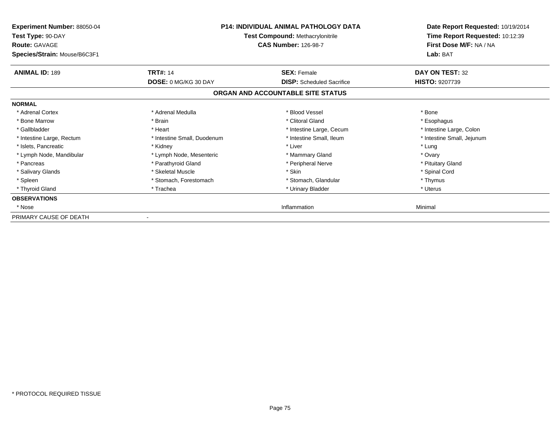| Experiment Number: 88050-04<br>Test Type: 90-DAY<br><b>Route: GAVAGE</b><br>Species/Strain: Mouse/B6C3F1 |                             | <b>P14: INDIVIDUAL ANIMAL PATHOLOGY DATA</b><br><b>Test Compound: Methacrylonitrile</b><br><b>CAS Number: 126-98-7</b> | Date Report Requested: 10/19/2014<br>Time Report Requested: 10:12:39<br>First Dose M/F: NA / NA<br>Lab: BAT |  |
|----------------------------------------------------------------------------------------------------------|-----------------------------|------------------------------------------------------------------------------------------------------------------------|-------------------------------------------------------------------------------------------------------------|--|
| <b>ANIMAL ID: 189</b>                                                                                    | <b>TRT#: 14</b>             | <b>SEX: Female</b>                                                                                                     | DAY ON TEST: 32                                                                                             |  |
|                                                                                                          | <b>DOSE: 0 MG/KG 30 DAY</b> | <b>DISP:</b> Scheduled Sacrifice                                                                                       | <b>HISTO: 9207739</b>                                                                                       |  |
|                                                                                                          |                             | ORGAN AND ACCOUNTABLE SITE STATUS                                                                                      |                                                                                                             |  |
| <b>NORMAL</b>                                                                                            |                             |                                                                                                                        |                                                                                                             |  |
| * Adrenal Cortex                                                                                         | * Adrenal Medulla           | * Blood Vessel                                                                                                         | * Bone                                                                                                      |  |
| * Bone Marrow                                                                                            | * Brain                     | * Clitoral Gland                                                                                                       | * Esophagus                                                                                                 |  |
| * Gallbladder                                                                                            | * Heart                     | * Intestine Large, Cecum                                                                                               | * Intestine Large, Colon                                                                                    |  |
| * Intestine Large, Rectum                                                                                | * Intestine Small, Duodenum | * Intestine Small, Ileum                                                                                               | * Intestine Small, Jejunum                                                                                  |  |
| * Islets, Pancreatic                                                                                     | * Kidney                    | * Liver                                                                                                                | * Lung                                                                                                      |  |
| * Lymph Node, Mandibular                                                                                 | * Lymph Node, Mesenteric    | * Mammary Gland                                                                                                        | * Ovary                                                                                                     |  |
| * Pancreas                                                                                               | * Parathyroid Gland         | * Peripheral Nerve                                                                                                     | * Pituitary Gland                                                                                           |  |
| * Salivary Glands                                                                                        | * Skeletal Muscle           | * Skin                                                                                                                 | * Spinal Cord                                                                                               |  |
| * Spleen                                                                                                 | * Stomach, Forestomach      | * Stomach, Glandular                                                                                                   | * Thymus                                                                                                    |  |
| * Thyroid Gland                                                                                          | * Trachea                   | * Urinary Bladder                                                                                                      | * Uterus                                                                                                    |  |
| <b>OBSERVATIONS</b>                                                                                      |                             |                                                                                                                        |                                                                                                             |  |
| * Nose                                                                                                   |                             | Inflammation                                                                                                           | Minimal                                                                                                     |  |
| PRIMARY CAUSE OF DEATH                                                                                   |                             |                                                                                                                        |                                                                                                             |  |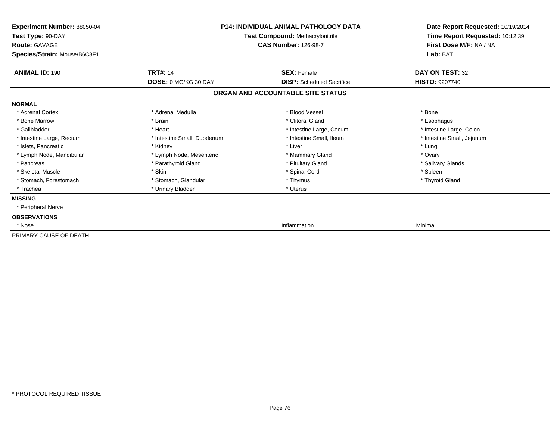| <b>Experiment Number: 88050-04</b><br>Test Type: 90-DAY<br><b>Route: GAVAGE</b><br>Species/Strain: Mouse/B6C3F1 | <b>P14: INDIVIDUAL ANIMAL PATHOLOGY DATA</b><br>Test Compound: Methacrylonitrile<br><b>CAS Number: 126-98-7</b> |                                   | Date Report Requested: 10/19/2014<br>Time Report Requested: 10:12:39<br>First Dose M/F: NA / NA<br>Lab: BAT |
|-----------------------------------------------------------------------------------------------------------------|-----------------------------------------------------------------------------------------------------------------|-----------------------------------|-------------------------------------------------------------------------------------------------------------|
| <b>ANIMAL ID: 190</b>                                                                                           | <b>TRT#: 14</b>                                                                                                 | <b>SEX: Female</b>                | DAY ON TEST: 32                                                                                             |
|                                                                                                                 | DOSE: 0 MG/KG 30 DAY                                                                                            | <b>DISP:</b> Scheduled Sacrifice  | <b>HISTO: 9207740</b>                                                                                       |
|                                                                                                                 |                                                                                                                 | ORGAN AND ACCOUNTABLE SITE STATUS |                                                                                                             |
| <b>NORMAL</b>                                                                                                   |                                                                                                                 |                                   |                                                                                                             |
| * Adrenal Cortex                                                                                                | * Adrenal Medulla                                                                                               | * Blood Vessel                    | * Bone                                                                                                      |
| * Bone Marrow                                                                                                   | * Brain                                                                                                         | * Clitoral Gland                  | * Esophagus                                                                                                 |
| * Gallbladder                                                                                                   | * Heart                                                                                                         | * Intestine Large, Cecum          | * Intestine Large, Colon                                                                                    |
| * Intestine Large, Rectum                                                                                       | * Intestine Small, Duodenum                                                                                     | * Intestine Small, Ileum          | * Intestine Small, Jejunum                                                                                  |
| * Islets, Pancreatic                                                                                            | * Kidney                                                                                                        | * Liver                           | * Lung                                                                                                      |
| * Lymph Node, Mandibular                                                                                        | * Lymph Node, Mesenteric                                                                                        | * Mammary Gland                   | * Ovary                                                                                                     |
| * Pancreas                                                                                                      | * Parathyroid Gland                                                                                             | * Pituitary Gland                 | * Salivary Glands                                                                                           |
| * Skeletal Muscle                                                                                               | * Skin                                                                                                          | * Spinal Cord                     | * Spleen                                                                                                    |
| * Stomach, Forestomach                                                                                          | * Stomach, Glandular                                                                                            | * Thymus                          | * Thyroid Gland                                                                                             |
| * Trachea                                                                                                       | * Urinary Bladder                                                                                               | * Uterus                          |                                                                                                             |
| <b>MISSING</b>                                                                                                  |                                                                                                                 |                                   |                                                                                                             |
| * Peripheral Nerve                                                                                              |                                                                                                                 |                                   |                                                                                                             |
| <b>OBSERVATIONS</b>                                                                                             |                                                                                                                 |                                   |                                                                                                             |
| * Nose                                                                                                          |                                                                                                                 | Inflammation                      | Minimal                                                                                                     |
| PRIMARY CAUSE OF DEATH                                                                                          |                                                                                                                 |                                   |                                                                                                             |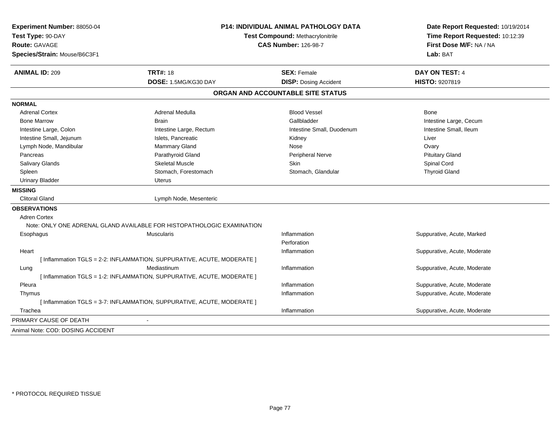| Experiment Number: 88050-04<br>Test Type: 90-DAY | <b>P14: INDIVIDUAL ANIMAL PATHOLOGY DATA</b><br>Test Compound: Methacrylonitrile<br><b>CAS Number: 126-98-7</b> |                                   | Date Report Requested: 10/19/2014<br>Time Report Requested: 10:12:39 |  |
|--------------------------------------------------|-----------------------------------------------------------------------------------------------------------------|-----------------------------------|----------------------------------------------------------------------|--|
| <b>Route: GAVAGE</b>                             |                                                                                                                 |                                   | First Dose M/F: NA / NA                                              |  |
| Species/Strain: Mouse/B6C3F1                     |                                                                                                                 |                                   | Lab: BAT                                                             |  |
| <b>ANIMAL ID: 209</b>                            | <b>TRT#: 18</b>                                                                                                 | <b>SEX: Female</b>                | <b>DAY ON TEST: 4</b>                                                |  |
|                                                  | DOSE: 1.5MG/KG30 DAY                                                                                            | <b>DISP: Dosing Accident</b>      | HISTO: 9207819                                                       |  |
|                                                  |                                                                                                                 | ORGAN AND ACCOUNTABLE SITE STATUS |                                                                      |  |
| <b>NORMAL</b>                                    |                                                                                                                 |                                   |                                                                      |  |
| <b>Adrenal Cortex</b>                            | Adrenal Medulla                                                                                                 | <b>Blood Vessel</b>               | Bone                                                                 |  |
| <b>Bone Marrow</b>                               | <b>Brain</b>                                                                                                    | Gallbladder                       | Intestine Large, Cecum                                               |  |
| Intestine Large, Colon                           | Intestine Large, Rectum                                                                                         | Intestine Small, Duodenum         | Intestine Small, Ileum                                               |  |
| Intestine Small, Jejunum                         | Islets, Pancreatic                                                                                              | Kidney                            | Liver                                                                |  |
| Lymph Node, Mandibular                           | Mammary Gland                                                                                                   | Nose                              | Ovary                                                                |  |
| Pancreas                                         | Parathyroid Gland                                                                                               | <b>Peripheral Nerve</b>           | <b>Pituitary Gland</b>                                               |  |
| Salivary Glands                                  | <b>Skeletal Muscle</b>                                                                                          | <b>Skin</b>                       | Spinal Cord                                                          |  |
| Spleen                                           | Stomach, Forestomach                                                                                            | Stomach, Glandular                | <b>Thyroid Gland</b>                                                 |  |
| <b>Urinary Bladder</b>                           | Uterus                                                                                                          |                                   |                                                                      |  |
| <b>MISSING</b>                                   |                                                                                                                 |                                   |                                                                      |  |
| <b>Clitoral Gland</b>                            | Lymph Node, Mesenteric                                                                                          |                                   |                                                                      |  |
| <b>OBSERVATIONS</b>                              |                                                                                                                 |                                   |                                                                      |  |
| <b>Adren Cortex</b>                              |                                                                                                                 |                                   |                                                                      |  |
|                                                  | Note: ONLY ONE ADRENAL GLAND AVAILABLE FOR HISTOPATHOLOGIC EXAMINATION                                          |                                   |                                                                      |  |
| Esophagus                                        | <b>Muscularis</b>                                                                                               | Inflammation                      | Suppurative, Acute, Marked                                           |  |
|                                                  |                                                                                                                 | Perforation                       |                                                                      |  |
| Heart                                            |                                                                                                                 | Inflammation                      | Suppurative, Acute, Moderate                                         |  |
|                                                  | [ Inflammation TGLS = 2-2: INFLAMMATION, SUPPURATIVE, ACUTE, MODERATE ]                                         |                                   |                                                                      |  |
| Lung                                             | Mediastinum                                                                                                     | Inflammation                      | Suppurative, Acute, Moderate                                         |  |
|                                                  | [ Inflammation TGLS = 1-2: INFLAMMATION, SUPPURATIVE, ACUTE, MODERATE ]                                         |                                   |                                                                      |  |
| Pleura                                           |                                                                                                                 | Inflammation                      | Suppurative, Acute, Moderate                                         |  |
| Thymus                                           |                                                                                                                 | Inflammation                      | Suppurative, Acute, Moderate                                         |  |
|                                                  | [ Inflammation TGLS = 3-7: INFLAMMATION, SUPPURATIVE, ACUTE, MODERATE ]                                         |                                   |                                                                      |  |
| Trachea                                          |                                                                                                                 | Inflammation                      | Suppurative, Acute, Moderate                                         |  |
| PRIMARY CAUSE OF DEATH                           |                                                                                                                 |                                   |                                                                      |  |
| Animal Note: COD: DOSING ACCIDENT                |                                                                                                                 |                                   |                                                                      |  |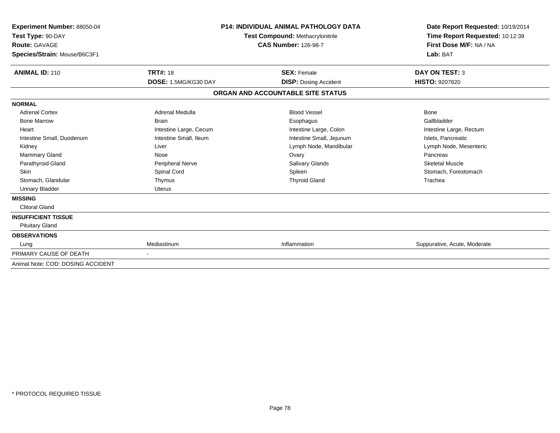| Experiment Number: 88050-04<br>Test Type: 90-DAY<br>Route: GAVAGE<br>Species/Strain: Mouse/B6C3F1 |                        | <b>P14: INDIVIDUAL ANIMAL PATHOLOGY DATA</b><br><b>Test Compound: Methacrylonitrile</b><br><b>CAS Number: 126-98-7</b> | Date Report Requested: 10/19/2014<br>Time Report Requested: 10:12:39<br>First Dose M/F: NA / NA<br>Lab: BAT |
|---------------------------------------------------------------------------------------------------|------------------------|------------------------------------------------------------------------------------------------------------------------|-------------------------------------------------------------------------------------------------------------|
| <b>ANIMAL ID: 210</b>                                                                             | <b>TRT#: 18</b>        | <b>SEX: Female</b>                                                                                                     | <b>DAY ON TEST: 3</b>                                                                                       |
|                                                                                                   | DOSE: 1.5MG/KG30 DAY   | <b>DISP: Dosing Accident</b>                                                                                           | <b>HISTO: 9207820</b>                                                                                       |
|                                                                                                   |                        | ORGAN AND ACCOUNTABLE SITE STATUS                                                                                      |                                                                                                             |
| <b>NORMAL</b>                                                                                     |                        |                                                                                                                        |                                                                                                             |
| <b>Adrenal Cortex</b>                                                                             | Adrenal Medulla        | <b>Blood Vessel</b>                                                                                                    | Bone                                                                                                        |
| <b>Bone Marrow</b>                                                                                | <b>Brain</b>           | Esophagus                                                                                                              | Gallbladder                                                                                                 |
| Heart                                                                                             | Intestine Large, Cecum | Intestine Large, Colon                                                                                                 | Intestine Large, Rectum                                                                                     |
| Intestine Small, Duodenum                                                                         | Intestine Small, Ileum | Intestine Small, Jejunum                                                                                               | Islets, Pancreatic                                                                                          |
| Kidney                                                                                            | Liver                  | Lymph Node, Mandibular                                                                                                 | Lymph Node, Mesenteric                                                                                      |
| <b>Mammary Gland</b>                                                                              | Nose                   | Ovary                                                                                                                  | Pancreas                                                                                                    |
| Parathyroid Gland                                                                                 | Peripheral Nerve       | <b>Salivary Glands</b>                                                                                                 | <b>Skeletal Muscle</b>                                                                                      |
| Skin                                                                                              | Spinal Cord            | Spleen                                                                                                                 | Stomach, Forestomach                                                                                        |
| Stomach, Glandular                                                                                | Thymus                 | <b>Thyroid Gland</b>                                                                                                   | Trachea                                                                                                     |
| <b>Urinary Bladder</b>                                                                            | <b>Uterus</b>          |                                                                                                                        |                                                                                                             |
| <b>MISSING</b>                                                                                    |                        |                                                                                                                        |                                                                                                             |
| <b>Clitoral Gland</b>                                                                             |                        |                                                                                                                        |                                                                                                             |
| <b>INSUFFICIENT TISSUE</b>                                                                        |                        |                                                                                                                        |                                                                                                             |
| <b>Pituitary Gland</b>                                                                            |                        |                                                                                                                        |                                                                                                             |
| <b>OBSERVATIONS</b>                                                                               |                        |                                                                                                                        |                                                                                                             |
| Lung                                                                                              | Mediastinum            | Inflammation                                                                                                           | Suppurative, Acute, Moderate                                                                                |
| PRIMARY CAUSE OF DEATH                                                                            | $\blacksquare$         |                                                                                                                        |                                                                                                             |
| Animal Note: COD: DOSING ACCIDENT                                                                 |                        |                                                                                                                        |                                                                                                             |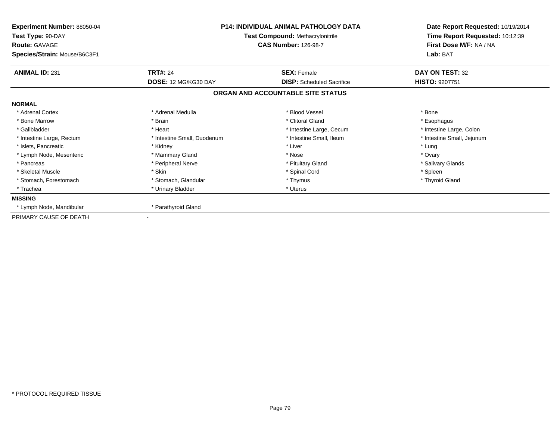| <b>P14: INDIVIDUAL ANIMAL PATHOLOGY DATA</b><br>Experiment Number: 88050-04<br>Test Type: 90-DAY<br><b>Test Compound: Methacrylonitrile</b><br><b>Route: GAVAGE</b><br><b>CAS Number: 126-98-7</b><br>Species/Strain: Mouse/B6C3F1 |                                         |                                                        | Date Report Requested: 10/19/2014<br>Time Report Requested: 10:12:39<br>First Dose M/F: NA / NA<br>Lab: BAT |
|------------------------------------------------------------------------------------------------------------------------------------------------------------------------------------------------------------------------------------|-----------------------------------------|--------------------------------------------------------|-------------------------------------------------------------------------------------------------------------|
| <b>ANIMAL ID: 231</b>                                                                                                                                                                                                              | <b>TRT#: 24</b><br>DOSE: 12 MG/KG30 DAY | <b>SEX: Female</b><br><b>DISP:</b> Scheduled Sacrifice | DAY ON TEST: 32<br>HISTO: 9207751                                                                           |
|                                                                                                                                                                                                                                    |                                         | ORGAN AND ACCOUNTABLE SITE STATUS                      |                                                                                                             |
| <b>NORMAL</b>                                                                                                                                                                                                                      |                                         |                                                        |                                                                                                             |
| * Adrenal Cortex                                                                                                                                                                                                                   | * Adrenal Medulla                       | * Blood Vessel                                         | * Bone                                                                                                      |
| * Bone Marrow                                                                                                                                                                                                                      | * Brain                                 | * Clitoral Gland                                       | * Esophagus                                                                                                 |
| * Gallbladder                                                                                                                                                                                                                      | * Heart                                 | * Intestine Large, Cecum                               | * Intestine Large, Colon                                                                                    |
| * Intestine Large, Rectum                                                                                                                                                                                                          | * Intestine Small, Duodenum             | * Intestine Small, Ileum                               | * Intestine Small, Jejunum                                                                                  |
| * Islets, Pancreatic                                                                                                                                                                                                               | * Kidney                                | * Liver                                                | * Lung                                                                                                      |
| * Lymph Node, Mesenteric                                                                                                                                                                                                           | * Mammary Gland                         | * Nose                                                 | * Ovary                                                                                                     |
| * Pancreas                                                                                                                                                                                                                         | * Peripheral Nerve                      | * Pituitary Gland                                      | * Salivary Glands                                                                                           |
| * Skeletal Muscle                                                                                                                                                                                                                  | * Skin                                  | * Spinal Cord                                          | * Spleen                                                                                                    |
| * Stomach, Forestomach                                                                                                                                                                                                             | * Stomach, Glandular                    | * Thymus                                               | * Thyroid Gland                                                                                             |
| * Trachea                                                                                                                                                                                                                          | * Urinary Bladder                       | * Uterus                                               |                                                                                                             |
| <b>MISSING</b>                                                                                                                                                                                                                     |                                         |                                                        |                                                                                                             |
| * Lymph Node, Mandibular                                                                                                                                                                                                           | * Parathyroid Gland                     |                                                        |                                                                                                             |
| PRIMARY CAUSE OF DEATH                                                                                                                                                                                                             |                                         |                                                        |                                                                                                             |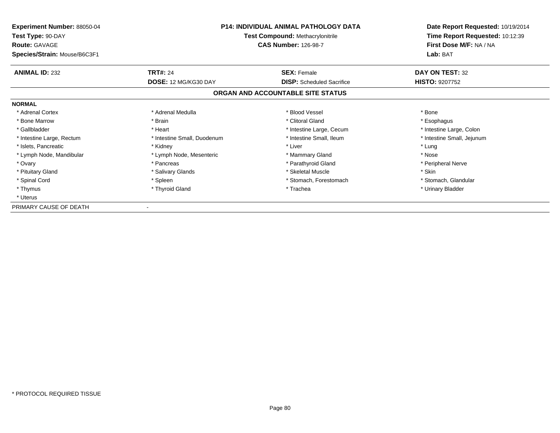| <b>Experiment Number: 88050-04</b><br>Test Type: 90-DAY<br><b>Route: GAVAGE</b> | <b>P14: INDIVIDUAL ANIMAL PATHOLOGY DATA</b><br><b>Test Compound: Methacrylonitrile</b><br><b>CAS Number: 126-98-7</b> |                                   | Date Report Requested: 10/19/2014<br>Time Report Requested: 10:12:39<br>First Dose M/F: NA / NA |  |
|---------------------------------------------------------------------------------|------------------------------------------------------------------------------------------------------------------------|-----------------------------------|-------------------------------------------------------------------------------------------------|--|
| Species/Strain: Mouse/B6C3F1                                                    |                                                                                                                        |                                   | Lab: BAT                                                                                        |  |
| <b>ANIMAL ID: 232</b>                                                           | <b>TRT#: 24</b>                                                                                                        | <b>SEX: Female</b>                | DAY ON TEST: 32                                                                                 |  |
|                                                                                 | DOSE: 12 MG/KG30 DAY                                                                                                   | <b>DISP:</b> Scheduled Sacrifice  | <b>HISTO: 9207752</b>                                                                           |  |
|                                                                                 |                                                                                                                        | ORGAN AND ACCOUNTABLE SITE STATUS |                                                                                                 |  |
| <b>NORMAL</b>                                                                   |                                                                                                                        |                                   |                                                                                                 |  |
| * Adrenal Cortex                                                                | * Adrenal Medulla                                                                                                      | * Blood Vessel                    | * Bone                                                                                          |  |
| * Bone Marrow                                                                   | * Brain                                                                                                                | * Clitoral Gland                  | * Esophagus                                                                                     |  |
| * Gallbladder                                                                   | * Heart                                                                                                                | * Intestine Large, Cecum          | * Intestine Large, Colon                                                                        |  |
| * Intestine Large, Rectum                                                       | * Intestine Small, Duodenum                                                                                            | * Intestine Small, Ileum          | * Intestine Small, Jejunum                                                                      |  |
| * Islets, Pancreatic                                                            | * Kidney                                                                                                               | * Liver                           | * Lung                                                                                          |  |
| * Lymph Node, Mandibular                                                        | * Lymph Node, Mesenteric                                                                                               | * Mammary Gland                   | * Nose                                                                                          |  |
| * Ovary                                                                         | * Pancreas                                                                                                             | * Parathyroid Gland               | * Peripheral Nerve                                                                              |  |
| * Pituitary Gland                                                               | * Salivary Glands                                                                                                      | * Skeletal Muscle                 | * Skin                                                                                          |  |
| * Spinal Cord                                                                   | * Spleen                                                                                                               | * Stomach, Forestomach            | * Stomach, Glandular                                                                            |  |
| * Thymus                                                                        | * Thyroid Gland                                                                                                        | * Trachea                         | * Urinary Bladder                                                                               |  |
| * Uterus                                                                        |                                                                                                                        |                                   |                                                                                                 |  |
| PRIMARY CAUSE OF DEATH                                                          |                                                                                                                        |                                   |                                                                                                 |  |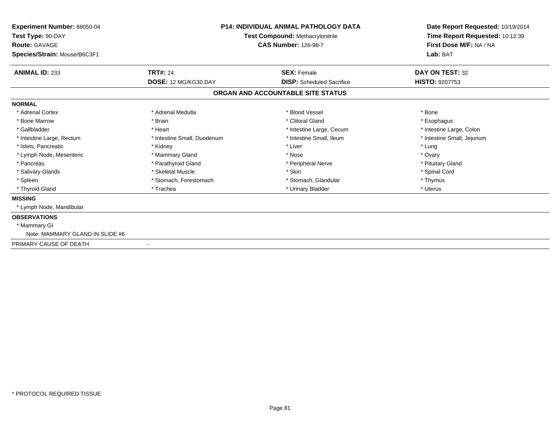| <b>Experiment Number: 88050-04</b><br>Test Type: 90-DAY<br><b>Route: GAVAGE</b> |                             | <b>P14: INDIVIDUAL ANIMAL PATHOLOGY DATA</b><br>Test Compound: Methacrylonitrile<br><b>CAS Number: 126-98-7</b> | Date Report Requested: 10/19/2014<br>Time Report Requested: 10:12:39<br>First Dose M/F: NA / NA |
|---------------------------------------------------------------------------------|-----------------------------|-----------------------------------------------------------------------------------------------------------------|-------------------------------------------------------------------------------------------------|
| Species/Strain: Mouse/B6C3F1                                                    |                             |                                                                                                                 | Lab: BAT                                                                                        |
| <b>ANIMAL ID: 233</b>                                                           | <b>TRT#: 24</b>             | <b>SEX: Female</b>                                                                                              | DAY ON TEST: 32                                                                                 |
|                                                                                 | DOSE: 12 MG/KG30 DAY        | <b>DISP:</b> Scheduled Sacrifice                                                                                | <b>HISTO: 9207753</b>                                                                           |
|                                                                                 |                             | ORGAN AND ACCOUNTABLE SITE STATUS                                                                               |                                                                                                 |
| <b>NORMAL</b>                                                                   |                             |                                                                                                                 |                                                                                                 |
| * Adrenal Cortex                                                                | * Adrenal Medulla           | * Blood Vessel                                                                                                  | * Bone                                                                                          |
| * Bone Marrow                                                                   | * Brain                     | * Clitoral Gland                                                                                                | * Esophagus                                                                                     |
| * Gallbladder                                                                   | * Heart                     | * Intestine Large, Cecum                                                                                        | * Intestine Large, Colon                                                                        |
| * Intestine Large, Rectum                                                       | * Intestine Small, Duodenum | * Intestine Small, Ileum                                                                                        | * Intestine Small, Jejunum                                                                      |
| * Islets, Pancreatic                                                            | * Kidney                    | * Liver                                                                                                         | * Lung                                                                                          |
| * Lymph Node, Mesenteric                                                        | * Mammary Gland             | * Nose                                                                                                          | * Ovary                                                                                         |
| * Pancreas                                                                      | * Parathyroid Gland         | * Peripheral Nerve                                                                                              | * Pituitary Gland                                                                               |
| * Salivary Glands                                                               | * Skeletal Muscle           | * Skin                                                                                                          | * Spinal Cord                                                                                   |
| * Spleen                                                                        | * Stomach, Forestomach      | * Stomach, Glandular                                                                                            | * Thymus                                                                                        |
| * Thyroid Gland                                                                 | * Trachea                   | * Urinary Bladder                                                                                               | * Uterus                                                                                        |
| <b>MISSING</b>                                                                  |                             |                                                                                                                 |                                                                                                 |
| * Lymph Node, Mandibular                                                        |                             |                                                                                                                 |                                                                                                 |
| <b>OBSERVATIONS</b>                                                             |                             |                                                                                                                 |                                                                                                 |
| * Mammary GI                                                                    |                             |                                                                                                                 |                                                                                                 |
| Note: MAMMARY GLAND IN SLIDE #6                                                 |                             |                                                                                                                 |                                                                                                 |
| PRIMARY CAUSE OF DEATH                                                          | ٠                           |                                                                                                                 |                                                                                                 |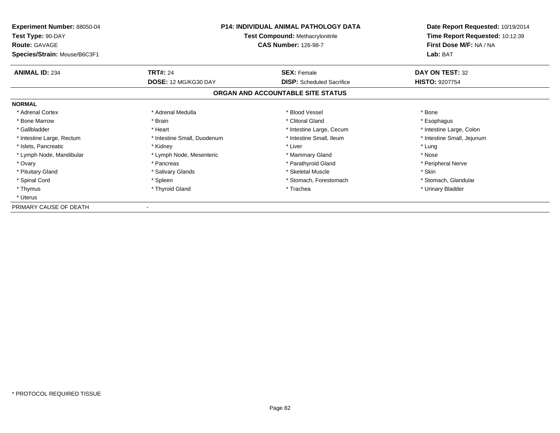| <b>Experiment Number: 88050-04</b><br>Test Type: 90-DAY<br><b>Route: GAVAGE</b><br>Species/Strain: Mouse/B6C3F1 | P14: INDIVIDUAL ANIMAL PATHOLOGY DATA<br><b>Test Compound: Methacrylonitrile</b><br><b>CAS Number: 126-98-7</b> |                                   | Date Report Requested: 10/19/2014<br>Time Report Requested: 10:12:39<br>First Dose M/F: NA / NA<br>Lab: BAT |
|-----------------------------------------------------------------------------------------------------------------|-----------------------------------------------------------------------------------------------------------------|-----------------------------------|-------------------------------------------------------------------------------------------------------------|
| <b>ANIMAL ID: 234</b>                                                                                           | <b>TRT#: 24</b>                                                                                                 | <b>SEX: Female</b>                | DAY ON TEST: 32                                                                                             |
|                                                                                                                 | DOSE: 12 MG/KG30 DAY                                                                                            | <b>DISP:</b> Scheduled Sacrifice  | <b>HISTO: 9207754</b>                                                                                       |
|                                                                                                                 |                                                                                                                 | ORGAN AND ACCOUNTABLE SITE STATUS |                                                                                                             |
| <b>NORMAL</b>                                                                                                   |                                                                                                                 |                                   |                                                                                                             |
| * Adrenal Cortex                                                                                                | * Adrenal Medulla                                                                                               | * Blood Vessel                    | * Bone                                                                                                      |
| * Bone Marrow                                                                                                   | * Brain                                                                                                         | * Clitoral Gland                  | * Esophagus                                                                                                 |
| * Gallbladder                                                                                                   | * Heart                                                                                                         | * Intestine Large, Cecum          | * Intestine Large, Colon                                                                                    |
| * Intestine Large, Rectum                                                                                       | * Intestine Small, Duodenum                                                                                     | * Intestine Small, Ileum          | * Intestine Small, Jejunum                                                                                  |
| * Islets, Pancreatic                                                                                            | * Kidney                                                                                                        | * Liver                           | * Lung                                                                                                      |
| * Lymph Node, Mandibular                                                                                        | * Lymph Node, Mesenteric                                                                                        | * Mammary Gland                   | * Nose                                                                                                      |
| * Ovary                                                                                                         | * Pancreas                                                                                                      | * Parathyroid Gland               | * Peripheral Nerve                                                                                          |
| * Pituitary Gland                                                                                               | * Salivary Glands                                                                                               | * Skeletal Muscle                 | * Skin                                                                                                      |
| * Spinal Cord                                                                                                   | * Spleen                                                                                                        | * Stomach, Forestomach            | * Stomach, Glandular                                                                                        |
| * Thymus                                                                                                        | * Thyroid Gland                                                                                                 | * Trachea                         | * Urinary Bladder                                                                                           |
| * Uterus                                                                                                        |                                                                                                                 |                                   |                                                                                                             |
| PRIMARY CAUSE OF DEATH                                                                                          |                                                                                                                 |                                   |                                                                                                             |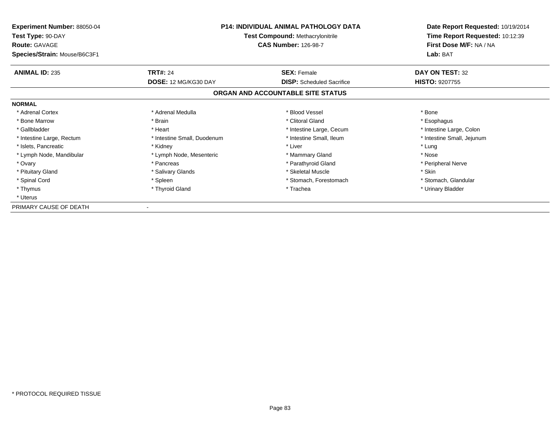| <b>Experiment Number: 88050-04</b><br>Test Type: 90-DAY<br><b>Route: GAVAGE</b> | <b>P14: INDIVIDUAL ANIMAL PATHOLOGY DATA</b><br><b>Test Compound: Methacrylonitrile</b><br><b>CAS Number: 126-98-7</b> |                                   | Date Report Requested: 10/19/2014<br>Time Report Requested: 10:12:39<br>First Dose M/F: NA / NA |  |
|---------------------------------------------------------------------------------|------------------------------------------------------------------------------------------------------------------------|-----------------------------------|-------------------------------------------------------------------------------------------------|--|
| Species/Strain: Mouse/B6C3F1                                                    |                                                                                                                        |                                   | Lab: BAT                                                                                        |  |
| <b>ANIMAL ID: 235</b>                                                           | <b>TRT#: 24</b>                                                                                                        | <b>SEX: Female</b>                | DAY ON TEST: 32                                                                                 |  |
|                                                                                 | DOSE: 12 MG/KG30 DAY                                                                                                   | <b>DISP:</b> Scheduled Sacrifice  | <b>HISTO: 9207755</b>                                                                           |  |
|                                                                                 |                                                                                                                        | ORGAN AND ACCOUNTABLE SITE STATUS |                                                                                                 |  |
| <b>NORMAL</b>                                                                   |                                                                                                                        |                                   |                                                                                                 |  |
| * Adrenal Cortex                                                                | * Adrenal Medulla                                                                                                      | * Blood Vessel                    | * Bone                                                                                          |  |
| * Bone Marrow                                                                   | * Brain                                                                                                                | * Clitoral Gland                  | * Esophagus                                                                                     |  |
| * Gallbladder                                                                   | * Heart                                                                                                                | * Intestine Large, Cecum          | * Intestine Large, Colon                                                                        |  |
| * Intestine Large, Rectum                                                       | * Intestine Small, Duodenum                                                                                            | * Intestine Small, Ileum          | * Intestine Small, Jejunum                                                                      |  |
| * Islets, Pancreatic                                                            | * Kidney                                                                                                               | * Liver                           | * Lung                                                                                          |  |
| * Lymph Node, Mandibular                                                        | * Lymph Node, Mesenteric                                                                                               | * Mammary Gland                   | * Nose                                                                                          |  |
| * Ovary                                                                         | * Pancreas                                                                                                             | * Parathyroid Gland               | * Peripheral Nerve                                                                              |  |
| * Pituitary Gland                                                               | * Salivary Glands                                                                                                      | * Skeletal Muscle                 | * Skin                                                                                          |  |
| * Spinal Cord                                                                   | * Spleen                                                                                                               | * Stomach, Forestomach            | * Stomach, Glandular                                                                            |  |
| * Thymus                                                                        | * Thyroid Gland                                                                                                        | * Trachea                         | * Urinary Bladder                                                                               |  |
| * Uterus                                                                        |                                                                                                                        |                                   |                                                                                                 |  |
| PRIMARY CAUSE OF DEATH                                                          |                                                                                                                        |                                   |                                                                                                 |  |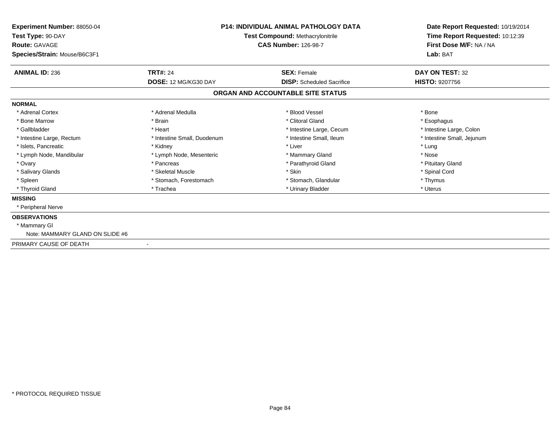| <b>Experiment Number: 88050-04</b><br>Test Type: 90-DAY<br><b>Route: GAVAGE</b><br>Species/Strain: Mouse/B6C3F1 | <b>P14: INDIVIDUAL ANIMAL PATHOLOGY DATA</b><br>Test Compound: Methacrylonitrile<br><b>CAS Number: 126-98-7</b> |                                   | Date Report Requested: 10/19/2014<br>Time Report Requested: 10:12:39<br>First Dose M/F: NA / NA<br>Lab: BAT |
|-----------------------------------------------------------------------------------------------------------------|-----------------------------------------------------------------------------------------------------------------|-----------------------------------|-------------------------------------------------------------------------------------------------------------|
| <b>ANIMAL ID: 236</b>                                                                                           | <b>TRT#: 24</b>                                                                                                 | <b>SEX: Female</b>                | DAY ON TEST: 32                                                                                             |
|                                                                                                                 | DOSE: 12 MG/KG30 DAY                                                                                            | <b>DISP:</b> Scheduled Sacrifice  | <b>HISTO: 9207756</b>                                                                                       |
|                                                                                                                 |                                                                                                                 | ORGAN AND ACCOUNTABLE SITE STATUS |                                                                                                             |
| <b>NORMAL</b>                                                                                                   |                                                                                                                 |                                   |                                                                                                             |
| * Adrenal Cortex                                                                                                | * Adrenal Medulla                                                                                               | * Blood Vessel                    | * Bone                                                                                                      |
| * Bone Marrow                                                                                                   | * Brain                                                                                                         | * Clitoral Gland                  | * Esophagus                                                                                                 |
| * Gallbladder                                                                                                   | * Heart                                                                                                         | * Intestine Large, Cecum          | * Intestine Large, Colon                                                                                    |
| * Intestine Large, Rectum                                                                                       | * Intestine Small, Duodenum                                                                                     | * Intestine Small, Ileum          | * Intestine Small, Jejunum                                                                                  |
| * Islets, Pancreatic                                                                                            | * Kidney                                                                                                        | * Liver                           | * Lung                                                                                                      |
| * Lymph Node, Mandibular                                                                                        | * Lymph Node, Mesenteric                                                                                        | * Mammary Gland                   | * Nose                                                                                                      |
| * Ovary                                                                                                         | * Pancreas                                                                                                      | * Parathyroid Gland               | * Pituitary Gland                                                                                           |
| * Salivary Glands                                                                                               | * Skeletal Muscle                                                                                               | * Skin                            | * Spinal Cord                                                                                               |
| * Spleen                                                                                                        | * Stomach, Forestomach                                                                                          | * Stomach, Glandular              | * Thymus                                                                                                    |
| * Thyroid Gland                                                                                                 | * Trachea                                                                                                       | * Urinary Bladder                 | * Uterus                                                                                                    |
| <b>MISSING</b>                                                                                                  |                                                                                                                 |                                   |                                                                                                             |
| * Peripheral Nerve                                                                                              |                                                                                                                 |                                   |                                                                                                             |
| <b>OBSERVATIONS</b>                                                                                             |                                                                                                                 |                                   |                                                                                                             |
| * Mammary GI                                                                                                    |                                                                                                                 |                                   |                                                                                                             |
| Note: MAMMARY GLAND ON SLIDE #6                                                                                 |                                                                                                                 |                                   |                                                                                                             |
| PRIMARY CAUSE OF DEATH<br>$\overline{\phantom{a}}$                                                              |                                                                                                                 |                                   |                                                                                                             |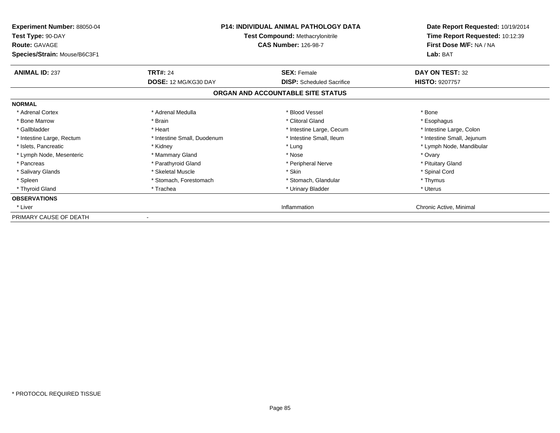| Experiment Number: 88050-04<br>Test Type: 90-DAY<br><b>Route: GAVAGE</b><br>Species/Strain: Mouse/B6C3F1 | <b>P14: INDIVIDUAL ANIMAL PATHOLOGY DATA</b><br><b>Test Compound: Methacrylonitrile</b><br><b>CAS Number: 126-98-7</b> |                                                        | Date Report Requested: 10/19/2014<br>Time Report Requested: 10:12:39<br>First Dose M/F: NA / NA<br>Lab: BAT |
|----------------------------------------------------------------------------------------------------------|------------------------------------------------------------------------------------------------------------------------|--------------------------------------------------------|-------------------------------------------------------------------------------------------------------------|
| <b>ANIMAL ID: 237</b>                                                                                    | <b>TRT#: 24</b><br>DOSE: 12 MG/KG30 DAY                                                                                | <b>SEX: Female</b><br><b>DISP:</b> Scheduled Sacrifice | DAY ON TEST: 32<br><b>HISTO: 9207757</b>                                                                    |
|                                                                                                          |                                                                                                                        | ORGAN AND ACCOUNTABLE SITE STATUS                      |                                                                                                             |
| <b>NORMAL</b>                                                                                            |                                                                                                                        |                                                        |                                                                                                             |
| * Adrenal Cortex                                                                                         | * Adrenal Medulla                                                                                                      | * Blood Vessel                                         | * Bone                                                                                                      |
| * Bone Marrow                                                                                            | * Brain                                                                                                                | * Clitoral Gland                                       | * Esophagus                                                                                                 |
| * Gallbladder                                                                                            | * Heart                                                                                                                | * Intestine Large, Cecum                               | * Intestine Large, Colon                                                                                    |
| * Intestine Large, Rectum                                                                                | * Intestine Small, Duodenum                                                                                            | * Intestine Small, Ileum                               | * Intestine Small, Jejunum                                                                                  |
| * Islets, Pancreatic                                                                                     | * Kidney                                                                                                               | * Lung                                                 | * Lymph Node, Mandibular                                                                                    |
| * Lymph Node, Mesenteric                                                                                 | * Mammary Gland                                                                                                        | * Nose                                                 | * Ovary                                                                                                     |
| * Pancreas                                                                                               | * Parathyroid Gland                                                                                                    | * Peripheral Nerve                                     | * Pituitary Gland                                                                                           |
| * Salivary Glands                                                                                        | * Skeletal Muscle                                                                                                      | * Skin                                                 | * Spinal Cord                                                                                               |
| * Spleen                                                                                                 | * Stomach, Forestomach                                                                                                 | * Stomach, Glandular                                   | * Thymus                                                                                                    |
| * Thyroid Gland                                                                                          | * Trachea                                                                                                              | * Urinary Bladder                                      | * Uterus                                                                                                    |
| <b>OBSERVATIONS</b>                                                                                      |                                                                                                                        |                                                        |                                                                                                             |
| * Liver                                                                                                  |                                                                                                                        | Inflammation                                           | Chronic Active, Minimal                                                                                     |
| PRIMARY CAUSE OF DEATH                                                                                   |                                                                                                                        |                                                        |                                                                                                             |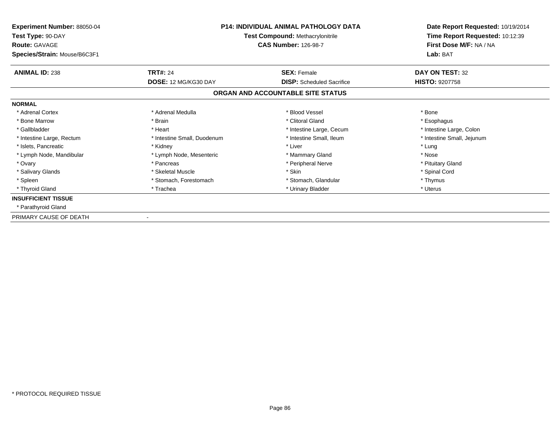| Experiment Number: 88050-04<br>Test Type: 90-DAY<br><b>Route: GAVAGE</b><br>Species/Strain: Mouse/B6C3F1 | <b>P14: INDIVIDUAL ANIMAL PATHOLOGY DATA</b><br><b>Test Compound: Methacrylonitrile</b><br><b>CAS Number: 126-98-7</b> |                                   | Date Report Requested: 10/19/2014<br>Time Report Requested: 10:12:39<br>First Dose M/F: NA / NA<br>Lab: BAT |
|----------------------------------------------------------------------------------------------------------|------------------------------------------------------------------------------------------------------------------------|-----------------------------------|-------------------------------------------------------------------------------------------------------------|
| <b>ANIMAL ID: 238</b>                                                                                    | <b>TRT#: 24</b>                                                                                                        | <b>SEX: Female</b>                | DAY ON TEST: 32                                                                                             |
|                                                                                                          | DOSE: 12 MG/KG30 DAY                                                                                                   | <b>DISP:</b> Scheduled Sacrifice  | <b>HISTO: 9207758</b>                                                                                       |
|                                                                                                          |                                                                                                                        | ORGAN AND ACCOUNTABLE SITE STATUS |                                                                                                             |
| <b>NORMAL</b>                                                                                            |                                                                                                                        |                                   |                                                                                                             |
| * Adrenal Cortex                                                                                         | * Adrenal Medulla                                                                                                      | * Blood Vessel                    | * Bone                                                                                                      |
| * Bone Marrow                                                                                            | * Brain                                                                                                                | * Clitoral Gland                  | * Esophagus                                                                                                 |
| * Gallbladder                                                                                            | * Heart                                                                                                                | * Intestine Large, Cecum          | * Intestine Large, Colon                                                                                    |
| * Intestine Large, Rectum                                                                                | * Intestine Small, Duodenum                                                                                            | * Intestine Small, Ileum          | * Intestine Small, Jejunum                                                                                  |
| * Islets, Pancreatic                                                                                     | * Kidney                                                                                                               | * Liver                           | * Lung                                                                                                      |
| * Lymph Node, Mandibular                                                                                 | * Lymph Node, Mesenteric                                                                                               | * Mammary Gland                   | * Nose                                                                                                      |
| * Ovary                                                                                                  | * Pancreas                                                                                                             | * Peripheral Nerve                | * Pituitary Gland                                                                                           |
| * Salivary Glands                                                                                        | * Skeletal Muscle                                                                                                      | * Skin                            | * Spinal Cord                                                                                               |
| * Spleen                                                                                                 | * Stomach, Forestomach                                                                                                 | * Stomach, Glandular              | * Thymus                                                                                                    |
| * Thyroid Gland                                                                                          | * Trachea                                                                                                              | * Urinary Bladder                 | * Uterus                                                                                                    |
| <b>INSUFFICIENT TISSUE</b>                                                                               |                                                                                                                        |                                   |                                                                                                             |
| * Parathyroid Gland                                                                                      |                                                                                                                        |                                   |                                                                                                             |
| PRIMARY CAUSE OF DEATH                                                                                   |                                                                                                                        |                                   |                                                                                                             |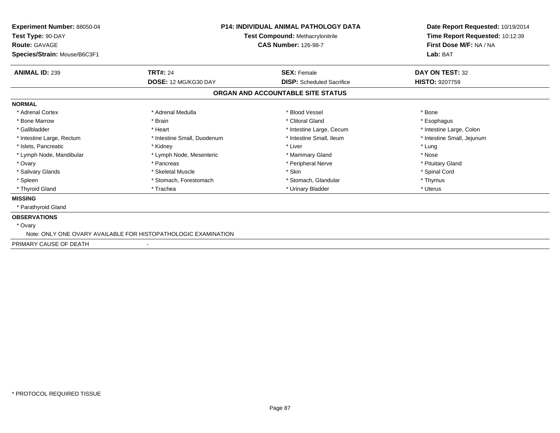| Experiment Number: 88050-04<br>Test Type: 90-DAY<br><b>Route: GAVAGE</b><br>Species/Strain: Mouse/B6C3F1 | <b>P14: INDIVIDUAL ANIMAL PATHOLOGY DATA</b><br><b>Test Compound: Methacrylonitrile</b><br><b>CAS Number: 126-98-7</b> |                                   | Date Report Requested: 10/19/2014<br>Time Report Requested: 10:12:39<br>First Dose M/F: NA / NA<br>Lab: BAT |
|----------------------------------------------------------------------------------------------------------|------------------------------------------------------------------------------------------------------------------------|-----------------------------------|-------------------------------------------------------------------------------------------------------------|
| <b>ANIMAL ID: 239</b>                                                                                    | <b>TRT#: 24</b>                                                                                                        | <b>SEX: Female</b>                | DAY ON TEST: 32                                                                                             |
|                                                                                                          | DOSE: 12 MG/KG30 DAY                                                                                                   | <b>DISP:</b> Scheduled Sacrifice  | <b>HISTO: 9207759</b>                                                                                       |
|                                                                                                          |                                                                                                                        | ORGAN AND ACCOUNTABLE SITE STATUS |                                                                                                             |
| <b>NORMAL</b>                                                                                            |                                                                                                                        |                                   |                                                                                                             |
| * Adrenal Cortex                                                                                         | * Adrenal Medulla                                                                                                      | * Blood Vessel                    | * Bone                                                                                                      |
| * Bone Marrow                                                                                            | * Brain                                                                                                                | * Clitoral Gland                  | * Esophagus                                                                                                 |
| * Gallbladder                                                                                            | * Heart                                                                                                                | * Intestine Large, Cecum          | * Intestine Large, Colon                                                                                    |
| * Intestine Large, Rectum                                                                                | * Intestine Small, Duodenum                                                                                            | * Intestine Small, Ileum          | * Intestine Small, Jejunum                                                                                  |
| * Islets, Pancreatic                                                                                     | * Kidney                                                                                                               | * Liver                           | * Lung                                                                                                      |
| * Lymph Node, Mandibular                                                                                 | * Lymph Node, Mesenteric                                                                                               | * Mammary Gland                   | * Nose                                                                                                      |
| * Ovary                                                                                                  | * Pancreas                                                                                                             | * Peripheral Nerve                | * Pituitary Gland                                                                                           |
| * Salivary Glands                                                                                        | * Skeletal Muscle                                                                                                      | * Skin                            | * Spinal Cord                                                                                               |
| * Spleen                                                                                                 | * Stomach, Forestomach                                                                                                 | * Stomach, Glandular              | * Thymus                                                                                                    |
| * Thyroid Gland                                                                                          | * Trachea                                                                                                              | * Urinary Bladder                 | * Uterus                                                                                                    |
| <b>MISSING</b>                                                                                           |                                                                                                                        |                                   |                                                                                                             |
| * Parathyroid Gland                                                                                      |                                                                                                                        |                                   |                                                                                                             |
| <b>OBSERVATIONS</b>                                                                                      |                                                                                                                        |                                   |                                                                                                             |
| * Ovary                                                                                                  |                                                                                                                        |                                   |                                                                                                             |
|                                                                                                          | Note: ONLY ONE OVARY AVAILABLE FOR HISTOPATHOLOGIC EXAMINATION                                                         |                                   |                                                                                                             |
| PRIMARY CAUSE OF DEATH                                                                                   |                                                                                                                        |                                   |                                                                                                             |